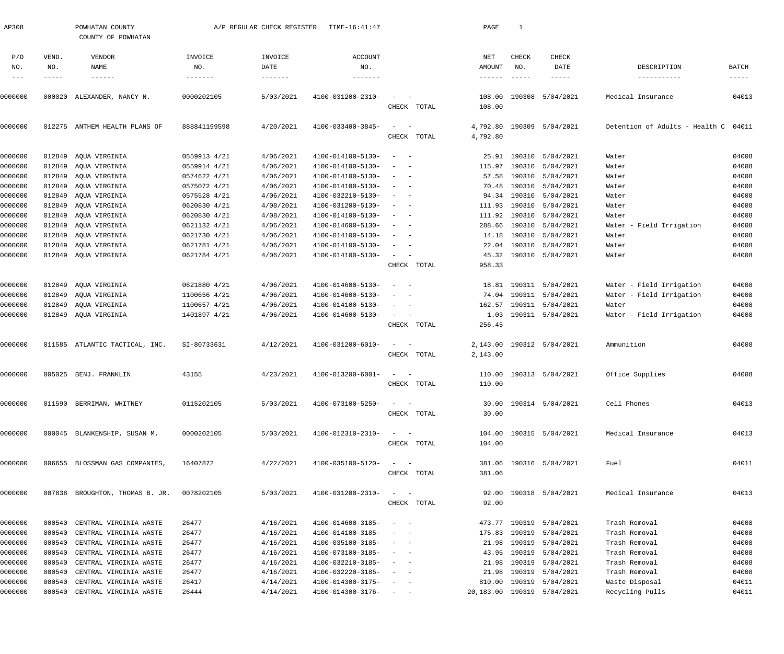| AP308         |               | POWHATAN COUNTY<br>COUNTY OF POWHATAN |              | A/P REGULAR CHECK REGISTER | TIME-16:41:47                |                                                                     |             | PAGE            | $\mathbf{1}$  |                            |                                      |               |
|---------------|---------------|---------------------------------------|--------------|----------------------------|------------------------------|---------------------------------------------------------------------|-------------|-----------------|---------------|----------------------------|--------------------------------------|---------------|
| P/O           | VEND.         | VENDOR                                | INVOICE      | INVOICE                    | <b>ACCOUNT</b>               |                                                                     |             | NET             | CHECK         | CHECK                      |                                      |               |
| NO.           | NO.           | NAME                                  | NO.          | DATE                       | NO.                          |                                                                     |             | AMOUNT          | NO.           | DATE                       | DESCRIPTION                          | BATCH         |
| $\frac{1}{2}$ | $- - - - - -$ | $- - - - - - -$                       | --------     |                            | --------                     |                                                                     |             | $- - - - - - -$ | $- - - - - -$ | $- - - - -$                | -----------                          | $- - - - - -$ |
| 0000000       |               | 000020 ALEXANDER, NANCY N.            | 0000202105   | 5/03/2021                  | 4100-031200-2310-            | $\sim$                                                              |             | 108.00          |               | 190308 5/04/2021           | Medical Insurance                    | 04013         |
|               |               |                                       |              |                            |                              |                                                                     | CHECK TOTAL | 108.00          |               |                            |                                      |               |
| 0000000       |               | 012275 ANTHEM HEALTH PLANS OF         | 888841199598 | 4/20/2021                  | 4100-033400-3845-            | $\sim$                                                              |             | 4,792.80        |               | 190309 5/04/2021           | Detention of Adults - Health C 04011 |               |
|               |               |                                       |              |                            |                              |                                                                     | CHECK TOTAL | 4,792.80        |               |                            |                                      |               |
| 0000000       | 012849        | AQUA VIRGINIA                         | 0559913 4/21 | 4/06/2021                  | 4100-014100-5130-            | $\overline{\phantom{a}}$<br>$\sim$ $-$                              |             |                 |               | 25.91 190310 5/04/2021     | Water                                | 04008         |
| 0000000       |               | 012849 AQUA VIRGINIA                  | 0559914 4/21 | 4/06/2021                  | 4100-014100-5130-            | $\overline{\phantom{a}}$<br>$\sim$                                  |             |                 |               | 115.97 190310 5/04/2021    | Water                                | 04008         |
| 0000000       | 012849        | AQUA VIRGINIA                         | 0574622 4/21 | 4/06/2021                  | 4100-014100-5130-            | $\frac{1}{2}$ and $\frac{1}{2}$ and $\frac{1}{2}$                   |             |                 |               | 57.58 190310 5/04/2021     | Water                                | 04008         |
| 0000000       | 012849        | AOUA VIRGINIA                         | 0575072 4/21 | 4/06/2021                  | 4100-014100-5130-            | $\sim$<br>$\sim$ $\sim$                                             |             | 70.48           |               | 190310 5/04/2021           | Water                                | 04008         |
| 0000000       | 012849        | AQUA VIRGINIA                         | 0575528 4/21 | 4/06/2021                  | 4100-032210-5130-            | $\overline{\phantom{a}}$<br>- -                                     |             |                 |               | 94.34 190310 5/04/2021     | Water                                | 04008         |
| 0000000       | 012849        | AQUA VIRGINIA                         | 0620830 4/21 | 4/08/2021                  | 4100-031200-5130-            | $\sim$<br>$\sim$                                                    |             |                 |               | 111.93 190310 5/04/2021    | Water                                | 04008         |
| 0000000       | 012849        | AQUA VIRGINIA                         | 0620830 4/21 | 4/08/2021                  | 4100-014100-5130-            | $\sim$<br>$\sim$                                                    |             |                 |               | 111.92 190310 5/04/2021    | Water                                | 04008         |
| 0000000       | 012849        | AQUA VIRGINIA                         | 0621132 4/21 | 4/06/2021                  | 4100-014600-5130-            | $\sim$<br>$\sim$                                                    |             | 288.66          |               | 190310 5/04/2021           | Water - Field Irrigation             | 04008         |
| 0000000       | 012849        | AQUA VIRGINIA                         | 0621730 4/21 | 4/06/2021                  | 4100-014100-5130-            | $\sim$<br>$\sim$                                                    |             |                 |               | 14.18 190310 5/04/2021     | Water                                | 04008         |
| 0000000       | 012849        | AQUA VIRGINIA                         | 0621781 4/21 | 4/06/2021                  | 4100-014100-5130-            | $\frac{1}{2}$ and $\frac{1}{2}$ and $\frac{1}{2}$                   |             |                 |               | 22.04 190310 5/04/2021     | Water                                | 04008         |
| 0000000       |               | 012849 AQUA VIRGINIA                  | 0621784 4/21 | 4/06/2021                  | 4100-014100-5130-            | $\sim$ $  -$                                                        |             |                 |               | 45.32 190310 5/04/2021     | Water                                | 04008         |
|               |               |                                       |              |                            |                              |                                                                     | CHECK TOTAL | 958.33          |               |                            |                                      |               |
| 0000000       | 012849        | AQUA VIRGINIA                         | 0621880 4/21 | 4/06/2021                  | 4100-014600-5130-            | $\sim$<br>$\sim$ $-$                                                |             |                 |               | 18.81 190311 5/04/2021     | Water - Field Irrigation             | 04008         |
|               |               |                                       |              | 4/06/2021                  |                              | $\sim$                                                              |             |                 |               |                            |                                      | 04008         |
| 0000000       | 012849        | AQUA VIRGINIA                         | 1100656 4/21 |                            | 4100-014600-5130-            |                                                                     |             |                 |               | 74.04 190311 5/04/2021     | Water - Field Irrigation             |               |
| 0000000       | 012849        | AQUA VIRGINIA                         | 1100657 4/21 | 4/06/2021                  | 4100-014100-5130-            | $\sim$<br>$\sim$                                                    |             |                 |               | 162.57 190311 5/04/2021    | Water                                | 04008         |
| 0000000       |               | 012849 AQUA VIRGINIA                  | 1401897 4/21 | 4/06/2021                  | 4100-014600-5130-            | $\sim$ $ -$                                                         | CHECK TOTAL | 256.45          |               | 1.03 190311 5/04/2021      | Water - Field Irrigation             | 04008         |
|               |               |                                       |              |                            |                              |                                                                     |             |                 |               |                            |                                      |               |
| 0000000       |               | 011585 ATLANTIC TACTICAL, INC.        | SI-80733631  | 4/12/2021                  | 4100-031200-6010-            | $\sim$ $  -$                                                        | CHECK TOTAL | 2,143.00        |               | 2,143.00 190312 5/04/2021  | Ammunition                           | 04008         |
|               |               |                                       |              |                            |                              |                                                                     |             |                 |               |                            |                                      |               |
| 0000000       |               | 005025 BENJ. FRANKLIN                 | 43155        | 4/23/2021                  | 4100-013200-6001-            | $\sim$ $  -$                                                        |             |                 |               | 110.00 190313 5/04/2021    | Office Supplies                      | 04008         |
|               |               |                                       |              |                            |                              |                                                                     | CHECK TOTAL | 110.00          |               |                            |                                      |               |
| 0000000       |               | 011590 BERRIMAN, WHITNEY              | 0115202105   | 5/03/2021                  | 4100-073100-5250-            | $\mathcal{L}_{\text{max}}$ and $\mathcal{L}_{\text{max}}$           |             |                 |               | 30.00 190314 5/04/2021     | Cell Phones                          | 04013         |
|               |               |                                       |              |                            |                              |                                                                     | CHECK TOTAL | 30.00           |               |                            |                                      |               |
| 0000000       |               | 000045 BLANKENSHIP, SUSAN M.          | 0000202105   | 5/03/2021                  | 4100-012310-2310-            | $\frac{1}{2}$ and $\frac{1}{2}$ and $\frac{1}{2}$                   |             |                 |               | 104.00 190315 5/04/2021    | Medical Insurance                    | 04013         |
|               |               |                                       |              |                            |                              |                                                                     | CHECK TOTAL | 104.00          |               |                            |                                      |               |
|               |               |                                       |              |                            |                              |                                                                     |             |                 |               |                            |                                      |               |
| 0000000       |               | 006655 BLOSSMAN GAS COMPANIES,        | 16407872     | 4/22/2021                  | 4100-035100-5120-            | $\frac{1}{2}$ and $\frac{1}{2}$ and $\frac{1}{2}$                   |             |                 |               | 381.06 190316 5/04/2021    | Fuel                                 | 04011         |
|               |               |                                       |              |                            |                              |                                                                     | CHECK TOTAL | 381.06          |               |                            |                                      |               |
| 0000000       |               | 007838 BROUGHTON, THOMAS B. JR.       | 0078202105   | 5/03/2021                  | 4100-031200-2310-            | $\frac{1}{2}$ and $\frac{1}{2}$ and $\frac{1}{2}$                   |             |                 |               | 92.00 190318 5/04/2021     | Medical Insurance                    | 04013         |
|               |               |                                       |              |                            |                              |                                                                     | CHECK TOTAL | 92.00           |               |                            |                                      |               |
| 0000000       |               | 000540 CENTRAL VIRGINIA WASTE         | 26477        | 4/16/2021                  | 4100-014600-3185-            |                                                                     |             |                 |               | 473.77 190319 5/04/2021    | Trash Removal                        | 04008         |
| 0000000       | 000540        | CENTRAL VIRGINIA WASTE                | 26477        | 4/16/2021                  | 4100-014100-3185-            | $\sim$ $  -$                                                        |             |                 |               | 175.83 190319 5/04/2021    | Trash Removal                        | 04008         |
| 0000000       | 000540        | CENTRAL VIRGINIA WASTE                | 26477        | 4/16/2021                  | 4100-035100-3185-            | $\sim$ $ -$                                                         |             |                 |               | 21.98 190319 5/04/2021     | Trash Removal                        | 04008         |
| 0000000       | 000540        | CENTRAL VIRGINIA WASTE                | 26477        | 4/16/2021                  | 4100-073100-3185-            | $\sim$ $ -$                                                         |             |                 |               | 43.95 190319 5/04/2021     | Trash Removal                        | 04008         |
| 0000000       | 000540        | CENTRAL VIRGINIA WASTE                | 26477        | 4/16/2021                  | 4100-032210-3185-            | $\sim$ $ -$                                                         |             |                 |               | 21.98 190319 5/04/2021     | Trash Removal                        | 04008         |
| 0000000       | 000540        | CENTRAL VIRGINIA WASTE                | 26477        | 4/16/2021                  | 4100-032220-3185-            |                                                                     |             |                 |               | 21.98 190319 5/04/2021     | Trash Removal                        | 04008         |
| 0000000       | 000540        | CENTRAL VIRGINIA WASTE                | 26417        | 4/14/2021                  | 4100-014300-3175-            | $\alpha\rightarrow\alpha\gamma$ and $\alpha\rightarrow\alpha\gamma$ |             |                 |               | 810.00 190319 5/04/2021    | Waste Disposal                       | 04011         |
|               |               |                                       |              |                            |                              |                                                                     |             |                 |               |                            |                                      |               |
| 0000000       |               | 000540 CENTRAL VIRGINIA WASTE         | 26444        | 4/14/2021                  | $4100 - 014300 - 3176 - - -$ |                                                                     |             |                 |               | 20,183.00 190319 5/04/2021 | Recycling Pulls                      | 04011         |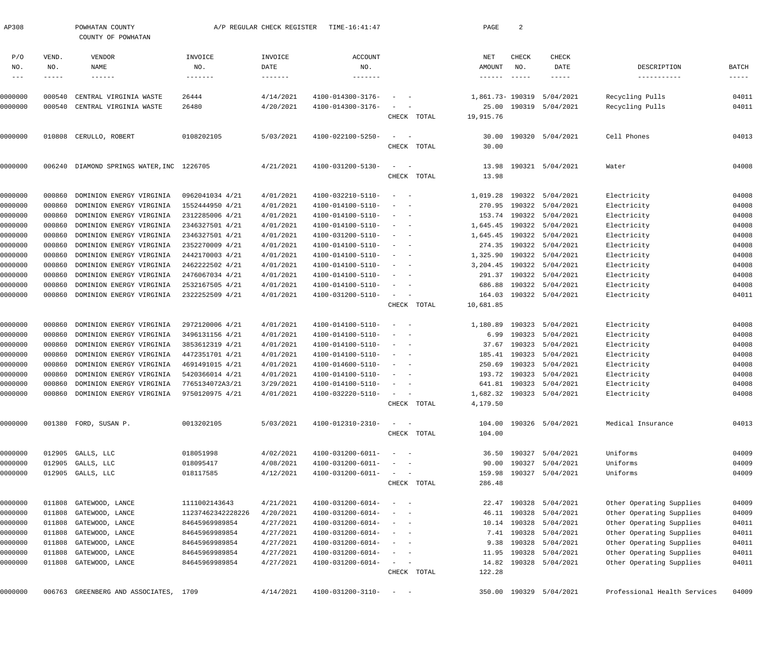| AP308      |              | POWHATAN COUNTY<br>A/P REGULAR CHECK REGISTER<br>TIME-16:41:47<br>COUNTY OF POWHATAN |                   |                   |                              | PAGE                                   | 2           |                             |               |                           |                              |             |
|------------|--------------|--------------------------------------------------------------------------------------|-------------------|-------------------|------------------------------|----------------------------------------|-------------|-----------------------------|---------------|---------------------------|------------------------------|-------------|
| P/O<br>NO. | VEND.<br>NO. | VENDOR<br>NAME                                                                       | INVOICE<br>NO.    | INVOICE<br>DATE   | <b>ACCOUNT</b><br>NO.        |                                        |             | NET<br>AMOUNT               | CHECK<br>NO.  | CHECK<br>DATE             | DESCRIPTION                  | BATCH       |
| $---$      | -----        | $- - - - - - -$                                                                      | -------           | $- - - - - - - -$ | $- - - - - - - -$            |                                        |             | $\qquad \qquad - - - - - -$ | $- - - - - -$ |                           | -----------                  | $- - - - -$ |
| 0000000    | 000540       | CENTRAL VIRGINIA WASTE                                                               | 26444             | 4/14/2021         | 4100-014300-3176-            |                                        |             |                             |               | 1,861.73-190319 5/04/2021 | Recycling Pulls              | 04011       |
| 0000000    | 000540       | CENTRAL VIRGINIA WASTE                                                               | 26480             | 4/20/2021         | 4100-014300-3176-            |                                        |             |                             |               | 25.00 190319 5/04/2021    | Recycling Pulls              | 04011       |
|            |              |                                                                                      |                   |                   |                              |                                        | CHECK TOTAL | 19,915.76                   |               |                           |                              |             |
| 0000000    |              | 010808 CERULLO, ROBERT                                                               | 0108202105        | 5/03/2021         | 4100-022100-5250-            | $\sim$                                 |             | 30.00                       |               | 190320 5/04/2021          | Cell Phones                  | 04013       |
|            |              |                                                                                      |                   |                   |                              |                                        | CHECK TOTAL | 30.00                       |               |                           |                              |             |
| 0000000    |              | 006240 DIAMOND SPRINGS WATER, INC 1226705                                            |                   | 4/21/2021         | 4100-031200-5130-            | $\sim$                                 |             | 13.98                       |               | 190321 5/04/2021          | Water                        | 04008       |
|            |              |                                                                                      |                   |                   |                              |                                        | CHECK TOTAL | 13.98                       |               |                           |                              |             |
| 0000000    | 000860       | DOMINION ENERGY VIRGINIA                                                             | 0962041034 4/21   | 4/01/2021         | 4100-032210-5110-            | $\sim$ $-$                             |             | 1,019.28                    |               | 190322 5/04/2021          | Electricity                  | 04008       |
| 0000000    | 000860       | DOMINION ENERGY VIRGINIA                                                             | 1552444950 4/21   | 4/01/2021         | 4100-014100-5110-            |                                        |             |                             |               | 270.95 190322 5/04/2021   | Electricity                  | 04008       |
| 0000000    | 000860       | DOMINION ENERGY VIRGINIA                                                             | 2312285006 4/21   | 4/01/2021         | 4100-014100-5110-            |                                        |             | 153.74                      |               | 190322 5/04/2021          | Electricity                  | 04008       |
| 0000000    | 000860       | DOMINION ENERGY VIRGINIA                                                             | 2346327501 4/21   | 4/01/2021         | 4100-014100-5110-            | $\sim$                                 |             | 1,645.45                    |               | 190322 5/04/2021          | Electricity                  | 04008       |
| 0000000    | 000860       | DOMINION ENERGY VIRGINIA                                                             | 2346327501 4/21   | 4/01/2021         | 4100-031200-5110-            | $\sim$                                 |             | 1,645.45                    |               | 190322 5/04/2021          | Electricity                  | 04008       |
| 0000000    | 000860       | DOMINION ENERGY VIRGINIA                                                             | 2352270009 4/21   | 4/01/2021         | 4100-014100-5110-            |                                        |             | 274.35                      |               | 190322 5/04/2021          | Electricity                  | 04008       |
| 0000000    | 000860       | DOMINION ENERGY VIRGINIA                                                             | 2442170003 4/21   | 4/01/2021         | 4100-014100-5110-            | $\overline{\phantom{a}}$               |             | 1,325.90                    |               | 190322 5/04/2021          | Electricity                  | 04008       |
| 0000000    | 000860       | DOMINION ENERGY VIRGINIA                                                             | 2462222502 4/21   | 4/01/2021         | 4100-014100-5110-            | $\overline{\phantom{a}}$               |             | 3,204.45                    |               | 190322 5/04/2021          | Electricity                  | 04008       |
| 0000000    | 000860       | DOMINION ENERGY VIRGINIA                                                             | 2476067034 4/21   | 4/01/2021         | 4100-014100-5110-            |                                        |             | 291.37                      |               | 190322 5/04/2021          | Electricity                  | 04008       |
| 0000000    | 000860       | DOMINION ENERGY VIRGINIA                                                             | 2532167505 4/21   | 4/01/2021         | 4100-014100-5110-            | $\sim$                                 |             | 686.88                      |               | 190322 5/04/2021          | Electricity                  | 04008       |
| 0000000    | 000860       | DOMINION ENERGY VIRGINIA                                                             | 2322252509 4/21   | 4/01/2021         | 4100-031200-5110-            | $\sim$                                 |             | 164.03                      |               | 190322 5/04/2021          | Electricity                  | 04011       |
|            |              |                                                                                      |                   |                   |                              |                                        | CHECK TOTAL | 10,681.85                   |               |                           |                              |             |
| 0000000    | 000860       | DOMINION ENERGY VIRGINIA                                                             | 2972120006 4/21   | 4/01/2021         | 4100-014100-5110-            | $\sim$ $-$                             |             | 1,180.89                    |               | 190323 5/04/2021          | Electricity                  | 04008       |
| 0000000    | 000860       | DOMINION ENERGY VIRGINIA                                                             | 3496131156 4/21   | 4/01/2021         | 4100-014100-5110-            | $\overline{\phantom{a}}$<br>$\sim$ $-$ |             | 6.99                        |               | 190323 5/04/2021          | Electricity                  | 04008       |
| 0000000    | 000860       | DOMINION ENERGY VIRGINIA                                                             | 3853612319 4/21   | 4/01/2021         | 4100-014100-5110-            | $\sim$                                 |             | 37.67                       |               | 190323 5/04/2021          | Electricity                  | 04008       |
| 0000000    | 000860       | DOMINION ENERGY VIRGINIA                                                             | 4472351701 4/21   | 4/01/2021         | 4100-014100-5110-            | $\sim$                                 |             |                             |               | 185.41 190323 5/04/2021   | Electricity                  | 04008       |
| 0000000    | 000860       | DOMINION ENERGY VIRGINIA                                                             | 4691491015 4/21   | 4/01/2021         | 4100-014600-5110-            |                                        |             | 250.69                      |               | 190323 5/04/2021          | Electricity                  | 04008       |
| 0000000    | 000860       | DOMINION ENERGY VIRGINIA                                                             | 5420366014 4/21   | 4/01/2021         | 4100-014100-5110-            |                                        |             | 193.72                      |               | 190323 5/04/2021          | Electricity                  | 04008       |
| 0000000    |              | 000860 DOMINION ENERGY VIRGINIA                                                      | 7765134072A3/21   | 3/29/2021         | 4100-014100-5110-            | $\sim$                                 |             |                             |               | 641.81 190323 5/04/2021   | Electricity                  | 04008       |
| 0000000    |              | 000860 DOMINION ENERGY VIRGINIA 9750120975 4/21                                      |                   | 4/01/2021         | 4100-032220-5110-            |                                        |             |                             |               | 1,682.32 190323 5/04/2021 | Electricity                  | 04008       |
|            |              |                                                                                      |                   |                   |                              |                                        | CHECK TOTAL | 4,179.50                    |               |                           |                              |             |
| 0000000    |              | 001380 FORD, SUSAN P.                                                                | 0013202105        | 5/03/2021         | 4100-012310-2310-            | $\sim$                                 |             | 104.00                      |               | 190326 5/04/2021          | Medical Insurance            | 04013       |
|            |              |                                                                                      |                   |                   |                              |                                        | CHECK TOTAL | 104.00                      |               |                           |                              |             |
| 0000000    |              | 012905 GALLS, LLC                                                                    | 018051998         | 4/02/2021         | 4100-031200-6011-            | $\sim$                                 |             | 36.50                       |               | 190327 5/04/2021          | Uniforms                     | 04009       |
| 0000000    |              | 012905 GALLS, LLC                                                                    | 018095417         | 4/08/2021         | 4100-031200-6011-            |                                        |             | 90.00                       |               | 190327 5/04/2021          | Uniforms                     | 04009       |
| 0000000    |              | 012905 GALLS, LLC                                                                    | 018117585         | 4/12/2021         | 4100-031200-6011-            | $\sim$ $ -$                            |             | 159.98                      |               | 190327 5/04/2021          | Uniforms                     | 04009       |
|            |              |                                                                                      |                   |                   |                              |                                        | CHECK TOTAL | 286.48                      |               |                           |                              |             |
| 0000000    | 011808       | GATEWOOD, LANCE                                                                      | 1111002143643     | 4/21/2021         | 4100-031200-6014-            |                                        |             | 22.47                       |               | 190328 5/04/2021          | Other Operating Supplies     | 04009       |
| 0000000    | 011808       | GATEWOOD, LANCE                                                                      | 11237462342228226 | 4/20/2021         | 4100-031200-6014-            |                                        |             |                             |               | 46.11 190328 5/04/2021    | Other Operating Supplies     | 04009       |
| 0000000    | 011808       | GATEWOOD, LANCE                                                                      | 84645969989854    | 4/27/2021         | 4100-031200-6014-            | $\sim$                                 |             |                             |               | 10.14 190328 5/04/2021    | Other Operating Supplies     | 04011       |
| 0000000    | 011808       | GATEWOOD, LANCE                                                                      | 84645969989854    | 4/27/2021         | 4100-031200-6014-            | $\sim$                                 |             |                             |               | 7.41 190328 5/04/2021     | Other Operating Supplies     | 04011       |
| 0000000    | 011808       | GATEWOOD, LANCE                                                                      | 84645969989854    | 4/27/2021         | 4100-031200-6014-            | $\sim$                                 |             | 9.38                        |               | 190328 5/04/2021          | Other Operating Supplies     | 04011       |
| 0000000    | 011808       | GATEWOOD, LANCE                                                                      | 84645969989854    | 4/27/2021         | 4100-031200-6014-            | $\sim$<br>$\sim$ $-$                   |             | 11.95                       |               | 190328 5/04/2021          | Other Operating Supplies     | 04011       |
| 0000000    |              | 011808 GATEWOOD, LANCE                                                               | 84645969989854    | 4/27/2021         | 4100-031200-6014-            | $\sim$                                 |             | 14.82                       |               | 190328 5/04/2021          | Other Operating Supplies     | 04011       |
|            |              |                                                                                      |                   |                   |                              |                                        | CHECK TOTAL | 122.28                      |               |                           |                              |             |
| 0000000    |              | 006763 GREENBERG AND ASSOCIATES, 1709                                                |                   | 4/14/2021         | $4100 - 031200 - 3110 - - -$ |                                        |             |                             |               | 350.00 190329 5/04/2021   | Professional Health Services | 04009       |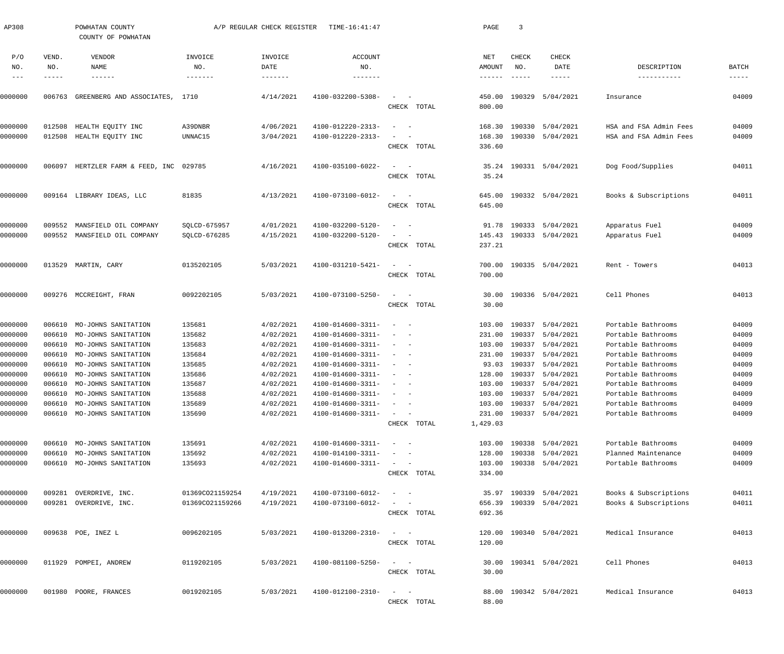| AP308      |                       | POWHATAN COUNTY<br>COUNTY OF POWHATAN   | A/P REGULAR CHECK REGISTER<br>TIME-16:41:47 |                                      |                                  |                                                                                       | PAGE                           | 3                             |                                       |                            |                   |  |
|------------|-----------------------|-----------------------------------------|---------------------------------------------|--------------------------------------|----------------------------------|---------------------------------------------------------------------------------------|--------------------------------|-------------------------------|---------------------------------------|----------------------------|-------------------|--|
| P/O<br>NO. | VEND.<br>NO.<br>----- | VENDOR<br>NAME<br>$- - - - - - -$       | INVOICE<br>NO.<br>-------                   | INVOICE<br>DATE<br>$- - - - - - - -$ | <b>ACCOUNT</b><br>NO.<br>------- |                                                                                       | NET<br>AMOUNT<br>$- - - - - -$ | CHECK<br>NO.<br>$- - - - - -$ | <b>CHECK</b><br>DATE<br>$- - - - - -$ | DESCRIPTION<br>----------- | BATCH<br>$------$ |  |
| 0000000    |                       | 006763 GREENBERG AND ASSOCIATES, 1710   |                                             | 4/14/2021                            | 4100-032200-5308-                | $\overline{\phantom{a}}$<br>CHECK TOTAL                                               | 450.00<br>800.00               |                               | 190329 5/04/2021                      | Insurance                  | 04009             |  |
| 0000000    | 012508                | HEALTH EQUITY INC                       | A39DNBR                                     | 4/06/2021                            | 4100-012220-2313-                | $\sim$ $-$                                                                            | 168.30                         |                               | 190330 5/04/2021                      | HSA and FSA Admin Fees     | 04009             |  |
| 0000000    |                       | 012508 HEALTH EQUITY INC                | UNNAC15                                     | 3/04/2021                            | 4100-012220-2313-                | CHECK TOTAL                                                                           | 168.30<br>336.60               |                               | 190330 5/04/2021                      | HSA and FSA Admin Fees     | 04009             |  |
| 0000000    |                       | 006097 HERTZLER FARM & FEED, INC 029785 |                                             | 4/16/2021                            | 4100-035100-6022-                | $\overline{\phantom{a}}$<br>$\sim$<br>CHECK TOTAL                                     | 35.24                          |                               | 35.24 190331 5/04/2021                | Dog Food/Supplies          | 04011             |  |
| 0000000    |                       | 009164 LIBRARY IDEAS, LLC               | 81835                                       | 4/13/2021                            | 4100-073100-6012-                | $\sim$<br>$\sim$ $-$<br>CHECK TOTAL                                                   | 645.00<br>645.00               |                               | 190332 5/04/2021                      | Books & Subscriptions      | 04011             |  |
| 0000000    |                       | 009552 MANSFIELD OIL COMPANY            | SQLCD-675957                                | 4/01/2021                            | 4100-032200-5120-                | $\sim$                                                                                |                                |                               | 91.78 190333 5/04/2021                | Apparatus Fuel             | 04009             |  |
| 0000000    |                       | 009552 MANSFIELD OIL COMPANY            | SQLCD-676285                                | 4/15/2021                            | 4100-032200-5120-                | CHECK TOTAL                                                                           | 237.21                         |                               | 145.43 190333 5/04/2021               | Apparatus Fuel             | 04009             |  |
| 0000000    |                       | 013529 MARTIN, CARY                     | 0135202105                                  | 5/03/2021                            | 4100-031210-5421-                | $\sim$<br>$\sim$ $-$<br>CHECK TOTAL                                                   | 700.00                         |                               | 700.00 190335 5/04/2021               | Rent - Towers              | 04013             |  |
| 0000000    |                       | 009276 MCCREIGHT, FRAN                  | 0092202105                                  | 5/03/2021                            | 4100-073100-5250-                | $\sim$<br>$\sim$ $-$<br>CHECK TOTAL                                                   | 30.00<br>30.00                 |                               | 190336 5/04/2021                      | Cell Phones                | 04013             |  |
| 0000000    |                       | 006610 MO-JOHNS SANITATION              | 135681                                      | 4/02/2021                            | 4100-014600-3311-                | $\sim$ $-$<br>$\hspace{0.1mm}-\hspace{0.1mm}$                                         |                                |                               | 103.00 190337 5/04/2021               | Portable Bathrooms         | 04009             |  |
| 0000000    |                       | 006610 MO-JOHNS SANITATION              | 135682                                      | 4/02/2021                            | 4100-014600-3311-                | $\sim$                                                                                |                                |                               | 231.00 190337 5/04/2021               | Portable Bathrooms         | 04009             |  |
| 0000000    |                       | 006610 MO-JOHNS SANITATION              | 135683                                      | 4/02/2021                            | 4100-014600-3311-                | $\sim$<br>$\sim$ $-$                                                                  | 103.00                         |                               | 190337 5/04/2021                      | Portable Bathrooms         | 04009             |  |
| 0000000    |                       | 006610 MO-JOHNS SANITATION              | 135684                                      | 4/02/2021                            | 4100-014600-3311-                | $\sim$<br>$\sim$ $-$                                                                  |                                |                               | 231.00 190337 5/04/2021               | Portable Bathrooms         | 04009             |  |
| 0000000    |                       | 006610 MO-JOHNS SANITATION              | 135685                                      | 4/02/2021                            | 4100-014600-3311-                | $\sim$                                                                                |                                |                               | 93.03 190337 5/04/2021                | Portable Bathrooms         | 04009             |  |
| 0000000    |                       | 006610 MO-JOHNS SANITATION              | 135686                                      | 4/02/2021                            | 4100-014600-3311-                |                                                                                       | 128.00                         |                               | 190337 5/04/2021                      | Portable Bathrooms         | 04009             |  |
| 0000000    |                       | 006610 MO-JOHNS SANITATION              | 135687                                      | 4/02/2021                            | 4100-014600-3311-                | $\sim$ $ \sim$ $ -$                                                                   |                                |                               | 103.00 190337 5/04/2021               | Portable Bathrooms         | 04009             |  |
| 0000000    |                       | 006610 MO-JOHNS SANITATION              | 135688                                      | 4/02/2021                            | 4100-014600-3311-                | $\alpha = 1, \ldots, n-1$                                                             |                                |                               | 103.00 190337 5/04/2021               | Portable Bathrooms         | 04009             |  |
| 0000000    |                       | 006610 MO-JOHNS SANITATION              | 135689                                      | 4/02/2021                            | 4100-014600-3311-                | $\alpha \rightarrow \alpha \beta \gamma \gamma \gamma \gamma \gamma \gamma \gamma$    |                                |                               | 103.00 190337 5/04/2021               | Portable Bathrooms         | 04009             |  |
| 0000000    |                       | 006610 MO-JOHNS SANITATION              | 135690                                      | 4/02/2021                            | 4100-014600-3311-                | $\alpha = 0.0000$<br>CHECK TOTAL                                                      | 1,429.03                       |                               | 231.00 190337 5/04/2021               | Portable Bathrooms         | 04009             |  |
| 0000000    |                       | 006610 MO-JOHNS SANITATION              | 135691                                      | 4/02/2021                            | 4100-014600-3311-                | $\alpha \rightarrow \alpha \beta \gamma \gamma \gamma \gamma \gamma \gamma \gamma$    |                                |                               | 103.00 190338 5/04/2021               | Portable Bathrooms         | 04009             |  |
| 0000000    |                       | 006610 MO-JOHNS SANITATION              | 135692                                      | 4/02/2021                            | 4100-014100-3311-                | $\alpha = 0.0000$                                                                     |                                |                               | 128.00 190338 5/04/2021               | Planned Maintenance        | 04009             |  |
| 0000000    |                       | 006610 MO-JOHNS SANITATION              | 135693                                      | 4/02/2021                            | 4100-014600-3311-                | $\alpha \rightarrow \beta \gamma$ and $\beta \rightarrow \beta \gamma$<br>CHECK TOTAL | 334.00                         |                               | 103.00 190338 5/04/2021               | Portable Bathrooms         | 04009             |  |
| 0000000    |                       | 009281 OVERDRIVE, INC.                  | 01369CO21159254                             | 4/19/2021                            | 4100-073100-6012-                | $\sim$ $-$                                                                            |                                |                               | 35.97 190339 5/04/2021                | Books & Subscriptions      | 04011             |  |
| 0000000    |                       | 009281 OVERDRIVE, INC.                  | 01369CO21159266                             | 4/19/2021                            | 4100-073100-6012-                | $\sim$ $ -$<br>CHECK TOTAL                                                            | 692.36                         |                               | 656.39 190339 5/04/2021               | Books & Subscriptions      | 04011             |  |
| 0000000    |                       | 009638 POE, INEZ L                      | 0096202105                                  | 5/03/2021                            | 4100-013200-2310-                | $\sim$ 100 $\sim$ $-$<br>CHECK TOTAL                                                  | 120.00<br>120.00               |                               | 190340 5/04/2021                      | Medical Insurance          | 04013             |  |
| 0000000    |                       | 011929 POMPEI, ANDREW                   | 0119202105                                  | 5/03/2021                            | 4100-081100-5250-                | $\sim$ 100 $\sim$ $-$<br>CHECK TOTAL                                                  | 30.00<br>30.00                 |                               | 190341 5/04/2021                      | Cell Phones                | 04013             |  |
| 0000000    |                       | 001980 POORE, FRANCES                   | 0019202105                                  | 5/03/2021                            | 4100-012100-2310-                | $\sim$ $-$<br>CHECK TOTAL                                                             | 88.00<br>88.00                 |                               | 190342 5/04/2021                      | Medical Insurance          | 04013             |  |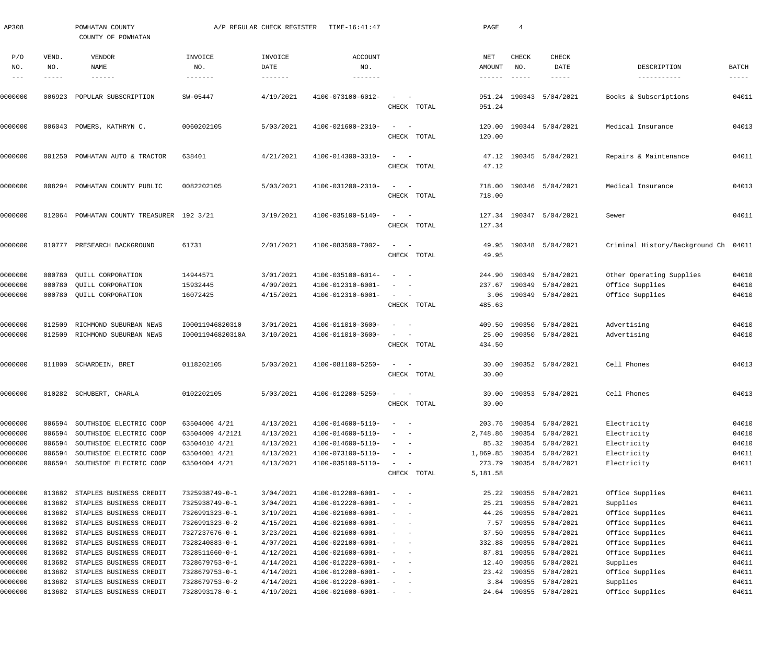|                    |                  | COUNTY OF POWHATAN                                 |                                  |                        |                                        |                                                                                                                                      |             |                  |                  |                        |                                             |                |
|--------------------|------------------|----------------------------------------------------|----------------------------------|------------------------|----------------------------------------|--------------------------------------------------------------------------------------------------------------------------------------|-------------|------------------|------------------|------------------------|---------------------------------------------|----------------|
| P/O<br>NO.         | VEND.<br>NO.     | VENDOR<br>NAME                                     | INVOICE<br>NO.                   | INVOICE<br>DATE        | <b>ACCOUNT</b><br>NO.                  |                                                                                                                                      |             | NET<br>AMOUNT    | CHECK<br>NO.     | CHECK<br>DATE          | DESCRIPTION                                 | BATCH          |
| $---$              | -----            | $- - - - - - -$                                    | -------                          | -------                | -------                                |                                                                                                                                      |             | $- - - - - -$    | $- - - - - -$    | -----                  | -----------                                 | $- - - - -$    |
| 0000000            | 006923           | POPULAR SUBSCRIPTION                               | SW-05447                         | 4/19/2021              | 4100-073100-6012-                      |                                                                                                                                      | CHECK TOTAL | 951.24<br>951.24 |                  | 190343 5/04/2021       | Books & Subscriptions                       | 04011          |
| 0000000            |                  | 006043 POWERS, KATHRYN C.                          | 0060202105                       | 5/03/2021              | 4100-021600-2310-                      | $\sim$                                                                                                                               | CHECK TOTAL | 120.00<br>120.00 |                  | 190344 5/04/2021       | Medical Insurance                           | 04013          |
| 0000000            | 001250           | POWHATAN AUTO & TRACTOR                            | 638401                           | 4/21/2021              | 4100-014300-3310-                      | $\sim$                                                                                                                               |             | 47.12            |                  | 190345 5/04/2021       | Repairs & Maintenance                       | 04011          |
|                    |                  |                                                    |                                  |                        |                                        |                                                                                                                                      | CHECK TOTAL | 47.12            |                  |                        |                                             |                |
| 0000000            | 008294           | POWHATAN COUNTY PUBLIC                             | 0082202105                       | 5/03/2021              | 4100-031200-2310-                      | $\overline{\phantom{a}}$                                                                                                             | CHECK TOTAL | 718.00<br>718.00 |                  | 190346 5/04/2021       | Medical Insurance                           | 04013          |
| 0000000            | 012064           | POWHATAN COUNTY TREASURER 192 3/21                 |                                  | 3/19/2021              | 4100-035100-5140-                      | $\overline{\phantom{a}}$                                                                                                             | CHECK TOTAL | 127.34<br>127.34 |                  | 190347 5/04/2021       | Sewer                                       | 04011          |
| 0000000            |                  | 010777 PRESEARCH BACKGROUND                        | 61731                            | 2/01/2021              | 4100-083500-7002-                      |                                                                                                                                      |             | 49.95            |                  | 190348 5/04/2021       | Criminal History/Background Ch 04011        |                |
|                    |                  |                                                    |                                  |                        |                                        |                                                                                                                                      | CHECK TOTAL | 49.95            |                  |                        |                                             |                |
| 0000000<br>0000000 | 000780<br>000780 | QUILL CORPORATION<br>QUILL CORPORATION             | 14944571<br>15932445             | 3/01/2021<br>4/09/2021 | 4100-035100-6014-<br>4100-012310-6001- | $\sim$                                                                                                                               |             | 244.90<br>237.67 | 190349<br>190349 | 5/04/2021<br>5/04/2021 | Other Operating Supplies<br>Office Supplies | 04010<br>04010 |
| 0000000            |                  | 000780 QUILL CORPORATION                           | 16072425                         | 4/15/2021              | 4100-012310-6001-                      | $\sim$ $-$                                                                                                                           | CHECK TOTAL | 3.06<br>485.63   |                  | 190349 5/04/2021       | Office Supplies                             | 04010          |
| 0000000            | 012509           | RICHMOND SUBURBAN NEWS                             | 100011946820310                  | 3/01/2021              | 4100-011010-3600-                      | $\sim$                                                                                                                               |             | 409.50           |                  | 190350 5/04/2021       | Advertising                                 | 04010          |
| 0000000            |                  | 012509 RICHMOND SUBURBAN NEWS                      | I00011946820310A                 | 3/10/2021              | 4100-011010-3600-                      |                                                                                                                                      | CHECK TOTAL | 25.00<br>434.50  |                  | 190350 5/04/2021       | Advertising                                 | 04010          |
| 0000000            |                  | 011800 SCHARDEIN, BRET                             | 0118202105                       | 5/03/2021              | 4100-081100-5250-                      | $\sim$                                                                                                                               | CHECK TOTAL | 30.00<br>30.00   |                  | 190352 5/04/2021       | Cell Phones                                 | 04013          |
| 0000000            |                  | 010282 SCHUBERT, CHARLA                            | 0102202105                       | 5/03/2021              | 4100-012200-5250-                      | $\sim$                                                                                                                               | CHECK TOTAL | 30.00            |                  | 30.00 190353 5/04/2021 | Cell Phones                                 | 04013          |
| 0000000            | 006594           | SOUTHSIDE ELECTRIC COOP                            | 63504006 4/21                    | 4/13/2021              | 4100-014600-5110-                      | $\overline{\phantom{a}}$<br>$\sim$ $-$                                                                                               |             | 203.76           |                  | 190354 5/04/2021       | Electricity                                 | 04010          |
| 0000000            | 006594           | SOUTHSIDE ELECTRIC COOP                            | 63504009 4/2121                  | 4/13/2021              | 4100-014600-5110-                      | $\sim$<br>$\sim$ $-$                                                                                                                 |             | 2,748.86         |                  | 190354 5/04/2021       | Electricity                                 | 04010          |
| 0000000            | 006594           | SOUTHSIDE ELECTRIC COOP                            | 63504010 4/21                    | 4/13/2021              | 4100-014600-5110-                      | $\sim$<br>$\sim$ $-$                                                                                                                 |             | 85.32            |                  | 190354 5/04/2021       | Electricity                                 | 04010          |
| 0000000            | 006594           | SOUTHSIDE ELECTRIC COOP                            | 63504001 4/21                    | 4/13/2021              | 4100-073100-5110-                      | $\sim$<br>$\sim$ $-$                                                                                                                 |             | 1,869.85         |                  | 190354 5/04/2021       | Electricity                                 | 04011          |
| 0000000            |                  | 006594 SOUTHSIDE ELECTRIC COOP                     | 63504004 4/21                    | 4/13/2021              | 4100-035100-5110-                      | $\overline{\phantom{a}}$<br>$\overline{\phantom{a}}$                                                                                 |             | 273.79           |                  | 190354 5/04/2021       | Electricity                                 | 04011          |
|                    |                  |                                                    |                                  |                        |                                        |                                                                                                                                      | CHECK TOTAL | 5,181.58         |                  |                        |                                             |                |
| 0000000            |                  | 013682 STAPLES BUSINESS CREDIT                     | 7325938749-0-1                   | 3/04/2021              | 4100-012200-6001-                      | $\overline{\phantom{a}}$<br>$\sim$                                                                                                   |             | 25.22            |                  | 190355 5/04/2021       | Office Supplies                             | 04011          |
| 0000000            | 013682           | STAPLES BUSINESS CREDIT                            | 7325938749-0-1                   | 3/04/2021              | 4100-012220-6001-                      | $\overline{\phantom{a}}$<br>$\sim$ $-$                                                                                               |             | 25.21            | 190355           | 5/04/2021              | Supplies                                    | 04011          |
| 0000000            |                  | 013682 STAPLES BUSINESS CREDIT                     | 7326991323-0-1                   | 3/19/2021              | 4100-021600-6001-                      | $\sim$ $  -$                                                                                                                         |             | 44.26            |                  | 190355 5/04/2021       | Office Supplies                             | 04011          |
| 0000000            |                  | 013682 STAPLES BUSINESS CREDIT                     | 7326991323-0-2                   | 4/15/2021              | 4100-021600-6001-                      | $\sim$<br>$\sim$ $-$                                                                                                                 |             | 7.57             |                  | 190355 5/04/2021       | Office Supplies                             | 04011          |
| 0000000            | 013682           | STAPLES BUSINESS CREDIT                            | 7327237676-0-1                   | 3/23/2021              | 4100-021600-6001-                      | $\sim$<br>$\sim$ $-$                                                                                                                 |             | 37.50            | 190355           | 5/04/2021              | Office Supplies                             | 04011          |
| 0000000            | 013682           | STAPLES BUSINESS CREDIT                            | 7328240883-0-1                   | 4/07/2021              | 4100-022100-6001-                      | $\sim$<br>$\sim$ $-$                                                                                                                 |             | 332.88           | 190355           | 5/04/2021              | Office Supplies                             | 04011          |
| 0000000            |                  | 013682 STAPLES BUSINESS CREDIT                     | 7328511660-0-1                   | 4/12/2021              | 4100-021600-6001-                      | $\sim$<br>$\overline{\phantom{0}}$                                                                                                   |             | 87.81            |                  | 190355 5/04/2021       | Office Supplies                             | 04011          |
| 0000000            | 013682           | STAPLES BUSINESS CREDIT                            | 7328679753-0-1                   | 4/14/2021<br>4/14/2021 | 4100-012220-6001-                      | $\sim$<br>$\sim$ $-$                                                                                                                 |             | 12.40<br>23.42   | 190355<br>190355 | 5/04/2021<br>5/04/2021 | Supplies<br>Office Supplies                 | 04011<br>04011 |
| 0000000<br>0000000 | 013682<br>013682 | STAPLES BUSINESS CREDIT<br>STAPLES BUSINESS CREDIT | 7328679753-0-1<br>7328679753-0-2 | 4/14/2021              | 4100-012200-6001-<br>4100-012220-6001- | $\frac{1}{2} \left( \frac{1}{2} \right) \left( \frac{1}{2} \right) = \frac{1}{2} \left( \frac{1}{2} \right)$<br>$\sim$<br>$\sim$ $-$ |             | 3.84             |                  | 190355 5/04/2021       | Supplies                                    | 04011          |
| 0000000            |                  | 013682 STAPLES BUSINESS CREDIT                     | 7328993178-0-1                   | 4/19/2021              | 4100-021600-6001-                      | $\frac{1}{2}$ and $\frac{1}{2}$ and $\frac{1}{2}$                                                                                    |             |                  |                  | 24.64 190355 5/04/2021 | Office Supplies                             | 04011          |
|                    |                  |                                                    |                                  |                        |                                        |                                                                                                                                      |             |                  |                  |                        |                                             |                |

AP308 POWHATAN COUNTY A/P REGULAR CHECK REGISTER TIME-16:41:47 PAGE 4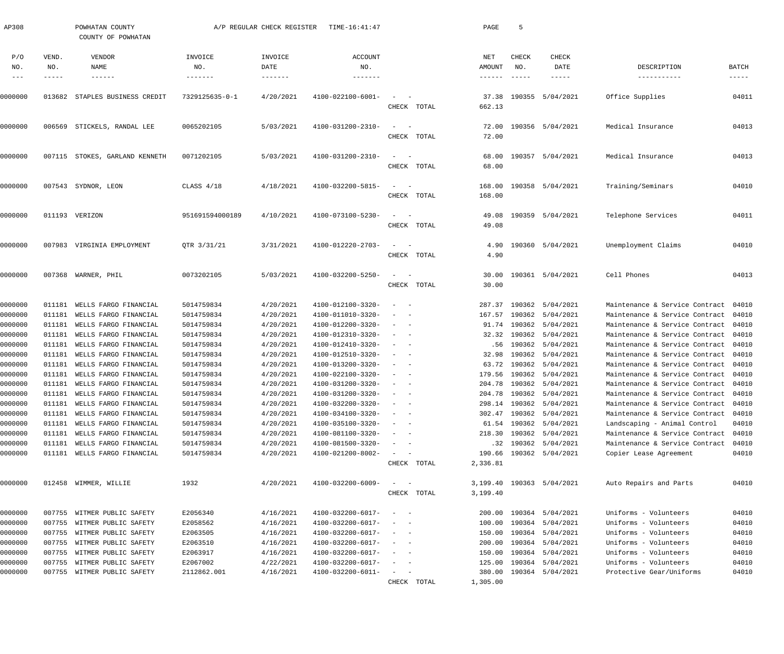| AP308      |              | POWHATAN COUNTY<br>COUNTY OF POWHATAN | A/P REGULAR CHECK REGISTER<br>TIME-16:41:47 |                            |                                  | PAGE                                              | 5                  |                               |                         |                                      |                      |
|------------|--------------|---------------------------------------|---------------------------------------------|----------------------------|----------------------------------|---------------------------------------------------|--------------------|-------------------------------|-------------------------|--------------------------------------|----------------------|
| P/O<br>NO. | VEND.<br>NO. | VENDOR<br>NAME<br>$- - - - - - -$     | INVOICE<br>NO.<br>-------                   | INVOICE<br>DATE<br>------- | <b>ACCOUNT</b><br>NO.<br>------- |                                                   | NET<br>AMOUNT      | CHECK<br>NO.<br>$- - - - - -$ | CHECK<br>DATE<br>-----  | DESCRIPTION<br>-----------           | BATCH<br>$- - - - -$ |
| 0000000    |              | 013682 STAPLES BUSINESS CREDIT        | 7329125635-0-1                              | 4/20/2021                  | 4100-022100-6001-                | CHECK TOTAL                                       | 37.38<br>662.13    |                               | 190355 5/04/2021        | Office Supplies                      | 04011                |
| 0000000    |              | 006569 STICKELS, RANDAL LEE           | 0065202105                                  | 5/03/2021                  | 4100-031200-2310-                | CHECK TOTAL                                       | 72.00<br>72.00     |                               | 190356 5/04/2021        | Medical Insurance                    | 04013                |
| 0000000    |              | 007115 STOKES, GARLAND KENNETH        | 0071202105                                  | 5/03/2021                  | 4100-031200-2310-                | CHECK TOTAL                                       | 68.00<br>68.00     |                               | 190357 5/04/2021        | Medical Insurance                    | 04013                |
| 0000000    |              | 007543 SYDNOR, LEON                   | CLASS 4/18                                  | 4/18/2021                  | 4100-032200-5815-                | $\overline{\phantom{a}}$<br>CHECK TOTAL           | 168.00<br>168.00   |                               | 190358 5/04/2021        | Training/Seminars                    | 04010                |
| 0000000    |              | 011193 VERIZON                        | 951691594000189                             | 4/10/2021                  | 4100-073100-5230-                | CHECK TOTAL                                       | 49.08<br>49.08     |                               | 190359 5/04/2021        | Telephone Services                   | 04011                |
| 0000000    |              | 007983 VIRGINIA EMPLOYMENT            | QTR 3/31/21                                 | 3/31/2021                  | 4100-012220-2703-                | $\overline{\phantom{a}}$<br>CHECK TOTAL           | 4.90<br>4.90       |                               | 190360 5/04/2021        | Unemployment Claims                  | 04010                |
| 0000000    |              | 007368 WARNER, PHIL                   | 0073202105                                  | 5/03/2021                  | 4100-032200-5250-                | $\sim$ $-$<br>CHECK TOTAL                         | 30.00<br>30.00     |                               | 190361 5/04/2021        | Cell Phones                          | 04013                |
| 0000000    |              | 011181 WELLS FARGO FINANCIAL          | 5014759834                                  | 4/20/2021                  | 4100-012100-3320-                | $\sim$                                            |                    |                               | 287.37 190362 5/04/2021 | Maintenance & Service Contract       | 04010                |
| 0000000    | 011181       | WELLS FARGO FINANCIAL                 | 5014759834                                  | 4/20/2021                  | 4100-011010-3320-                |                                                   |                    |                               | 167.57 190362 5/04/2021 | Maintenance & Service Contract       | 04010                |
| 0000000    | 011181       | WELLS FARGO FINANCIAL                 | 5014759834                                  | 4/20/2021                  | 4100-012200-3320-                |                                                   |                    |                               | 91.74 190362 5/04/2021  | Maintenance & Service Contract       | 04010                |
| 0000000    | 011181       | WELLS FARGO FINANCIAL                 | 5014759834                                  | 4/20/2021                  | 4100-012310-3320-                |                                                   |                    |                               | 32.32 190362 5/04/2021  | Maintenance & Service Contract       | 04010                |
| 0000000    | 011181       | WELLS FARGO FINANCIAL                 | 5014759834                                  | 4/20/2021                  | 4100-012410-3320-                |                                                   | .56                |                               | 190362 5/04/2021        | Maintenance & Service Contract       | 04010                |
| 0000000    | 011181       | WELLS FARGO FINANCIAL                 | 5014759834                                  | 4/20/2021                  | 4100-012510-3320-                |                                                   | 32.98              |                               | 190362 5/04/2021        | Maintenance & Service Contract       | 04010                |
| 0000000    | 011181       | WELLS FARGO FINANCIAL                 | 5014759834                                  | 4/20/2021                  | 4100-013200-3320-                |                                                   | 63.72              |                               | 190362 5/04/2021        | Maintenance & Service Contract       | 04010                |
| 0000000    | 011181       | WELLS FARGO FINANCIAL                 | 5014759834                                  | 4/20/2021                  | 4100-022100-3320-                |                                                   | 179.56             |                               | 190362 5/04/2021        | Maintenance & Service Contract       | 04010                |
| 0000000    |              | 011181 WELLS FARGO FINANCIAL          | 5014759834                                  | 4/20/2021                  | 4100-031200-3320-                |                                                   |                    |                               | 204.78 190362 5/04/2021 | Maintenance & Service Contract 04010 |                      |
| 0000000    | 011181       | WELLS FARGO FINANCIAL                 | 5014759834                                  | 4/20/2021                  | 4100-031200-3320-                |                                                   |                    | 204.78 190362                 | 5/04/2021               | Maintenance & Service Contract       | 04010                |
| 0000000    | 011181       | WELLS FARGO FINANCIAL                 | 5014759834                                  | 4/20/2021                  | 4100-032200-3320-                | $\overline{\phantom{a}}$                          |                    |                               | 298.14 190362 5/04/2021 | Maintenance & Service Contract       | 04010                |
| 0000000    | 011181       | WELLS FARGO FINANCIAL                 | 5014759834                                  | 4/20/2021                  | 4100-034100-3320-                | $\overline{\phantom{a}}$<br>$\sim$                |                    |                               | 302.47 190362 5/04/2021 | Maintenance & Service Contract       | 04010                |
| 0000000    | 011181       | WELLS FARGO FINANCIAL                 | 5014759834                                  | 4/20/2021                  | 4100-035100-3320-                | $\sim$<br>$\sim$ $-$                              |                    |                               | 61.54 190362 5/04/2021  | Landscaping - Animal Control         | 04010                |
| 0000000    | 011181       | WELLS FARGO FINANCIAL                 | 5014759834                                  | 4/20/2021                  | 4100-081100-3320-                | $\sim$<br>$\overline{\phantom{0}}$                | 218.30             |                               | 190362 5/04/2021        | Maintenance & Service Contract       | 04010                |
| 0000000    | 011181       | WELLS FARGO FINANCIAL                 | 5014759834                                  | 4/20/2021                  | 4100-081500-3320-                | $\sim$<br>$\sim$                                  | .32                |                               | 190362 5/04/2021        | Maintenance & Service Contract       | 04010                |
| 0000000    |              | 011181 WELLS FARGO FINANCIAL          | 5014759834                                  | 4/20/2021                  | 4100-021200-8002-                | $\sim$<br>$\overline{\phantom{a}}$<br>CHECK TOTAL | 190.66<br>2,336.81 |                               | 190362 5/04/2021        | Copier Lease Agreement               | 04010                |
| 0000000    |              | 012458 WIMMER, WILLIE                 | 1932                                        | 4/20/2021                  | 4100-032200-6009-                |                                                   | 3,199.40           |                               | 190363 5/04/2021        | Auto Repairs and Parts               | 04010                |
|            |              |                                       |                                             |                            |                                  | CHECK TOTAL                                       | 3,199.40           |                               |                         |                                      |                      |
| 0000000    |              | 007755 WITMER PUBLIC SAFETY           | E2056340                                    | 4/16/2021                  | 4100-032200-6017-                | $\sim$                                            | 200.00             |                               | 190364 5/04/2021        | Uniforms - Volunteers                | 04010                |
| 0000000    |              | 007755 WITMER PUBLIC SAFETY           | E2058562                                    | 4/16/2021                  | 4100-032200-6017-                | $\sim$<br>$\overline{\phantom{0}}$                | 100.00             |                               | 190364 5/04/2021        | Uniforms - Volunteers                | 04010                |
| 0000000    |              | 007755 WITMER PUBLIC SAFETY           | E2063505                                    | 4/16/2021                  | 4100-032200-6017-                | $\sim$<br>$\sim$ $-$                              | 150.00             |                               | 190364 5/04/2021        | Uniforms - Volunteers                | 04010                |
| 0000000    |              | 007755 WITMER PUBLIC SAFETY           | E2063510                                    | 4/16/2021                  | 4100-032200-6017-                | $\sim$<br>$\sim$                                  | 200.00             |                               | 190364 5/04/2021        | Uniforms - Volunteers                | 04010                |
| 0000000    |              | 007755 WITMER PUBLIC SAFETY           | E2063917                                    | 4/16/2021                  | 4100-032200-6017-                | $\sim$<br>$\overline{\phantom{0}}$                | 150.00             |                               | 190364 5/04/2021        | Uniforms - Volunteers                | 04010                |
| 0000000    |              | 007755 WITMER PUBLIC SAFETY           | E2067002                                    | 4/22/2021                  | 4100-032200-6017-                | $\sim$                                            | 125.00             |                               | 190364 5/04/2021        | Uniforms - Volunteers                | 04010                |
| 0000000    |              | 007755 WITMER PUBLIC SAFETY           | 2112862.001                                 | 4/16/2021                  | 4100-032200-6011-                | $\equiv$<br>$\sim$                                | 380.00             |                               | 190364 5/04/2021        | Protective Gear/Uniforms             | 04010                |
|            |              |                                       |                                             |                            |                                  | CHECK TOTAL                                       | 1,305.00           |                               |                         |                                      |                      |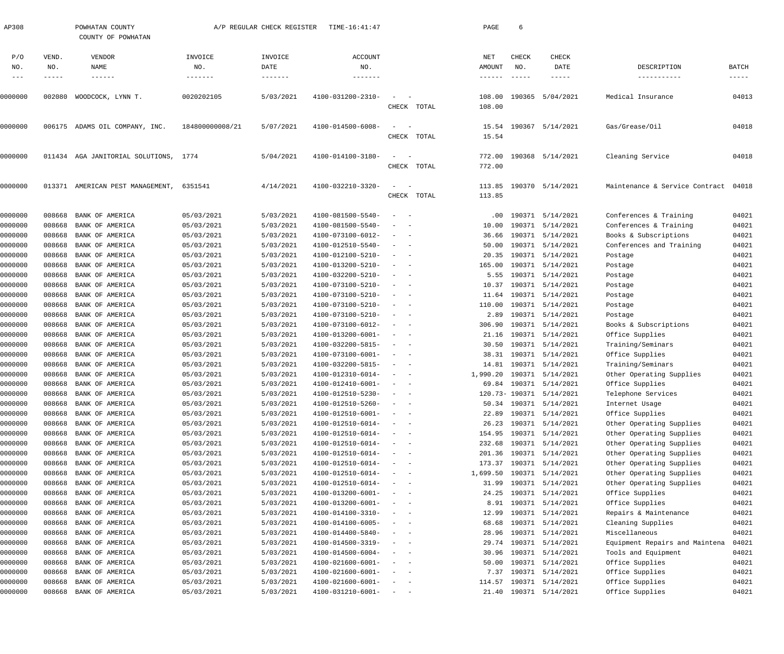| AP308                       |                       | POWHATAN COUNTY<br>COUNTY OF POWHATAN | A/P REGULAR CHECK REGISTER<br>TIME-16:41:47 |                        |                                        |                                                                                                              |             | PAGE                    | 6                             |                                            |                                                 |                               |  |  |
|-----------------------------|-----------------------|---------------------------------------|---------------------------------------------|------------------------|----------------------------------------|--------------------------------------------------------------------------------------------------------------|-------------|-------------------------|-------------------------------|--------------------------------------------|-------------------------------------------------|-------------------------------|--|--|
| P/O<br>NO.<br>$\frac{1}{2}$ | VEND.<br>NO.<br>----- | VENDOR<br>NAME<br>$- - - - - - -$     | INVOICE<br>NO.<br>-------                   | INVOICE<br>DATE        | <b>ACCOUNT</b><br>NO.<br>-------       |                                                                                                              |             | NET<br>AMOUNT<br>------ | CHECK<br>NO.<br>$- - - - - -$ | CHECK<br>DATE<br>$- - - - - -$             | DESCRIPTION<br>-----------                      | BATCH<br>$\cdots\cdots\cdots$ |  |  |
| 0000000                     | 002080                | WOODCOCK, LYNN T.                     | 0020202105                                  | 5/03/2021              | 4100-031200-2310-                      | $\sim$                                                                                                       | CHECK TOTAL | 108.00<br>108.00        |                               | 190365 5/04/2021                           | Medical Insurance                               | 04013                         |  |  |
| 0000000                     |                       | 006175 ADAMS OIL COMPANY, INC.        | 184800000008/21                             | 5/07/2021              | 4100-014500-6008-                      | $\sim$<br>$\sim$                                                                                             | CHECK TOTAL | 15.54<br>15.54          |                               | 190367 5/14/2021                           | Gas/Grease/Oil                                  | 04018                         |  |  |
| 0000000                     |                       | 011434 AGA JANITORIAL SOLUTIONS, 1774 |                                             | 5/04/2021              | 4100-014100-3180-                      | $\sim$                                                                                                       | CHECK TOTAL | 772.00<br>772.00        |                               | 190368 5/14/2021                           | Cleaning Service                                | 04018                         |  |  |
| 0000000                     |                       | 013371 AMERICAN PEST MANAGEMENT,      | 6351541                                     | 4/14/2021              | 4100-032210-3320-                      | $\sim$                                                                                                       | CHECK TOTAL | 113.85<br>113.85        |                               | 190370 5/14/2021                           | Maintenance & Service Contract                  | 04018                         |  |  |
| 0000000                     | 008668                | BANK OF AMERICA                       | 05/03/2021                                  | 5/03/2021              | 4100-081500-5540-                      | $\sim$<br>$\sim$ $-$                                                                                         |             | .00                     |                               | 190371 5/14/2021                           | Conferences & Training                          | 04021                         |  |  |
| 0000000<br>0000000          | 008668<br>008668      | BANK OF AMERICA<br>BANK OF AMERICA    | 05/03/2021<br>05/03/2021                    | 5/03/2021<br>5/03/2021 | 4100-081500-5540-<br>4100-073100-6012- | $\sim$<br>$\sim$<br>$\sim$                                                                                   |             | 10.00<br>36.66          |                               | 190371 5/14/2021<br>190371 5/14/2021       | Conferences & Training<br>Books & Subscriptions | 04021<br>04021                |  |  |
| 0000000                     | 008668                | BANK OF AMERICA                       | 05/03/2021                                  | 5/03/2021              | 4100-012510-5540-                      | $\sim$<br>$\sim$                                                                                             |             | 50.00                   |                               | 190371 5/14/2021                           | Conferences and Training                        | 04021                         |  |  |
| 0000000                     | 008668                | BANK OF AMERICA                       | 05/03/2021                                  | 5/03/2021              | 4100-012100-5210-                      | $\sim$                                                                                                       |             | 20.35                   |                               | 190371 5/14/2021                           | Postage                                         | 04021                         |  |  |
| 0000000                     | 008668                | BANK OF AMERICA                       | 05/03/2021                                  | 5/03/2021              | 4100-013200-5210-                      | $\sim$                                                                                                       |             | 165.00                  |                               | 190371 5/14/2021                           | Postage                                         | 04021                         |  |  |
| 0000000                     | 008668                | BANK OF AMERICA                       | 05/03/2021                                  | 5/03/2021              | 4100-032200-5210-                      | $\sim$<br>$\sim$                                                                                             |             | 5.55                    |                               | 190371 5/14/2021                           | Postage                                         | 04021                         |  |  |
| 0000000                     | 008668                | BANK OF AMERICA                       | 05/03/2021                                  | 5/03/2021              | 4100-073100-5210-                      | $\sim$                                                                                                       |             | 10.37                   |                               | 190371 5/14/2021                           | Postage                                         | 04021                         |  |  |
| 0000000                     | 008668                | BANK OF AMERICA                       | 05/03/2021                                  | 5/03/2021              | 4100-073100-5210-                      | $\sim$<br>$\sim$                                                                                             |             | 11.64                   |                               | 190371 5/14/2021                           | Postage                                         | 04021                         |  |  |
| 0000000                     | 008668                | BANK OF AMERICA                       | 05/03/2021                                  | 5/03/2021              | 4100-073100-5210-                      | $\sim$                                                                                                       |             | 110.00                  |                               | 190371 5/14/2021                           | Postage                                         | 04021                         |  |  |
| 0000000                     | 008668                | BANK OF AMERICA                       | 05/03/2021                                  | 5/03/2021              | 4100-073100-5210-                      | $\sim$                                                                                                       |             | 2.89                    |                               | 190371 5/14/2021                           | Postage                                         | 04021                         |  |  |
| 0000000                     | 008668                | BANK OF AMERICA                       | 05/03/2021                                  | 5/03/2021              | 4100-073100-6012-                      | $\sim$<br>$\sim$                                                                                             |             | 306.90                  |                               | 190371 5/14/2021                           | Books & Subscriptions                           | 04021                         |  |  |
| 0000000                     | 008668                | BANK OF AMERICA                       | 05/03/2021                                  | 5/03/2021              | 4100-013200-6001-                      | $\sim$                                                                                                       |             | 21.16                   |                               | 190371 5/14/2021                           | Office Supplies                                 | 04021                         |  |  |
| 0000000                     | 008668                | BANK OF AMERICA                       | 05/03/2021                                  | 5/03/2021              | 4100-032200-5815-                      | $\sim$<br>$\sim$                                                                                             |             | 30.50                   |                               | 190371 5/14/2021                           | Training/Seminars                               | 04021                         |  |  |
| 0000000                     | 008668                | BANK OF AMERICA                       | 05/03/2021                                  | 5/03/2021              | 4100-073100-6001-                      | $\sim$<br>- -                                                                                                |             | 38.31                   |                               | 190371 5/14/2021                           | Office Supplies                                 | 04021                         |  |  |
| 0000000                     | 008668                | BANK OF AMERICA                       | 05/03/2021                                  | 5/03/2021              | 4100-032200-5815-                      | $\sim$<br>$\sim$                                                                                             |             | 14.81                   |                               | 190371 5/14/2021                           | Training/Seminars                               | 04021                         |  |  |
| 0000000                     | 008668                | BANK OF AMERICA                       | 05/03/2021                                  | 5/03/2021              | 4100-012310-6014-                      | $\overline{\phantom{a}}$                                                                                     |             | 1,990.20                |                               | 190371 5/14/2021                           | Other Operating Supplies                        | 04021                         |  |  |
| 0000000                     | 008668                | BANK OF AMERICA                       | 05/03/2021                                  | 5/03/2021              | 4100-012410-6001-                      | $\sim$ $\sim$                                                                                                |             |                         |                               | 69.84 190371 5/14/2021                     | Office Supplies                                 | 04021                         |  |  |
| 0000000                     | 008668                | BANK OF AMERICA                       | 05/03/2021                                  | 5/03/2021              | 4100-012510-5230-                      | $\sim$ $-$                                                                                                   |             |                         | 120.73- 190371                | 5/14/2021                                  | Telephone Services                              | 04021                         |  |  |
| 0000000<br>0000000          | 008668<br>008668      | BANK OF AMERICA<br>BANK OF AMERICA    | 05/03/2021<br>05/03/2021                    | 5/03/2021<br>5/03/2021 | 4100-012510-5260-<br>4100-012510-6001- | $\overline{\phantom{a}}$<br>$\overline{\phantom{0}}$                                                         |             | 22.89                   |                               | 50.34 190371 5/14/2021<br>190371 5/14/2021 | Internet Usage<br>Office Supplies               | 04021<br>04021                |  |  |
| 0000000                     | 008668                | BANK OF AMERICA                       | 05/03/2021                                  | 5/03/2021              | 4100-012510-6014-                      | $\sim$<br>$\overline{\phantom{0}}$                                                                           |             | 26.23                   |                               | 190371 5/14/2021                           | Other Operating Supplies                        | 04021                         |  |  |
| 0000000                     | 008668                | BANK OF AMERICA                       | 05/03/2021                                  | 5/03/2021              | 4100-012510-6014-                      | $\overline{\phantom{a}}$<br>$\overline{\phantom{0}}$                                                         |             | 154.95                  |                               | 190371 5/14/2021                           | Other Operating Supplies                        | 04021                         |  |  |
| 0000000                     | 008668                | BANK OF AMERICA                       | 05/03/2021                                  | 5/03/2021              | 4100-012510-6014-                      | $\overline{\phantom{a}}$<br>$\overline{\phantom{0}}$                                                         |             | 232.68                  |                               | 190371 5/14/2021                           | Other Operating Supplies                        | 04021                         |  |  |
| 0000000                     | 008668                | BANK OF AMERICA                       | 05/03/2021                                  | 5/03/2021              | 4100-012510-6014-                      | $\overline{\phantom{a}}$<br>$\overline{\phantom{0}}$                                                         |             | 201.36                  |                               | 190371 5/14/2021                           | Other Operating Supplies                        | 04021                         |  |  |
| 0000000                     | 008668                | BANK OF AMERICA                       | 05/03/2021                                  | 5/03/2021              | 4100-012510-6014-                      | $\overline{\phantom{a}}$<br>$\overline{\phantom{0}}$                                                         |             | 173.37                  |                               | 190371 5/14/2021                           | Other Operating Supplies                        | 04021                         |  |  |
| 0000000                     | 008668                | BANK OF AMERICA                       | 05/03/2021                                  | 5/03/2021              | 4100-012510-6014-                      | $\overline{\phantom{m}}$<br>$\overline{\phantom{0}}$                                                         |             | 1,699.50                |                               | 190371 5/14/2021                           | Other Operating Supplies                        | 04021                         |  |  |
| 0000000                     | 008668                | BANK OF AMERICA                       | 05/03/2021                                  | 5/03/2021              | 4100-012510-6014-                      | $\overline{\phantom{a}}$<br>$\sim$ $-$                                                                       |             | 31.99                   |                               | 190371 5/14/2021                           | Other Operating Supplies                        | 04021                         |  |  |
| 0000000                     | 008668                | BANK OF AMERICA                       | 05/03/2021                                  | 5/03/2021              | 4100-013200-6001-                      | $\sim$<br>$\sim$ $-$                                                                                         |             | 24.25                   |                               | 190371 5/14/2021                           | Office Supplies                                 | 04021                         |  |  |
| 0000000                     | 008668                | BANK OF AMERICA                       | 05/03/2021                                  | 5/03/2021              | 4100-013200-6001-                      | $\sim$<br>$\sim$ $-$                                                                                         |             | 8.91                    |                               | 190371 5/14/2021                           | Office Supplies                                 | 04021                         |  |  |
| 0000000                     | 008668                | BANK OF AMERICA                       | 05/03/2021                                  | 5/03/2021              | 4100-014100-3310-                      | $\overline{\phantom{a}}$<br>$\overline{\phantom{0}}$                                                         |             | 12.99                   |                               | 190371 5/14/2021                           | Repairs & Maintenance                           | 04021                         |  |  |
| 0000000                     | 008668                | BANK OF AMERICA                       | 05/03/2021                                  | 5/03/2021              | 4100-014100-6005-                      | $\overline{\phantom{a}}$<br>$\overline{\phantom{0}}$                                                         |             | 68.68                   |                               | 190371 5/14/2021                           | Cleaning Supplies                               | 04021                         |  |  |
| 0000000                     | 008668                | BANK OF AMERICA                       | 05/03/2021                                  | 5/03/2021              | 4100-014400-5840-                      | $\overline{\phantom{a}}$<br>$\overline{\phantom{0}}$                                                         |             | 28.96                   |                               | 190371 5/14/2021                           | Miscellaneous                                   | 04021                         |  |  |
| 0000000                     | 008668                | BANK OF AMERICA                       | 05/03/2021                                  | 5/03/2021              | 4100-014500-3319-                      | $\overline{\phantom{a}}$<br>$\overline{\phantom{0}}$                                                         |             | 29.74                   |                               | 190371 5/14/2021                           | Equipment Repairs and Maintena                  | 04021                         |  |  |
| 0000000                     | 008668                | BANK OF AMERICA                       | 05/03/2021                                  | 5/03/2021              | 4100-014500-6004-                      | $\sim$<br>$\overline{\phantom{0}}$                                                                           |             | 30.96                   |                               | 190371 5/14/2021                           | Tools and Equipment                             | 04021                         |  |  |
| 0000000                     | 008668                | BANK OF AMERICA                       | 05/03/2021                                  | 5/03/2021              | 4100-021600-6001-                      | $\sim$<br>$\sim$ $-$                                                                                         |             | 50.00                   |                               | 190371 5/14/2021                           | Office Supplies                                 | 04021                         |  |  |
| 0000000                     | 008668                | BANK OF AMERICA                       | 05/03/2021                                  | 5/03/2021              | 4100-021600-6001-                      | $\frac{1}{2} \left( \frac{1}{2} \right) \left( \frac{1}{2} \right) = \frac{1}{2} \left( \frac{1}{2} \right)$ |             | 7.37                    |                               | 190371 5/14/2021                           | Office Supplies                                 | 04021                         |  |  |
| 0000000                     | 008668                | BANK OF AMERICA                       | 05/03/2021                                  | 5/03/2021              | 4100-021600-6001-                      | $\sim$<br>$\sim$ $-$                                                                                         |             | 114.57                  |                               | 190371 5/14/2021                           | Office Supplies                                 | 04021                         |  |  |
| 0000000                     | 008668                | BANK OF AMERICA                       | 05/03/2021                                  | 5/03/2021              | 4100-031210-6001-                      | $\mathcal{L}_{\text{max}}$ , and $\mathcal{L}_{\text{max}}$                                                  |             |                         |                               | 21.40 190371 5/14/2021                     | Office Supplies                                 | 04021                         |  |  |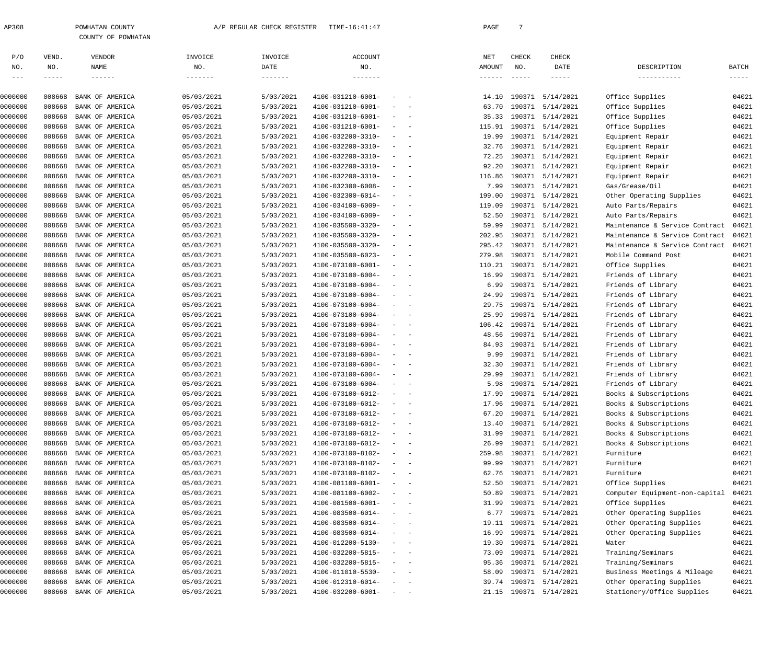| 2308 | POWHATAN COUNTY |                    |
|------|-----------------|--------------------|
|      |                 | COUNTY OF POWHATAN |

| P/O        | VEND.      | VENDOR                 | INVOICE    | INVOICE   | <b>ACCOUNT</b>               |                                                         |                          | NET             | CHECK  | CHECK                  |                                |          |
|------------|------------|------------------------|------------|-----------|------------------------------|---------------------------------------------------------|--------------------------|-----------------|--------|------------------------|--------------------------------|----------|
| NO.        | NO.        | NAME                   | NO.        | DATE      | NO.                          |                                                         |                          | AMOUNT          | NO.    | DATE                   | DESCRIPTION                    | BATCH    |
| $--\,$ $-$ | $-- - - -$ | $- - - - - - -$        | -------    | -------   | $- - - - - - - -$            |                                                         |                          | $- - - - - - -$ |        | $- - - - -$            | -----------                    | $------$ |
| 0000000    | 008668     | BANK OF AMERICA        | 05/03/2021 | 5/03/2021 | 4100-031210-6001-            |                                                         |                          | 14.10           | 190371 | 5/14/2021              | Office Supplies                | 04021    |
| 0000000    | 008668     | BANK OF AMERICA        | 05/03/2021 | 5/03/2021 | 4100-031210-6001-            |                                                         |                          | 63.70           | 190371 | 5/14/2021              | Office Supplies                | 04021    |
| 0000000    | 008668     | BANK OF AMERICA        | 05/03/2021 | 5/03/2021 | 4100-031210-6001-            | $\overline{\phantom{a}}$                                | $\overline{\phantom{0}}$ | 35.33           | 190371 | 5/14/2021              | Office Supplies                | 04021    |
| 0000000    | 008668     | BANK OF AMERICA        | 05/03/2021 | 5/03/2021 | 4100-031210-6001-            | $\overline{\phantom{a}}$                                |                          | 115.91          | 190371 | 5/14/2021              | Office Supplies                | 04021    |
| 0000000    | 008668     | BANK OF AMERICA        | 05/03/2021 | 5/03/2021 | 4100-032200-3310-            | $\overline{\phantom{a}}$                                | $\overline{\phantom{0}}$ | 19.99           |        | 190371 5/14/2021       | Equipment Repair               | 04021    |
| 0000000    | 008668     | BANK OF AMERICA        | 05/03/2021 | 5/03/2021 | 4100-032200-3310-            | $\overline{\phantom{a}}$                                |                          | 32.76           | 190371 | 5/14/2021              | Equipment Repair               | 04021    |
| 0000000    | 008668     | BANK OF AMERICA        | 05/03/2021 | 5/03/2021 | 4100-032200-3310-            | $\overline{\phantom{a}}$                                |                          | 72.25           | 190371 | 5/14/2021              | Equipment Repair               | 04021    |
| 0000000    | 008668     | BANK OF AMERICA        | 05/03/2021 | 5/03/2021 | 4100-032200-3310-            | $\overline{\phantom{a}}$                                | $\overline{\phantom{a}}$ | 92.20           | 190371 | 5/14/2021              | Equipment Repair               | 04021    |
| 0000000    | 008668     | BANK OF AMERICA        | 05/03/2021 | 5/03/2021 | 4100-032200-3310-            | $\overline{\phantom{a}}$                                |                          | 116.86          | 190371 | 5/14/2021              | Equipment Repair               | 04021    |
| 0000000    | 008668     | BANK OF AMERICA        | 05/03/2021 | 5/03/2021 | 4100-032300-6008-            | $\overline{\phantom{a}}$                                | $\sim$                   | 7.99            |        | 190371 5/14/2021       | Gas/Grease/Oil                 | 04021    |
| 0000000    | 008668     | BANK OF AMERICA        | 05/03/2021 | 5/03/2021 | 4100-032300-6014-            | $\overline{\phantom{a}}$                                | $\overline{\phantom{a}}$ | 199.00          | 190371 | 5/14/2021              | Other Operating Supplies       | 04021    |
| 0000000    | 008668     | BANK OF AMERICA        | 05/03/2021 | 5/03/2021 | 4100-034100-6009-            | $\overline{\phantom{a}}$                                |                          | 119.09          | 190371 | 5/14/2021              | Auto Parts/Repairs             | 04021    |
| 0000000    | 008668     | BANK OF AMERICA        | 05/03/2021 | 5/03/2021 | 4100-034100-6009-            | $\overline{\phantom{a}}$                                | $\overline{\phantom{0}}$ | 52.50           | 190371 | 5/14/2021              | Auto Parts/Repairs             | 04021    |
| 0000000    | 008668     | BANK OF AMERICA        | 05/03/2021 | 5/03/2021 | 4100-035500-3320-            | $\overline{\phantom{a}}$                                | $\overline{\phantom{0}}$ | 59.99           | 190371 | 5/14/2021              | Maintenance & Service Contract | 04021    |
| 0000000    | 008668     | BANK OF AMERICA        | 05/03/2021 | 5/03/2021 | 4100-035500-3320-            | $\overline{\phantom{a}}$                                | $\sim$                   | 202.95          | 190371 | 5/14/2021              | Maintenance & Service Contract | 04021    |
| 0000000    | 008668     | BANK OF AMERICA        | 05/03/2021 | 5/03/2021 | 4100-035500-3320-            | $\overline{\phantom{a}}$                                | $\overline{\phantom{0}}$ | 295.42          | 190371 | 5/14/2021              | Maintenance & Service Contract | 04021    |
| 0000000    | 008668     | BANK OF AMERICA        | 05/03/2021 | 5/03/2021 | 4100-035500-6023-            | $\overline{\phantom{a}}$                                |                          | 279.98          | 190371 | 5/14/2021              | Mobile Command Post            | 04021    |
| 0000000    | 008668     | BANK OF AMERICA        | 05/03/2021 | 5/03/2021 | 4100-073100-6001-            | $\overline{\phantom{a}}$                                | $\sim$                   | 110.21          | 190371 | 5/14/2021              | Office Supplies                | 04021    |
| 0000000    | 008668     | BANK OF AMERICA        | 05/03/2021 | 5/03/2021 | 4100-073100-6004-            | $\overline{\phantom{a}}$                                | $\overline{\phantom{0}}$ | 16.99           | 190371 | 5/14/2021              | Friends of Library             | 04021    |
| 0000000    | 008668     | BANK OF AMERICA        | 05/03/2021 | 5/03/2021 | 4100-073100-6004-            | $\overline{\phantom{a}}$                                |                          | 6.99            | 190371 | 5/14/2021              | Friends of Library             | 04021    |
| 0000000    | 008668     | BANK OF AMERICA        | 05/03/2021 | 5/03/2021 | 4100-073100-6004-            | $\overline{\phantom{a}}$                                | $\sim$                   | 24.99           | 190371 | 5/14/2021              | Friends of Library             | 04021    |
| 0000000    | 008668     | BANK OF AMERICA        | 05/03/2021 | 5/03/2021 | 4100-073100-6004-            | $\overline{\phantom{a}}$                                | $\sim$                   | 29.75           | 190371 | 5/14/2021              | Friends of Library             | 04021    |
| 0000000    | 008668     | BANK OF AMERICA        | 05/03/2021 | 5/03/2021 | 4100-073100-6004-            | $\overline{\phantom{a}}$                                |                          | 25.99           | 190371 | 5/14/2021              | Friends of Library             | 04021    |
| 0000000    | 008668     | BANK OF AMERICA        | 05/03/2021 | 5/03/2021 | 4100-073100-6004-            | $\overline{\phantom{a}}$                                | $\overline{\phantom{0}}$ | 106.42          |        | 190371 5/14/2021       | Friends of Library             | 04021    |
| 0000000    | 008668     | BANK OF AMERICA        | 05/03/2021 | 5/03/2021 | 4100-073100-6004-            | $\overline{\phantom{a}}$                                |                          | 48.56           | 190371 | 5/14/2021              | Friends of Library             | 04021    |
| 0000000    | 008668     | BANK OF AMERICA        | 05/03/2021 | 5/03/2021 | 4100-073100-6004-            | $\overline{\phantom{a}}$                                | $\sim$                   | 84.93           | 190371 | 5/14/2021              | Friends of Library             | 04021    |
| 0000000    | 008668     | BANK OF AMERICA        | 05/03/2021 | 5/03/2021 | 4100-073100-6004-            | $\overline{\phantom{a}}$                                | $\overline{\phantom{0}}$ | 9.99            | 190371 | 5/14/2021              | Friends of Library             | 04021    |
| 0000000    | 008668     | BANK OF AMERICA        | 05/03/2021 | 5/03/2021 | 4100-073100-6004-            | $\overline{\phantom{a}}$                                |                          | 32.30           | 190371 | 5/14/2021              | Friends of Library             | 04021    |
| 0000000    | 008668     | BANK OF AMERICA        | 05/03/2021 | 5/03/2021 | 4100-073100-6004-            | $\sim$                                                  | $\sim$                   | 29.99           | 190371 | 5/14/2021              | Friends of Library             | 04021    |
| 0000000    | 008668     | BANK OF AMERICA        | 05/03/2021 | 5/03/2021 | 4100-073100-6004-            | $\sim$                                                  | $\sim$                   | 5.98            | 190371 | 5/14/2021              | Friends of Library             | 04021    |
| 0000000    | 008668     | BANK OF AMERICA        | 05/03/2021 | 5/03/2021 | 4100-073100-6012-            | $\overline{\phantom{a}}$                                |                          | 17.99           | 190371 | 5/14/2021              | Books & Subscriptions          | 04021    |
| 0000000    | 008668     | BANK OF AMERICA        | 05/03/2021 | 5/03/2021 | 4100-073100-6012-            | $\overline{\phantom{m}}$                                |                          | 17.96           | 190371 | 5/14/2021              | Books & Subscriptions          | 04021    |
| 0000000    | 008668     | BANK OF AMERICA        | 05/03/2021 | 5/03/2021 | 4100-073100-6012-            |                                                         |                          | 67.20           |        | 190371 5/14/2021       | Books & Subscriptions          | 04021    |
| 0000000    |            | 008668 BANK OF AMERICA | 05/03/2021 | 5/03/2021 | $4100 - 073100 - 6012 - - -$ |                                                         |                          |                 |        | 13.40 190371 5/14/2021 | Books & Subscriptions          | 04021    |
| 0000000    | 008668     | BANK OF AMERICA        | 05/03/2021 | 5/03/2021 | 4100-073100-6012-            |                                                         | $\qquad \qquad -$        |                 |        | 31.99 190371 5/14/2021 | Books & Subscriptions          | 04021    |
| 0000000    | 008668     | BANK OF AMERICA        | 05/03/2021 | 5/03/2021 | 4100-073100-6012-            |                                                         |                          | 26.99           |        | 190371 5/14/2021       | Books & Subscriptions          | 04021    |
| 0000000    | 008668     | BANK OF AMERICA        | 05/03/2021 | 5/03/2021 | 4100-073100-8102-            |                                                         | $\qquad \qquad -$        | 259.98          |        | 190371 5/14/2021       | Furniture                      | 04021    |
| 0000000    | 008668     | BANK OF AMERICA        | 05/03/2021 | 5/03/2021 | 4100-073100-8102-            |                                                         | $\qquad \qquad -$        | 99.99           |        | 190371 5/14/2021       | Furniture                      | 04021    |
| 0000000    | 008668     | BANK OF AMERICA        | 05/03/2021 | 5/03/2021 | 4100-073100-8102-            |                                                         |                          | 62.76           |        | 190371 5/14/2021       | Furniture                      | 04021    |
| 0000000    | 008668     | BANK OF AMERICA        | 05/03/2021 | 5/03/2021 | 4100-081100-6001-            | $\equiv$                                                | $\sim$ $-$               | 52.50           |        | 190371 5/14/2021       | Office Supplies                | 04021    |
| 0000000    | 008668     | BANK OF AMERICA        | 05/03/2021 | 5/03/2021 | 4100-081100-6002-            |                                                         |                          | 50.89           |        | 190371 5/14/2021       | Computer Equipment-non-capital | 04021    |
| 0000000    | 008668     | BANK OF AMERICA        | 05/03/2021 | 5/03/2021 | 4100-081500-6001-            |                                                         | $\qquad \qquad -$        | 31.99           |        | 190371 5/14/2021       | Office Supplies                | 04021    |
| 0000000    | 008668     | BANK OF AMERICA        | 05/03/2021 | 5/03/2021 | 4100-083500-6014-            |                                                         | $\qquad \qquad -$        | 6.77            |        | 190371 5/14/2021       | Other Operating Supplies       | 04021    |
| 0000000    | 008668     | BANK OF AMERICA        | 05/03/2021 | 5/03/2021 | 4100-083500-6014-            |                                                         |                          | 19.11           |        | 190371 5/14/2021       | Other Operating Supplies       | 04021    |
| 0000000    | 008668     | BANK OF AMERICA        | 05/03/2021 | 5/03/2021 | 4100-083500-6014-            |                                                         | $\qquad \qquad -$        | 16.99           |        | 190371 5/14/2021       | Other Operating Supplies       | 04021    |
| 0000000    | 008668     | BANK OF AMERICA        | 05/03/2021 | 5/03/2021 | 4100-012200-5130-            |                                                         | $\qquad \qquad -$        | 19.30           |        | 190371 5/14/2021       | Water                          | 04021    |
| 0000000    | 008668     | BANK OF AMERICA        | 05/03/2021 | 5/03/2021 | 4100-032200-5815-            |                                                         |                          | 73.09           |        | 190371 5/14/2021       | Training/Seminars              | 04021    |
| 0000000    | 008668     | BANK OF AMERICA        | 05/03/2021 | 5/03/2021 | 4100-032200-5815-            |                                                         | $\sim$ $-$               | 95.36           |        | 190371 5/14/2021       | Training/Seminars              | 04021    |
| 0000000    | 008668     | BANK OF AMERICA        | 05/03/2021 | 5/03/2021 | 4100-011010-5530-            |                                                         |                          | 58.09           |        | 190371 5/14/2021       | Business Meetings & Mileage    | 04021    |
| 0000000    | 008668     | BANK OF AMERICA        | 05/03/2021 | 5/03/2021 | 4100-012310-6014-            |                                                         |                          |                 |        | 39.74 190371 5/14/2021 | Other Operating Supplies       | 04021    |
| 0000000    | 008668     | BANK OF AMERICA        | 05/03/2021 | 5/03/2021 | 4100-032200-6001-            | $\alpha_{\rm{max}}=1.000$ and $\alpha_{\rm{max}}=0.000$ |                          |                 |        | 21.15 190371 5/14/2021 | Stationery/Office Supplies     | 04021    |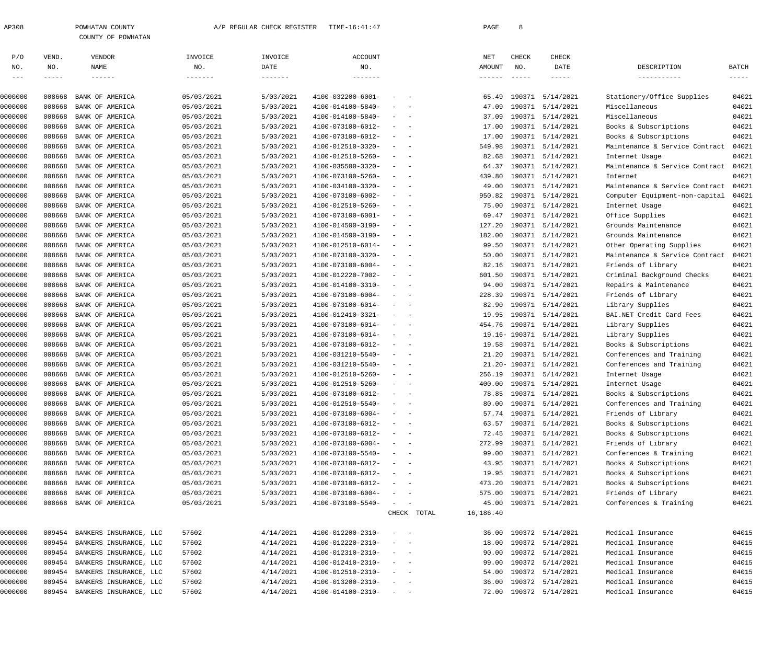| 2308 | POWHATAN COUNTY |                    |
|------|-----------------|--------------------|
|      |                 | COUNTY OF POWHATAN |

| P/O     | VEND.       | VENDOR                        | INVOICE         | INVOICE   | <b>ACCOUNT</b>    |                                                                                                                           |             | NET             | CHECK         | CHECK                  |                                |               |
|---------|-------------|-------------------------------|-----------------|-----------|-------------------|---------------------------------------------------------------------------------------------------------------------------|-------------|-----------------|---------------|------------------------|--------------------------------|---------------|
| NO.     | NO.         | NAME                          | NO.             | DATE      | NO.               |                                                                                                                           |             | AMOUNT          | NO.           | DATE                   | DESCRIPTION                    | <b>BATCH</b>  |
| $- - -$ | $- - - - -$ | $- - - - - - -$               | $- - - - - - -$ |           |                   |                                                                                                                           |             | $- - - - - - -$ | $- - - - -$   | $- - - - -$            | -----------                    | $- - - - - -$ |
| 0000000 | 008668      | BANK OF AMERICA               | 05/03/2021      | 5/03/2021 | 4100-032200-6001- | $\sim$                                                                                                                    |             | 65.49           |               | 190371 5/14/2021       | Stationery/Office Supplies     | 04021         |
| 0000000 | 008668      | BANK OF AMERICA               | 05/03/2021      | 5/03/2021 | 4100-014100-5840- | $\overline{\phantom{a}}$<br>$\overline{\phantom{a}}$                                                                      |             | 47.09           |               | 190371 5/14/2021       | Miscellaneous                  | 04021         |
| 0000000 | 008668      | BANK OF AMERICA               | 05/03/2021      | 5/03/2021 | 4100-014100-5840- | $\sim$<br>$\sim$                                                                                                          |             | 37.09           |               | 190371 5/14/2021       | Miscellaneous                  | 04021         |
| 0000000 | 008668      | BANK OF AMERICA               | 05/03/2021      | 5/03/2021 | 4100-073100-6012- | $\sim$<br>$\overline{\phantom{0}}$                                                                                        |             | 17.00           |               | 190371 5/14/2021       | Books & Subscriptions          | 04021         |
| 0000000 | 008668      | BANK OF AMERICA               | 05/03/2021      | 5/03/2021 | 4100-073100-6012- | $\sim$<br>$\sim$                                                                                                          |             | 17.00           |               | 190371 5/14/2021       | Books & Subscriptions          | 04021         |
| 0000000 | 008668      | BANK OF AMERICA               | 05/03/2021      | 5/03/2021 | 4100-012510-3320- | $\sim$<br>$\sim$                                                                                                          |             | 549.98          |               | 190371 5/14/2021       | Maintenance & Service Contract | 04021         |
| 0000000 | 008668      | BANK OF AMERICA               | 05/03/2021      | 5/03/2021 | 4100-012510-5260- | $\overline{\phantom{a}}$<br>$\sim$                                                                                        |             | 82.68           |               | 190371 5/14/2021       | Internet Usage                 | 04021         |
| 0000000 | 008668      | BANK OF AMERICA               | 05/03/2021      | 5/03/2021 | 4100-035500-3320- | $\sim$<br>$\overline{\phantom{0}}$                                                                                        |             | 64.37           |               | 190371 5/14/2021       | Maintenance & Service Contract | 04021         |
| 0000000 | 008668      | BANK OF AMERICA               | 05/03/2021      | 5/03/2021 | 4100-073100-5260- | $\sim$<br>$\overline{\phantom{0}}$                                                                                        |             | 439.80          |               | 190371 5/14/2021       | Internet                       | 04021         |
| 0000000 | 008668      | BANK OF AMERICA               | 05/03/2021      | 5/03/2021 | 4100-034100-3320- | $\sim$<br>$\sim$                                                                                                          |             | 49.00           |               | 190371 5/14/2021       | Maintenance & Service Contract | 04021         |
| 0000000 | 008668      | BANK OF AMERICA               | 05/03/2021      | 5/03/2021 | 4100-073100-6002- | $\sim$<br>$\sim$                                                                                                          |             | 950.82          |               | 190371 5/14/2021       | Computer Equipment-non-capital | 04021         |
| 0000000 | 008668      | BANK OF AMERICA               | 05/03/2021      | 5/03/2021 | 4100-012510-5260- | $\sim$<br>$\sim$                                                                                                          |             | 75.00           |               | 190371 5/14/2021       | Internet Usage                 | 04021         |
| 0000000 | 008668      | BANK OF AMERICA               | 05/03/2021      | 5/03/2021 | 4100-073100-6001- | $\sim$<br>$\overline{\phantom{0}}$                                                                                        |             | 69.47           |               | 190371 5/14/2021       | Office Supplies                | 04021         |
| 0000000 | 008668      | BANK OF AMERICA               | 05/03/2021      | 5/03/2021 | 4100-014500-3190- | $\sim$<br>$\sim$                                                                                                          |             | 127.20          |               | 190371 5/14/2021       | Grounds Maintenance            | 04021         |
| 0000000 | 008668      | BANK OF AMERICA               | 05/03/2021      | 5/03/2021 | 4100-014500-3190- | $\sim$<br>$\sim$                                                                                                          |             | 182.00          |               | 190371 5/14/2021       | Grounds Maintenance            | 04021         |
| 0000000 | 008668      | BANK OF AMERICA               | 05/03/2021      | 5/03/2021 | 4100-012510-6014- | $\overline{\phantom{a}}$<br>$\sim$                                                                                        |             | 99.50           |               | 190371 5/14/2021       | Other Operating Supplies       | 04021         |
| 0000000 | 008668      | BANK OF AMERICA               | 05/03/2021      | 5/03/2021 | 4100-073100-3320- | $\sim$<br>$\sim$                                                                                                          |             | 50.00           |               | 190371 5/14/2021       | Maintenance & Service Contract | 04021         |
| 0000000 | 008668      | BANK OF AMERICA               | 05/03/2021      | 5/03/2021 | 4100-073100-6004- | $\sim$<br>$\overline{\phantom{0}}$                                                                                        |             | 82.16           |               | 190371 5/14/2021       | Friends of Library             | 04021         |
| 0000000 | 008668      | BANK OF AMERICA               | 05/03/2021      | 5/03/2021 | 4100-012220-7002- | $\sim$<br>$\sim$                                                                                                          |             | 601.50          |               | 190371 5/14/2021       | Criminal Background Checks     | 04021         |
| 0000000 | 008668      | BANK OF AMERICA               | 05/03/2021      | 5/03/2021 | 4100-014100-3310- | $\sim$<br>$\sim$                                                                                                          |             | 94.00           |               | 190371 5/14/2021       | Repairs & Maintenance          | 04021         |
| 0000000 | 008668      | BANK OF AMERICA               | 05/03/2021      | 5/03/2021 | 4100-073100-6004- | $\overline{\phantom{a}}$<br>$\overline{\phantom{a}}$                                                                      |             | 228.39          |               | 190371 5/14/2021       | Friends of Library             | 04021         |
| 0000000 | 008668      | BANK OF AMERICA               | 05/03/2021      | 5/03/2021 | 4100-073100-6014- | $\sim$<br>$\sim$                                                                                                          |             | 82.90           |               | 190371 5/14/2021       | Library Supplies               | 04021         |
| 0000000 | 008668      | BANK OF AMERICA               | 05/03/2021      | 5/03/2021 | 4100-012410-3321- | $\sim$<br>$\overline{\phantom{0}}$                                                                                        |             | 19.95           |               | 190371 5/14/2021       | BAI.NET Credit Card Fees       | 04021         |
| 0000000 | 008668      | BANK OF AMERICA               | 05/03/2021      | 5/03/2021 | 4100-073100-6014- | $\sim$<br>$\sim$                                                                                                          |             | 454.76          |               | 190371 5/14/2021       | Library Supplies               | 04021         |
| 0000000 | 008668      | BANK OF AMERICA               | 05/03/2021      | 5/03/2021 | 4100-073100-6014- | $\overline{\phantom{a}}$<br>$\sim$                                                                                        |             |                 |               | 19.16-190371 5/14/2021 | Library Supplies               | 04021         |
| 0000000 | 008668      | BANK OF AMERICA               | 05/03/2021      | 5/03/2021 | 4100-073100-6012- | $\sim$<br>$\overline{\phantom{a}}$                                                                                        |             | 19.58           |               | 190371 5/14/2021       | Books & Subscriptions          | 04021         |
| 0000000 | 008668      | BANK OF AMERICA               | 05/03/2021      | 5/03/2021 | 4100-031210-5540- | $\sim$<br>$\sim$ $-$                                                                                                      |             | 21.20           |               | 190371 5/14/2021       | Conferences and Training       | 04021         |
| 0000000 | 008668      | BANK OF AMERICA               | 05/03/2021      | 5/03/2021 | 4100-031210-5540- | $\sim$<br>$\overline{\phantom{0}}$                                                                                        |             |                 | 21.20- 190371 | 5/14/2021              | Conferences and Training       | 04021         |
| 0000000 | 008668      | BANK OF AMERICA               | 05/03/2021      | 5/03/2021 | 4100-012510-5260- | $\sim$<br>$\sim$                                                                                                          |             | 256.19          |               | 190371 5/14/2021       | Internet Usage                 | 04021         |
| 0000000 | 008668      | BANK OF AMERICA               | 05/03/2021      | 5/03/2021 | 4100-012510-5260- | $\sim$<br>$\overline{\phantom{a}}$                                                                                        |             | 400.00          |               | 190371 5/14/2021       | Internet Usage                 | 04021         |
| 0000000 | 008668      | BANK OF AMERICA               | 05/03/2021      | 5/03/2021 | 4100-073100-6012- | $\sim$<br>$\sim$                                                                                                          |             | 78.85           |               | 190371 5/14/2021       | Books & Subscriptions          | 04021         |
| 0000000 | 008668      | BANK OF AMERICA               | 05/03/2021      | 5/03/2021 | 4100-012510-5540- |                                                                                                                           |             | 80.00           |               | 190371 5/14/2021       | Conferences and Training       | 04021         |
| 0000000 | 008668      | BANK OF AMERICA               | 05/03/2021      | 5/03/2021 | 4100-073100-6004- | $\sim$                                                                                                                    |             |                 | 57.74 190371  | 5/14/2021              | Friends of Library             | 04021         |
| 0000000 | 008668      | BANK OF AMERICA               | 05/03/2021      | 5/03/2021 | 4100-073100-6012- | $\overline{\phantom{0}}$                                                                                                  |             |                 |               | 63.57 190371 5/14/2021 | Books & Subscriptions          | 04021         |
| 0000000 | 008668      | BANK OF AMERICA               | 05/03/2021      | 5/03/2021 | 4100-073100-6012- |                                                                                                                           |             | 72.45           |               | 190371 5/14/2021       | Books & Subscriptions          | 04021         |
| 0000000 | 008668      | BANK OF AMERICA               | 05/03/2021      | 5/03/2021 | 4100-073100-6004- | $\sim$<br>$\overline{\phantom{0}}$                                                                                        |             | 272.99          |               | 190371 5/14/2021       | Friends of Library             | 04021         |
| 0000000 | 008668      | BANK OF AMERICA               | 05/03/2021      | 5/03/2021 | 4100-073100-5540- | $\overline{\phantom{a}}$<br>$\sim$                                                                                        |             | 99.00           |               | 190371 5/14/2021       | Conferences & Training         | 04021         |
| 0000000 | 008668      | BANK OF AMERICA               | 05/03/2021      | 5/03/2021 | 4100-073100-6012- | $\overline{\phantom{a}}$<br>$\sim$                                                                                        |             | 43.95           |               | 190371 5/14/2021       | Books & Subscriptions          | 04021         |
| 0000000 | 008668      | BANK OF AMERICA               | 05/03/2021      | 5/03/2021 | 4100-073100-6012- | $\sim$<br>$\sim$                                                                                                          |             | 19.95           |               | 190371 5/14/2021       | Books & Subscriptions          | 04021         |
| 0000000 | 008668      | BANK OF AMERICA               | 05/03/2021      | 5/03/2021 | 4100-073100-6012- | $\overline{\phantom{a}}$<br>$\sim$                                                                                        |             | 473.20          |               | 190371 5/14/2021       | Books & Subscriptions          | 04021         |
| 0000000 | 008668      | BANK OF AMERICA               | 05/03/2021      | 5/03/2021 | 4100-073100-6004- | $\overline{\phantom{a}}$<br>$\sim$                                                                                        |             | 575.00          |               | 190371 5/14/2021       | Friends of Library             | 04021         |
| 0000000 | 008668      | BANK OF AMERICA               | 05/03/2021      | 5/03/2021 | 4100-073100-5540- | $\sim$                                                                                                                    |             | 45.00           |               | 190371 5/14/2021       | Conferences & Training         | 04021         |
|         |             |                               |                 |           |                   |                                                                                                                           | CHECK TOTAL | 16,186.40       |               |                        |                                |               |
| 0000000 | 009454      | BANKERS INSURANCE, LLC        | 57602           | 4/14/2021 | 4100-012200-2310- | $\sim$ $-$<br>$\overline{\phantom{m}}$                                                                                    |             | 36.00           |               | 190372 5/14/2021       | Medical Insurance              | 04015         |
| 0000000 | 009454      | BANKERS INSURANCE, LLC        | 57602           | 4/14/2021 | 4100-012220-2310- |                                                                                                                           |             | 18.00           |               | 190372 5/14/2021       | Medical Insurance              | 04015         |
| 0000000 | 009454      | BANKERS INSURANCE, LLC        | 57602           | 4/14/2021 | 4100-012310-2310- | $\overline{\phantom{a}}$<br>$\overline{\phantom{0}}$                                                                      |             | 90.00           |               | 190372 5/14/2021       | Medical Insurance              | 04015         |
| 0000000 | 009454      | BANKERS INSURANCE, LLC        | 57602           | 4/14/2021 | 4100-012410-2310- | $\sim$<br>$\overline{\phantom{0}}$                                                                                        |             | 99.00           |               | 190372 5/14/2021       | Medical Insurance              | 04015         |
| 0000000 | 009454      | BANKERS INSURANCE, LLC        | 57602           | 4/14/2021 | 4100-012510-2310- | $\frac{1}{2} \left( \frac{1}{2} \right) \left( \frac{1}{2} \right) \left( \frac{1}{2} \right) \left( \frac{1}{2} \right)$ |             | 54.00           |               | 190372 5/14/2021       | Medical Insurance              | 04015         |
| 0000000 | 009454      | BANKERS INSURANCE, LLC        | 57602           | 4/14/2021 | 4100-013200-2310- | $\frac{1}{2} \left( \frac{1}{2} \right) \left( \frac{1}{2} \right) \left( \frac{1}{2} \right) \left( \frac{1}{2} \right)$ |             | 36.00           |               | 190372 5/14/2021       | Medical Insurance              | 04015         |
| 0000000 |             | 009454 BANKERS INSURANCE, LLC | 57602           | 4/14/2021 | 4100-014100-2310- | $\sim$ $ -$                                                                                                               |             | 72.00           |               | 190372 5/14/2021       | Medical Insurance              | 04015         |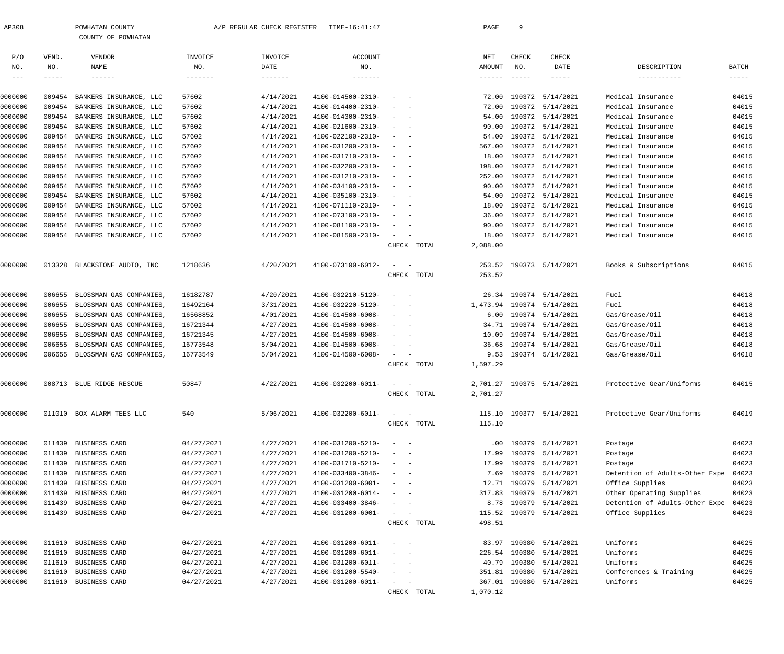| <sup>2308</sup> | POWHATAN COUNTY |
|-----------------|-----------------|
|                 | M               |

| T QMITTITIN COOMIT |
|--------------------|
| COUNTY OF POWHATAN |

| P/O        | VEND.         | VENDOR                      | INVOICE    | INVOICE           | <b>ACCOUNT</b>    |                                                                                                              | NET      | CHECK  | CHECK                   |                                |              |
|------------|---------------|-----------------------------|------------|-------------------|-------------------|--------------------------------------------------------------------------------------------------------------|----------|--------|-------------------------|--------------------------------|--------------|
| NO.        | NO.           | NAME                        | NO.        | DATE              | NO.               |                                                                                                              | AMOUNT   | NO.    | DATE                    | DESCRIPTION                    | <b>BATCH</b> |
| $--\,$ $-$ | $- - - - - -$ | $\qquad \qquad - - - - - -$ | -------    | $- - - - - - - -$ | -------           |                                                                                                              | ------   |        | -----                   | -----------                    | $--- - - -$  |
|            |               |                             |            |                   |                   |                                                                                                              |          |        |                         |                                |              |
| 0000000    | 009454        | BANKERS INSURANCE, LLC      | 57602      | 4/14/2021         | 4100-014500-2310- |                                                                                                              | 72.00    | 190372 | 5/14/2021               | Medical Insurance              | 04015        |
| 0000000    | 009454        | BANKERS INSURANCE, LLC      | 57602      | 4/14/2021         | 4100-014400-2310- |                                                                                                              | 72.00    | 190372 | 5/14/2021               | Medical Insurance              | 04015        |
| 0000000    | 009454        | BANKERS INSURANCE, LLC      | 57602      | 4/14/2021         | 4100-014300-2310- |                                                                                                              | 54.00    |        | 190372 5/14/2021        | Medical Insurance              | 04015        |
| 0000000    | 009454        | BANKERS INSURANCE, LLC      | 57602      | 4/14/2021         | 4100-021600-2310- |                                                                                                              | 90.00    |        | 190372 5/14/2021        | Medical Insurance              | 04015        |
| 0000000    | 009454        | BANKERS INSURANCE, LLC      | 57602      | 4/14/2021         | 4100-022100-2310- |                                                                                                              | 54.00    |        | 190372 5/14/2021        | Medical Insurance              | 04015        |
| 0000000    | 009454        | BANKERS INSURANCE, LLC      | 57602      | 4/14/2021         | 4100-031200-2310- |                                                                                                              | 567.00   |        | 190372 5/14/2021        | Medical Insurance              | 04015        |
| 0000000    | 009454        | BANKERS INSURANCE, LLC      | 57602      | 4/14/2021         | 4100-031710-2310- |                                                                                                              | 18.00    |        | 190372 5/14/2021        | Medical Insurance              | 04015        |
| 0000000    | 009454        | BANKERS INSURANCE, LLC      | 57602      | 4/14/2021         | 4100-032200-2310- |                                                                                                              | 198.00   |        | 190372 5/14/2021        | Medical Insurance              | 04015        |
| 0000000    | 009454        | BANKERS INSURANCE, LLC      | 57602      | 4/14/2021         | 4100-031210-2310- |                                                                                                              | 252.00   |        | 190372 5/14/2021        | Medical Insurance              | 04015        |
| 0000000    | 009454        | BANKERS INSURANCE, LLC      | 57602      | 4/14/2021         | 4100-034100-2310- |                                                                                                              | 90.00    |        | 190372 5/14/2021        | Medical Insurance              | 04015        |
| 0000000    | 009454        | BANKERS INSURANCE, LLC      | 57602      | 4/14/2021         | 4100-035100-2310- |                                                                                                              | 54.00    |        | 190372 5/14/2021        | Medical Insurance              | 04015        |
| 0000000    | 009454        | BANKERS INSURANCE, LLC      | 57602      | 4/14/2021         | 4100-071110-2310- |                                                                                                              | 18.00    |        | 190372 5/14/2021        | Medical Insurance              | 04015        |
| 0000000    | 009454        | BANKERS INSURANCE, LLC      | 57602      | 4/14/2021         | 4100-073100-2310- |                                                                                                              | 36.00    |        | 190372 5/14/2021        | Medical Insurance              | 04015        |
| 0000000    | 009454        | BANKERS INSURANCE, LLC      | 57602      | 4/14/2021         | 4100-081100-2310- |                                                                                                              | 90.00    |        | 190372 5/14/2021        | Medical Insurance              | 04015        |
| 0000000    | 009454        | BANKERS INSURANCE, LLC      | 57602      | 4/14/2021         | 4100-081500-2310- | $\overline{\phantom{0}}$                                                                                     | 18.00    |        | 190372 5/14/2021        | Medical Insurance              | 04015        |
|            |               |                             |            |                   |                   | CHECK TOTAL                                                                                                  | 2,088.00 |        |                         |                                |              |
|            |               |                             |            |                   |                   |                                                                                                              |          |        |                         |                                |              |
| 0000000    | 013328        | BLACKSTONE AUDIO, INC       | 1218636    | 4/20/2021         | 4100-073100-6012- |                                                                                                              | 253.52   |        | 190373 5/14/2021        | Books & Subscriptions          | 04015        |
|            |               |                             |            |                   |                   | CHECK TOTAL                                                                                                  | 253.52   |        |                         |                                |              |
|            |               |                             |            |                   |                   |                                                                                                              |          |        |                         |                                |              |
| 0000000    | 006655        | BLOSSMAN GAS COMPANIES,     | 16182787   | 4/20/2021         | 4100-032210-5120- |                                                                                                              | 26.34    |        | 190374 5/14/2021        | Fuel                           | 04018        |
|            |               |                             |            |                   |                   |                                                                                                              |          |        | 190374 5/14/2021        |                                | 04018        |
| 0000000    | 006655        | BLOSSMAN GAS COMPANIES      | 16492164   | 3/31/2021         | 4100-032220-5120- |                                                                                                              | 1,473.94 |        |                         | Fuel                           |              |
| 0000000    | 006655        | BLOSSMAN GAS COMPANIES,     | 16568852   | 4/01/2021         | 4100-014500-6008- |                                                                                                              | 6.00     |        | 190374 5/14/2021        | Gas/Grease/Oil                 | 04018        |
| 0000000    | 006655        | BLOSSMAN GAS COMPANIES,     | 16721344   | 4/27/2021         | 4100-014500-6008- |                                                                                                              | 34.71    |        | 190374 5/14/2021        | Gas/Grease/Oil                 | 04018        |
| 0000000    | 006655        | BLOSSMAN GAS COMPANIES,     | 16721345   | 4/27/2021         | 4100-014500-6008- |                                                                                                              | 10.09    |        | 190374 5/14/2021        | Gas/Grease/Oil                 | 04018        |
| 0000000    | 006655        | BLOSSMAN GAS COMPANIES,     | 16773548   | 5/04/2021         | 4100-014500-6008- |                                                                                                              | 36.68    |        | 190374 5/14/2021        | Gas/Grease/Oil                 | 04018        |
| 0000000    | 006655        | BLOSSMAN GAS COMPANIES,     | 16773549   | 5/04/2021         | 4100-014500-6008- | $\overline{\phantom{0}}$                                                                                     | 9.53     |        | 190374 5/14/2021        | Gas/Grease/Oil                 | 04018        |
|            |               |                             |            |                   |                   | CHECK TOTAL                                                                                                  | 1,597.29 |        |                         |                                |              |
|            |               |                             |            |                   |                   |                                                                                                              |          |        |                         |                                |              |
| 0000000    |               | 008713 BLUE RIDGE RESCUE    | 50847      | 4/22/2021         | 4100-032200-6011- |                                                                                                              | 2,701.27 |        | 190375 5/14/2021        | Protective Gear/Uniforms       | 04015        |
|            |               |                             |            |                   |                   | CHECK TOTAL                                                                                                  | 2,701.27 |        |                         |                                |              |
|            |               |                             |            |                   |                   |                                                                                                              |          |        |                         |                                |              |
| 0000000    | 011010        | BOX ALARM TEES LLC          | 540        | 5/06/2021         | 4100-032200-6011- |                                                                                                              | 115.10   |        | 190377 5/14/2021        | Protective Gear/Uniforms       | 04019        |
|            |               |                             |            |                   |                   | CHECK<br>TOTAL                                                                                               | 115.10   |        |                         |                                |              |
|            |               |                             |            |                   |                   |                                                                                                              |          |        |                         |                                |              |
| 0000000    | 011439        | BUSINESS CARD               | 04/27/2021 | 4/27/2021         | 4100-031200-5210- |                                                                                                              |          |        | $.00$ 190379 5/14/2021  | Postage                        | 04023        |
| 0000000    | 011439        | BUSINESS CARD               | 04/27/2021 | 4/27/2021         | 4100-031200-5210- | $\overline{\phantom{a}}$                                                                                     | 17.99    |        | 190379 5/14/2021        | Postage                        | 04023        |
| 0000000    | 011439        | BUSINESS CARD               | 04/27/2021 | 4/27/2021         | 4100-031710-5210- |                                                                                                              | 17.99    |        | 190379 5/14/2021        | Postage                        | 04023        |
| 0000000    | 011439        | BUSINESS CARD               | 04/27/2021 | 4/27/2021         | 4100-033400-3846- | $\overline{\phantom{a}}$                                                                                     | 7.69     |        | 190379 5/14/2021        | Detention of Adults-Other Expe | 04023        |
| 0000000    | 011439        | BUSINESS CARD               | 04/27/2021 | 4/27/2021         | 4100-031200-6001- | $\overline{\phantom{a}}$                                                                                     |          |        | 12.71 190379 5/14/2021  | Office Supplies                | 04023        |
| 0000000    | 011439        | BUSINESS CARD               | 04/27/2021 | 4/27/2021         | 4100-031200-6014- | $\overline{\phantom{a}}$                                                                                     |          |        | 317.83 190379 5/14/2021 | Other Operating Supplies       | 04023        |
| 0000000    | 011439        | BUSINESS CARD               | 04/27/2021 | 4/27/2021         | 4100-033400-3846- | $\overline{\phantom{a}}$                                                                                     | 8.78     |        | 190379 5/14/2021        | Detention of Adults-Other Expe | 04023        |
| 0000000    | 011439        | BUSINESS CARD               | 04/27/2021 | 4/27/2021         | 4100-031200-6001- |                                                                                                              | 115.52   |        | 190379 5/14/2021        | Office Supplies                | 04023        |
|            |               |                             |            |                   |                   | CHECK TOTAL                                                                                                  | 498.51   |        |                         |                                |              |
|            |               |                             |            |                   |                   |                                                                                                              |          |        |                         |                                |              |
| 0000000    | 011610        | BUSINESS CARD               | 04/27/2021 | 4/27/2021         | 4100-031200-6011- |                                                                                                              | 83.97    |        | 190380 5/14/2021        | Uniforms                       | 04025        |
| 0000000    | 011610        | BUSINESS CARD               | 04/27/2021 | 4/27/2021         | 4100-031200-6011- | $\sim$<br>$\overline{\phantom{a}}$                                                                           | 226.54   | 190380 | 5/14/2021               | Uniforms                       | 04025        |
| 0000000    | 011610        | BUSINESS CARD               | 04/27/2021 | 4/27/2021         | 4100-031200-6011- | $\sim$ $ -$                                                                                                  |          |        | 40.79 190380 5/14/2021  | Uniforms                       | 04025        |
| 0000000    | 011610        | BUSINESS CARD               | 04/27/2021 | 4/27/2021         | 4100-031200-5540- | $\overline{\phantom{a}}$                                                                                     |          |        | 351.81 190380 5/14/2021 | Conferences & Training         | 04025        |
| 0000000    | 011610        | BUSINESS CARD               | 04/27/2021 | 4/27/2021         | 4100-031200-6011- | $\frac{1}{2} \left( \frac{1}{2} \right) \left( \frac{1}{2} \right) = \frac{1}{2} \left( \frac{1}{2} \right)$ |          |        | 367.01 190380 5/14/2021 | Uniforms                       | 04025        |
|            |               |                             |            |                   |                   | CHECK TOTAL                                                                                                  | 1,070.12 |        |                         |                                |              |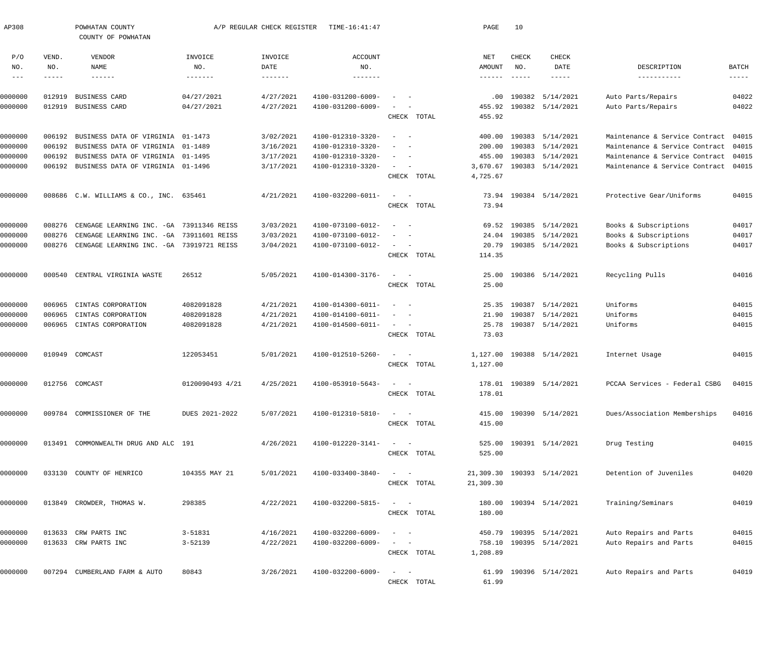| AP308              |                  | POWHATAN COUNTY<br>COUNTY OF POWHATAN            |                          | A/P REGULAR CHECK REGISTER | TIME-16:41:47                          |                                                      | PAGE            | 10                                                                                                                                                                                                                                                                                                                                                                                           |                                      |                                          |                      |
|--------------------|------------------|--------------------------------------------------|--------------------------|----------------------------|----------------------------------------|------------------------------------------------------|-----------------|----------------------------------------------------------------------------------------------------------------------------------------------------------------------------------------------------------------------------------------------------------------------------------------------------------------------------------------------------------------------------------------------|--------------------------------------|------------------------------------------|----------------------|
| P/O<br>NO.         | VEND.<br>NO.     | VENDOR<br>NAME                                   | INVOICE<br>NO.           | INVOICE<br>DATE            | ACCOUNT<br>NO.                         |                                                      | NET<br>AMOUNT   | CHECK<br>NO.                                                                                                                                                                                                                                                                                                                                                                                 | CHECK<br>DATE                        | DESCRIPTION                              | BATCH                |
| $  -$              | -----            |                                                  | $- - - - - - -$          | $- - - - - - -$            | --------                               |                                                      | $- - - - - - -$ | $\frac{1}{2} \frac{1}{2} \frac{1}{2} \frac{1}{2} \frac{1}{2} \frac{1}{2} \frac{1}{2} \frac{1}{2} \frac{1}{2} \frac{1}{2} \frac{1}{2} \frac{1}{2} \frac{1}{2} \frac{1}{2} \frac{1}{2} \frac{1}{2} \frac{1}{2} \frac{1}{2} \frac{1}{2} \frac{1}{2} \frac{1}{2} \frac{1}{2} \frac{1}{2} \frac{1}{2} \frac{1}{2} \frac{1}{2} \frac{1}{2} \frac{1}{2} \frac{1}{2} \frac{1}{2} \frac{1}{2} \frac{$ | $- - - - - -$                        | -----------                              | $\cdots\cdots\cdots$ |
|                    |                  |                                                  |                          |                            |                                        |                                                      |                 |                                                                                                                                                                                                                                                                                                                                                                                              |                                      |                                          |                      |
| 0000000<br>0000000 | 012919<br>012919 | <b>BUSINESS CARD</b><br>BUSINESS CARD            | 04/27/2021<br>04/27/2021 | 4/27/2021<br>4/27/2021     | 4100-031200-6009-<br>4100-031200-6009- | $\sim$<br>$\sim$ $  -$                               | .00<br>455.92   |                                                                                                                                                                                                                                                                                                                                                                                              | 190382 5/14/2021<br>190382 5/14/2021 | Auto Parts/Repairs<br>Auto Parts/Repairs | 04022<br>04022       |
|                    |                  |                                                  |                          |                            |                                        | CHECK TOTAL                                          | 455.92          |                                                                                                                                                                                                                                                                                                                                                                                              |                                      |                                          |                      |
| 0000000            | 006192           | BUSINESS DATA OF VIRGINIA 01-1473                |                          | 3/02/2021                  | 4100-012310-3320-                      | $\overline{\phantom{a}}$<br>$\sim$ $-$               | 400.00          |                                                                                                                                                                                                                                                                                                                                                                                              | 190383 5/14/2021                     | Maintenance & Service Contract           | 04015                |
| 0000000            | 006192           | BUSINESS DATA OF VIRGINIA 01-1489                |                          | 3/16/2021                  | 4100-012310-3320-                      | $\overline{\phantom{a}}$<br>$\overline{\phantom{a}}$ | 200.00          |                                                                                                                                                                                                                                                                                                                                                                                              | 190383 5/14/2021                     | Maintenance & Service Contract           | 04015                |
| 0000000            | 006192           | BUSINESS DATA OF VIRGINIA 01-1495                |                          | 3/17/2021                  | 4100-012310-3320-                      | $\sim$<br>$\sim$                                     | 455.00          |                                                                                                                                                                                                                                                                                                                                                                                              | 190383 5/14/2021                     | Maintenance & Service Contract           | 04015                |
| 0000000            |                  | 006192 BUSINESS DATA OF VIRGINIA 01-1496         |                          | 3/17/2021                  | 4100-012310-3320-                      | $\sim$ $  -$                                         |                 |                                                                                                                                                                                                                                                                                                                                                                                              | 3,670.67 190383 5/14/2021            | Maintenance & Service Contract 04015     |                      |
|                    |                  |                                                  |                          |                            |                                        | CHECK TOTAL                                          | 4,725.67        |                                                                                                                                                                                                                                                                                                                                                                                              |                                      |                                          |                      |
| 0000000            |                  | 008686 C.W. WILLIAMS & CO., INC. 635461          |                          | 4/21/2021                  | 4100-032200-6011-                      | $\sim$ $  -$                                         |                 |                                                                                                                                                                                                                                                                                                                                                                                              | 73.94 190384 5/14/2021               | Protective Gear/Uniforms                 | 04015                |
|                    |                  |                                                  |                          |                            |                                        | CHECK TOTAL                                          | 73.94           |                                                                                                                                                                                                                                                                                                                                                                                              |                                      |                                          |                      |
| 0000000            | 008276           | CENGAGE LEARNING INC. - GA 73911346 REISS        |                          | 3/03/2021                  | 4100-073100-6012-                      | $\overline{\phantom{a}}$<br>$\sim$ $-$               |                 |                                                                                                                                                                                                                                                                                                                                                                                              | 69.52 190385 5/14/2021               | Books & Subscriptions                    | 04017                |
| 0000000            | 008276           | CENGAGE LEARNING INC. - GA 73911601 REISS        |                          | 3/03/2021                  | 4100-073100-6012-                      | $\overline{\phantom{a}}$<br>$\sim$                   |                 |                                                                                                                                                                                                                                                                                                                                                                                              | 24.04 190385 5/14/2021               | Books & Subscriptions                    | 04017                |
| 0000000            |                  | 008276 CENGAGE LEARNING INC. - GA 73919721 REISS |                          | 3/04/2021                  | 4100-073100-6012-                      | $\sim$ $  -$                                         |                 |                                                                                                                                                                                                                                                                                                                                                                                              | 20.79 190385 5/14/2021               | Books & Subscriptions                    | 04017                |
|                    |                  |                                                  |                          |                            |                                        | CHECK TOTAL                                          | 114.35          |                                                                                                                                                                                                                                                                                                                                                                                              |                                      |                                          |                      |
| 0000000            | 000540           | CENTRAL VIRGINIA WASTE                           | 26512                    | 5/05/2021                  | 4100-014300-3176-                      | $\sim$ $  -$                                         | 25.00           |                                                                                                                                                                                                                                                                                                                                                                                              | 190386 5/14/2021                     | Recycling Pulls                          | 04016                |
|                    |                  |                                                  |                          |                            |                                        | CHECK TOTAL                                          | 25.00           |                                                                                                                                                                                                                                                                                                                                                                                              |                                      |                                          |                      |
| 0000000            | 006965           | CINTAS CORPORATION                               | 4082091828               | 4/21/2021                  | 4100-014300-6011-                      | $\sim$<br>$\sim$ $-$                                 | 25.35           |                                                                                                                                                                                                                                                                                                                                                                                              | 190387 5/14/2021                     | Uniforms                                 | 04015                |
| 0000000            | 006965           | CINTAS CORPORATION                               | 4082091828               | 4/21/2021                  | 4100-014100-6011-                      | $\frac{1}{2}$ and $\frac{1}{2}$ and $\frac{1}{2}$    | 21.90           | 190387                                                                                                                                                                                                                                                                                                                                                                                       | 5/14/2021                            | Uniforms                                 | 04015                |
| 0000000            | 006965           | CINTAS CORPORATION                               | 4082091828               | 4/21/2021                  | 4100-014500-6011-                      | $\sim$ $ -$                                          |                 |                                                                                                                                                                                                                                                                                                                                                                                              | 25.78 190387 5/14/2021               | Uniforms                                 | 04015                |
|                    |                  |                                                  |                          |                            |                                        | CHECK TOTAL                                          | 73.03           |                                                                                                                                                                                                                                                                                                                                                                                              |                                      |                                          |                      |
| 0000000            |                  | 010949 COMCAST                                   | 122053451                | 5/01/2021                  | 4100-012510-5260-                      | $\sim$ $  -$                                         |                 |                                                                                                                                                                                                                                                                                                                                                                                              | 1,127.00 190388 5/14/2021            | Internet Usage                           | 04015                |
|                    |                  |                                                  |                          |                            |                                        | CHECK TOTAL                                          | 1,127.00        |                                                                                                                                                                                                                                                                                                                                                                                              |                                      |                                          |                      |
| 0000000            |                  | 012756 COMCAST                                   | 0120090493 4/21          | 4/25/2021                  | 4100-053910-5643-                      | $\sim$                                               |                 |                                                                                                                                                                                                                                                                                                                                                                                              | 178.01 190389 5/14/2021              | PCCAA Services - Federal CSBG            | 04015                |
|                    |                  |                                                  |                          |                            |                                        | CHECK TOTAL                                          | 178.01          |                                                                                                                                                                                                                                                                                                                                                                                              |                                      |                                          |                      |
| 0000000            |                  | 009784 COMMISSIONER OF THE                       | DUES 2021-2022           | 5/07/2021                  | 4100-012310-5810-                      | $\frac{1}{2}$ and $\frac{1}{2}$ and $\frac{1}{2}$    |                 |                                                                                                                                                                                                                                                                                                                                                                                              | 415.00 190390 5/14/2021              | Dues/Association Memberships             | 04016                |
|                    |                  |                                                  |                          |                            |                                        | CHECK TOTAL                                          | 415.00          |                                                                                                                                                                                                                                                                                                                                                                                              |                                      |                                          |                      |
| 0000000            |                  | 013491 COMMONWEALTH DRUG AND ALC 191             |                          | 4/26/2021                  | 4100-012220-3141-                      | $\sim$ $  -$                                         |                 |                                                                                                                                                                                                                                                                                                                                                                                              | 525.00 190391 5/14/2021              | Drug Testing                             | 04015                |
|                    |                  |                                                  |                          |                            |                                        | CHECK TOTAL                                          | 525.00          |                                                                                                                                                                                                                                                                                                                                                                                              |                                      |                                          |                      |
| 0000000            |                  | 033130 COUNTY OF HENRICO                         | 104355 MAY 21            | 5/01/2021                  | 4100-033400-3840-                      | $\sim$ $  -$                                         |                 |                                                                                                                                                                                                                                                                                                                                                                                              | 21,309.30 190393 5/14/2021           | Detention of Juveniles                   | 04020                |
|                    |                  |                                                  |                          |                            |                                        | CHECK TOTAL                                          | 21,309.30       |                                                                                                                                                                                                                                                                                                                                                                                              |                                      |                                          |                      |
| 0000000            |                  | 013849 CROWDER, THOMAS W.                        | 298385                   | 4/22/2021                  | 4100-032200-5815-                      | $\sim$ $  -$                                         |                 |                                                                                                                                                                                                                                                                                                                                                                                              | 180.00 190394 5/14/2021              | Training/Seminars                        | 04019                |
|                    |                  |                                                  |                          |                            |                                        | CHECK TOTAL                                          | 180.00          |                                                                                                                                                                                                                                                                                                                                                                                              |                                      |                                          |                      |
| 0000000            |                  | 013633 CRW PARTS INC                             | $3 - 51831$              | 4/16/2021                  | 4100-032200-6009-                      | $\sim$<br>$\sim$ $-$                                 |                 |                                                                                                                                                                                                                                                                                                                                                                                              | 450.79 190395 5/14/2021              | Auto Repairs and Parts                   | 04015                |
| 0000000            |                  | 013633 CRW PARTS INC                             | $3 - 52139$              | 4/22/2021                  | 4100-032200-6009-                      |                                                      |                 |                                                                                                                                                                                                                                                                                                                                                                                              | 758.10 190395 5/14/2021              | Auto Repairs and Parts                   | 04015                |
|                    |                  |                                                  |                          |                            |                                        | CHECK TOTAL                                          | 1,208.89        |                                                                                                                                                                                                                                                                                                                                                                                              |                                      |                                          |                      |
| 0000000            |                  | 007294 CUMBERLAND FARM & AUTO                    | 80843                    | 3/26/2021                  | 4100-032200-6009-                      | $\sim$ $  -$                                         |                 |                                                                                                                                                                                                                                                                                                                                                                                              | 61.99 190396 5/14/2021               | Auto Repairs and Parts                   | 04019                |
|                    |                  |                                                  |                          |                            |                                        | CHECK TOTAL                                          | 61.99           |                                                                                                                                                                                                                                                                                                                                                                                              |                                      |                                          |                      |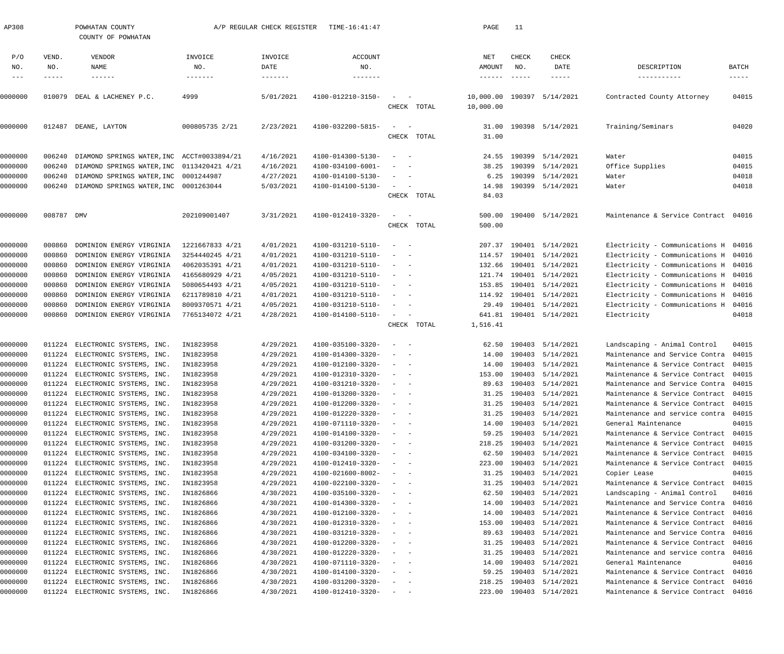| AP308              |            | POWHATAN COUNTY<br>COUNTY OF POWHATAN                       |                        | A/P REGULAR CHECK REGISTER | TIME-16:41:47                          |                                                                |             | PAGE                       | 11            |                                      |                                                                  |                |
|--------------------|------------|-------------------------------------------------------------|------------------------|----------------------------|----------------------------------------|----------------------------------------------------------------|-------------|----------------------------|---------------|--------------------------------------|------------------------------------------------------------------|----------------|
| P/O                | VEND.      | VENDOR                                                      | INVOICE                | INVOICE                    | <b>ACCOUNT</b>                         |                                                                |             | NET                        | CHECK         | CHECK                                |                                                                  |                |
| NO.                | NO.        | NAME                                                        | NO.                    | DATE                       | NO.                                    |                                                                |             | AMOUNT                     | NO.           | DATE                                 | DESCRIPTION                                                      | <b>BATCH</b>   |
| $---$              | -----      | $- - - - - - -$                                             | -------                | $- - - - - - - -$          | $- - - - - - -$                        |                                                                |             | $- - - - - - -$            | $- - - - - -$ | $- - - - - -$                        | -----------                                                      | $--- - - -$    |
| 0000000            |            | 010079 DEAL & LACHENEY P.C.                                 | 4999                   | 5/01/2021                  | 4100-012210-3150-                      | $\sim$<br>$\sim$ $-$                                           |             | 10,000.00 190397 5/14/2021 |               |                                      | Contracted County Attorney                                       | 04015          |
|                    |            |                                                             |                        |                            |                                        |                                                                | CHECK TOTAL | 10,000.00                  |               |                                      |                                                                  |                |
|                    |            |                                                             |                        |                            |                                        |                                                                |             |                            |               |                                      |                                                                  |                |
| 0000000            |            | 012487 DEANE, LAYTON                                        | 000805735 2/21         | 2/23/2021                  | 4100-032200-5815-                      | $\hspace{0.1mm}-\hspace{0.1mm}$<br>$\sim$ $-$                  |             | 31.00                      |               | 190398 5/14/2021                     | Training/Seminars                                                | 04020          |
|                    |            |                                                             |                        |                            |                                        |                                                                | CHECK TOTAL | 31.00                      |               |                                      |                                                                  |                |
| 0000000            | 006240     | DIAMOND SPRINGS WATER, INC ACCT#0033894/21                  |                        | 4/16/2021                  | 4100-014300-5130-                      | $\sim$ $-$                                                     |             |                            |               | 24.55 190399 5/14/2021               | Water                                                            | 04015          |
| 0000000            | 006240     | DIAMOND SPRINGS WATER, INC 0113420421 4/21                  |                        | 4/16/2021                  | 4100-034100-6001-                      |                                                                |             | 38.25                      |               | 190399 5/14/2021                     | Office Supplies                                                  | 04015          |
| 0000000            | 006240     | DIAMOND SPRINGS WATER, INC                                  | 0001244987             | 4/27/2021                  | 4100-014100-5130-                      |                                                                |             | 6.25                       |               | 190399 5/14/2021                     | Water                                                            | 04018          |
| 0000000            |            | 006240 DIAMOND SPRINGS WATER, INC 0001263044                |                        | 5/03/2021                  | 4100-014100-5130-                      | $\sim$<br>$\sim$ $-$                                           |             | 14.98                      |               | 190399 5/14/2021                     | Water                                                            | 04018          |
|                    |            |                                                             |                        |                            |                                        |                                                                | CHECK TOTAL | 84.03                      |               |                                      |                                                                  |                |
|                    |            |                                                             |                        |                            |                                        |                                                                |             |                            |               |                                      |                                                                  |                |
| 0000000            | 008787 DMV |                                                             | 202109001407           | 3/31/2021                  | 4100-012410-3320-                      | $\sim$<br>$\sim$ $-$                                           |             | 500.00                     |               | 190400 5/14/2021                     | Maintenance & Service Contract 04016                             |                |
|                    |            |                                                             |                        |                            |                                        |                                                                | CHECK TOTAL | 500.00                     |               |                                      |                                                                  |                |
| 0000000            | 000860     | DOMINION ENERGY VIRGINIA                                    | 1221667833 4/21        | 4/01/2021                  | 4100-031210-5110-                      | $\sim$ $-$                                                     |             |                            |               | 207.37 190401 5/14/2021              | Electricity - Communications H 04016                             |                |
| 0000000            | 000860     | DOMINION ENERGY VIRGINIA                                    | 3254440245 4/21        | 4/01/2021                  | 4100-031210-5110-                      |                                                                |             |                            |               | 114.57 190401 5/14/2021              | Electricity - Communications H                                   | 04016          |
| 0000000            | 000860     | DOMINION ENERGY VIRGINIA                                    | 4062035391 4/21        | 4/01/2021                  | 4100-031210-5110-                      |                                                                |             |                            |               | 132.66 190401 5/14/2021              | Electricity - Communications H                                   | 04016          |
| 0000000            | 000860     | DOMINION ENERGY VIRGINIA                                    | 4165680929 4/21        | 4/05/2021                  | 4100-031210-5110-                      |                                                                |             |                            |               | 121.74 190401 5/14/2021              | Electricity - Communications H                                   | 04016          |
| 0000000            | 000860     | DOMINION ENERGY VIRGINIA                                    | 5080654493 4/21        | 4/05/2021                  | 4100-031210-5110-                      |                                                                |             | 153.85                     |               | 190401 5/14/2021                     | Electricity - Communications H                                   | 04016          |
| 0000000            | 000860     | DOMINION ENERGY VIRGINIA                                    | 6211789810 4/21        | 4/01/2021                  | 4100-031210-5110-                      |                                                                |             |                            |               | 114.92 190401 5/14/2021              | Electricity - Communications H                                   | 04016          |
| 0000000            | 000860     | DOMINION ENERGY VIRGINIA                                    | 8009370571 4/21        | 4/05/2021                  | 4100-031210-5110-                      |                                                                |             | 29.49                      |               | 190401 5/14/2021                     | Electricity - Communications H                                   | 04016          |
| 0000000            |            | 000860 DOMINION ENERGY VIRGINIA                             | 7765134072 4/21        | 4/28/2021                  | 4100-014100-5110-                      | $\sim$                                                         |             | 641.81                     |               | 190401 5/14/2021                     | Electricity                                                      | 04018          |
|                    |            |                                                             |                        |                            |                                        |                                                                | CHECK TOTAL | 1,516.41                   |               |                                      |                                                                  |                |
| 0000000            |            | 011224 ELECTRONIC SYSTEMS, INC.                             | IN1823958              | 4/29/2021                  | 4100-035100-3320-                      | $\sim$                                                         |             | 62.50                      |               | 190403 5/14/2021                     | Landscaping - Animal Control                                     | 04015          |
| 0000000            | 011224     | ELECTRONIC SYSTEMS, INC.                                    | IN1823958              | 4/29/2021                  | 4100-014300-3320-                      | $\sim$                                                         |             | 14.00                      |               | 190403 5/14/2021                     | Maintenance and Service Contra                                   | 04015          |
| 0000000            |            | 011224 ELECTRONIC SYSTEMS, INC.                             | IN1823958              | 4/29/2021                  | 4100-012100-3320-                      |                                                                |             | 14.00                      |               | 190403 5/14/2021                     | Maintenance & Service Contract                                   | 04015          |
| 0000000            | 011224     | ELECTRONIC SYSTEMS, INC.                                    | IN1823958              | 4/29/2021                  | 4100-012310-3320-                      |                                                                |             | 153.00                     |               | 190403 5/14/2021                     | Maintenance & Service Contract                                   | 04015          |
| 0000000            |            | 011224 ELECTRONIC SYSTEMS, INC.                             | IN1823958              | 4/29/2021                  | 4100-031210-3320-                      |                                                                |             |                            |               | 89.63 190403 5/14/2021               | Maintenance and Service Contra 04015                             |                |
| 0000000            | 011224     | ELECTRONIC SYSTEMS, INC.                                    | IN1823958              | 4/29/2021                  | 4100-013200-3320-                      |                                                                |             |                            |               | 31.25 190403 5/14/2021               | Maintenance & Service Contract                                   | 04015          |
| 0000000            | 011224     | ELECTRONIC SYSTEMS, INC.                                    | IN1823958              | 4/29/2021                  | 4100-012200-3320-                      |                                                                |             | 31.25                      |               | 190403 5/14/2021                     | Maintenance & Service Contract                                   | 04015          |
| 0000000            | 011224     | ELECTRONIC SYSTEMS, INC.                                    | IN1823958              | 4/29/2021                  | 4100-012220-3320-                      | $\sim$                                                         |             | 31.25                      |               | 190403 5/14/2021                     | Maintenance and service contra                                   | 04015          |
| 0000000<br>0000000 | 011224     | 011224 ELECTRONIC SYSTEMS, INC.<br>ELECTRONIC SYSTEMS, INC. | IN1823958<br>IN1823958 | 4/29/2021<br>4/29/2021     | 4100-071110-3320-<br>4100-014100-3320- | $\overline{\phantom{m}}$<br>$\overline{\phantom{a}}$<br>$\sim$ |             | 14.00<br>59.25             |               | 190403 5/14/2021<br>190403 5/14/2021 | General Maintenance<br>Maintenance & Service Contract            | 04015<br>04015 |
| 0000000            | 011224     | ELECTRONIC SYSTEMS, INC.                                    | IN1823958              | 4/29/2021                  | 4100-031200-3320-                      |                                                                |             | 218.25                     |               | 190403 5/14/2021                     | Maintenance & Service Contract                                   | 04015          |
| 0000000            |            | 011224 ELECTRONIC SYSTEMS, INC.                             | IN1823958              | 4/29/2021                  | 4100-034100-3320-                      | $\overline{\phantom{m}}$                                       |             | 62.50                      |               | 190403 5/14/2021                     | Maintenance & Service Contract                                   | 04015          |
| 0000000            | 011224     | ELECTRONIC SYSTEMS, INC.                                    | IN1823958              | 4/29/2021                  | 4100-012410-3320-                      |                                                                |             | 223.00                     |               | 190403 5/14/2021                     | Maintenance & Service Contract                                   | 04015          |
| 0000000            | 011224     | ELECTRONIC SYSTEMS, INC.                                    | IN1823958              | 4/29/2021                  | 4100-021600-8002-                      |                                                                |             | 31.25                      |               | 190403 5/14/2021                     | Copier Lease                                                     | 04015          |
| 0000000            |            | 011224 ELECTRONIC SYSTEMS, INC.                             | IN1823958              | 4/29/2021                  | 4100-022100-3320-                      | $\overline{\phantom{m}}$<br>$\overline{\phantom{a}}$           |             | 31.25                      |               | 190403 5/14/2021                     | Maintenance & Service Contract                                   | 04015          |
| 0000000            | 011224     | ELECTRONIC SYSTEMS, INC.                                    | IN1826866              | 4/30/2021                  | 4100-035100-3320-                      |                                                                |             | 62.50                      |               | 190403 5/14/2021                     | Landscaping - Animal Control                                     | 04016          |
| 0000000            | 011224     | ELECTRONIC SYSTEMS, INC.                                    | IN1826866              | 4/30/2021                  | 4100-014300-3320-                      |                                                                |             | 14.00                      |               | 190403 5/14/2021                     | Maintenance and Service Contra                                   | 04016          |
| 0000000            |            | 011224 ELECTRONIC SYSTEMS, INC.                             | IN1826866              | 4/30/2021                  | 4100-012100-3320-                      | $\overline{\phantom{m}}$<br>$\sim$                             |             | 14.00                      |               | 190403 5/14/2021                     | Maintenance & Service Contract                                   | 04016          |
| 0000000            | 011224     | ELECTRONIC SYSTEMS, INC.                                    | IN1826866              | 4/30/2021                  | 4100-012310-3320-                      |                                                                |             | 153.00                     |               | 190403 5/14/2021                     | Maintenance & Service Contract                                   | 04016          |
| 0000000            | 011224     | ELECTRONIC SYSTEMS, INC.                                    | IN1826866              | 4/30/2021                  | 4100-031210-3320-                      | $\overline{\phantom{a}}$                                       |             | 89.63                      |               | 190403 5/14/2021                     | Maintenance and Service Contra                                   | 04016          |
| 0000000<br>0000000 | 011224     | 011224 ELECTRONIC SYSTEMS, INC.<br>ELECTRONIC SYSTEMS, INC. | IN1826866<br>IN1826866 | 4/30/2021<br>4/30/2021     | 4100-012200-3320-<br>4100-012220-3320- | $\overline{\phantom{m}}$<br>$\sim$                             |             | 31.25<br>31.25             |               | 190403 5/14/2021<br>190403 5/14/2021 | Maintenance & Service Contract<br>Maintenance and service contra | 04016<br>04016 |
| 0000000            | 011224     | ELECTRONIC SYSTEMS, INC.                                    | IN1826866              | 4/30/2021                  | 4100-071110-3320-                      | $\overline{\phantom{m}}$<br>$\sim$                             |             | 14.00                      |               | 190403 5/14/2021                     | General Maintenance                                              | 04016          |
| 0000000            | 011224     | ELECTRONIC SYSTEMS, INC.                                    | IN1826866              | 4/30/2021                  | 4100-014100-3320-                      | $\overline{\phantom{m}}$<br>$\sim$                             |             | 59.25                      |               | 190403 5/14/2021                     | Maintenance & Service Contract                                   | 04016          |
| 0000000            | 011224     | ELECTRONIC SYSTEMS, INC.                                    | IN1826866              | 4/30/2021                  | 4100-031200-3320-                      | $\overline{\phantom{a}}$                                       |             | 218.25                     |               | 190403 5/14/2021                     | Maintenance & Service Contract                                   | 04016          |
| 0000000            |            | 011224 ELECTRONIC SYSTEMS, INC.                             | IN1826866              | 4/30/2021                  | 4100-012410-3320-                      | $\alpha = 1, \ldots, n-1$                                      |             |                            |               | 223.00 190403 5/14/2021              | Maintenance & Service Contract 04016                             |                |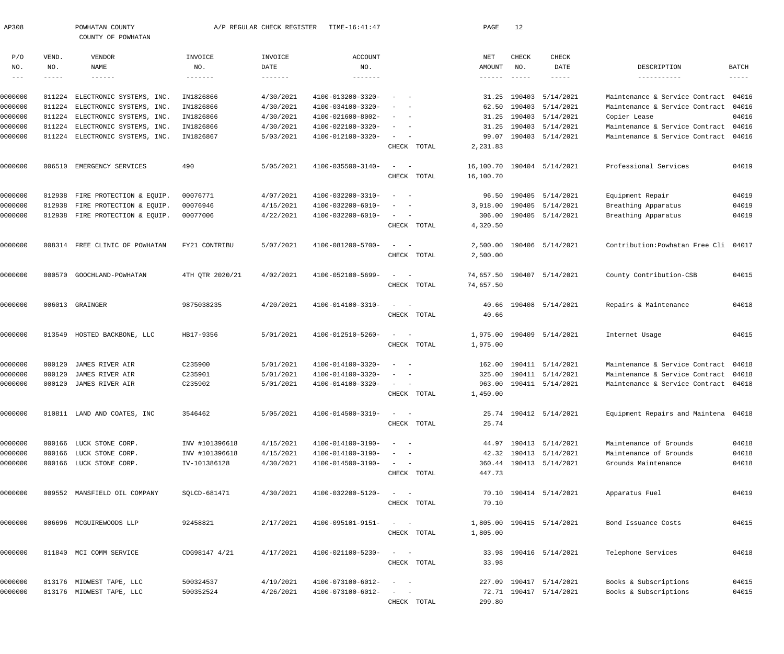| AP308               |                  | POWHATAN COUNTY<br>COUNTY OF POWHATAN                |                        | A/P REGULAR CHECK REGISTER | TIME-16:41:47                          |                                                           |             | PAGE           | 12            |                                      |                                                |                |
|---------------------|------------------|------------------------------------------------------|------------------------|----------------------------|----------------------------------------|-----------------------------------------------------------|-------------|----------------|---------------|--------------------------------------|------------------------------------------------|----------------|
| P/O                 | VEND.            | VENDOR                                               | INVOICE                | INVOICE                    | <b>ACCOUNT</b>                         |                                                           |             | NET            | <b>CHECK</b>  | CHECK                                |                                                |                |
| NO.                 | NO.              | NAME                                                 | NO.                    | DATE                       | NO.                                    |                                                           |             | AMOUNT         | NO.           | DATE                                 | DESCRIPTION                                    | BATCH          |
| $\qquad \qquad - -$ | -----            | $- - - - - -$                                        | -------                | $- - - - - - -$            | -------                                |                                                           |             | $- - - - - -$  | $- - - - - -$ | $- - - - -$                          | -----------                                    | $------$       |
|                     |                  |                                                      |                        |                            |                                        |                                                           |             |                |               |                                      |                                                |                |
| 0000000             | 011224           | ELECTRONIC SYSTEMS, INC.                             | IN1826866              | 4/30/2021                  | 4100-013200-3320-                      |                                                           |             | 31.25          |               | 190403 5/14/2021                     | Maintenance & Service Contract                 | 04016          |
| 0000000             | 011224           | ELECTRONIC SYSTEMS, INC.                             | IN1826866              | 4/30/2021                  | 4100-034100-3320-                      |                                                           |             | 62.50          |               | 190403 5/14/2021                     | Maintenance & Service Contract                 | 04016          |
| 0000000             | 011224           | ELECTRONIC SYSTEMS, INC.                             | IN1826866              | 4/30/2021                  | 4100-021600-8002-<br>4100-022100-3320- |                                                           |             | 31.25          |               | 190403 5/14/2021                     | Copier Lease<br>Maintenance & Service Contract | 04016<br>04016 |
| 0000000             | 011224<br>011224 | ELECTRONIC SYSTEMS, INC.<br>ELECTRONIC SYSTEMS, INC. | IN1826866<br>IN1826867 | 4/30/2021<br>5/03/2021     | 4100-012100-3320-                      |                                                           |             | 31.25<br>99.07 |               | 190403 5/14/2021<br>190403 5/14/2021 | Maintenance & Service Contract                 | 04016          |
| 0000000             |                  |                                                      |                        |                            |                                        |                                                           | CHECK TOTAL | 2,231.83       |               |                                      |                                                |                |
| 0000000             | 006510           | EMERGENCY SERVICES                                   | 490                    | 5/05/2021                  | 4100-035500-3140-                      |                                                           |             |                |               | 16,100.70 190404 5/14/2021           | Professional Services                          | 04019          |
|                     |                  |                                                      |                        |                            |                                        |                                                           | CHECK TOTAL | 16,100.70      |               |                                      |                                                |                |
| 0000000             | 012938           | FIRE PROTECTION & EQUIP.                             | 00076771               | 4/07/2021                  | 4100-032200-3310-                      |                                                           |             | 96.50          |               | 190405 5/14/2021                     | Equipment Repair                               | 04019          |
| 0000000             | 012938           | FIRE PROTECTION & EQUIP.                             | 00076946               | 4/15/2021                  | 4100-032200-6010-                      |                                                           |             | 3,918.00       |               | 190405 5/14/2021                     | Breathing Apparatus                            | 04019          |
| 0000000             | 012938           | FIRE PROTECTION & EQUIP.                             | 00077006               | 4/22/2021                  | 4100-032200-6010-                      |                                                           |             | 306.00         |               | 190405 5/14/2021                     | Breathing Apparatus                            | 04019          |
|                     |                  |                                                      |                        |                            |                                        |                                                           | CHECK TOTAL | 4,320.50       |               |                                      |                                                |                |
| 0000000             |                  | 008314 FREE CLINIC OF POWHATAN                       | FY21 CONTRIBU          | 5/07/2021                  | 4100-081200-5700-                      |                                                           |             | 2,500.00       |               | 190406 5/14/2021                     | Contribution: Powhatan Free Cli 04017          |                |
|                     |                  |                                                      |                        |                            |                                        |                                                           | CHECK TOTAL | 2,500.00       |               |                                      |                                                |                |
| 0000000             | 000570           | GOOCHLAND-POWHATAN                                   | 4TH QTR 2020/21        | 4/02/2021                  | 4100-052100-5699-                      |                                                           |             | 74,657.50      |               | 190407 5/14/2021                     | County Contribution-CSB                        | 04015          |
|                     |                  |                                                      |                        |                            |                                        |                                                           | CHECK TOTAL | 74,657.50      |               |                                      |                                                |                |
| 0000000             |                  | 006013 GRAINGER                                      | 9875038235             | 4/20/2021                  | 4100-014100-3310-                      |                                                           |             | 40.66          |               | 190408 5/14/2021                     | Repairs & Maintenance                          | 04018          |
|                     |                  |                                                      |                        |                            |                                        |                                                           | CHECK TOTAL | 40.66          |               |                                      |                                                |                |
| 0000000             | 013549           | HOSTED BACKBONE, LLC                                 | HB17-9356              | 5/01/2021                  | 4100-012510-5260-                      |                                                           |             |                |               | 1,975.00 190409 5/14/2021            | Internet Usage                                 | 04015          |
|                     |                  |                                                      |                        |                            |                                        |                                                           | CHECK TOTAL | 1,975.00       |               |                                      |                                                |                |
| 0000000             | 000120           | JAMES RIVER AIR                                      | C235900                | 5/01/2021                  | 4100-014100-3320-                      |                                                           |             | 162.00         |               | 190411 5/14/2021                     | Maintenance & Service Contract                 | 04018          |
| 0000000             | 000120           | JAMES RIVER AIR                                      | C235901                | 5/01/2021                  | 4100-014100-3320-                      |                                                           |             | 325.00         |               | 190411 5/14/2021                     | Maintenance & Service Contract                 | 04018          |
| 0000000             | 000120           | JAMES RIVER AIR                                      | C235902                | 5/01/2021                  | 4100-014100-3320-                      |                                                           |             |                |               | 963.00 190411 5/14/2021              | Maintenance & Service Contract 04018           |                |
|                     |                  |                                                      |                        |                            |                                        |                                                           | CHECK TOTAL | 1,450.00       |               |                                      |                                                |                |
| 0000000             |                  | 010811 LAND AND COATES, INC                          | 3546462                | 5/05/2021                  | 4100-014500-3319-                      | $\mathcal{L}_{\text{max}}$ and $\mathcal{L}_{\text{max}}$ |             |                |               | 25.74 190412 5/14/2021               | Equipment Repairs and Maintena 04018           |                |
|                     |                  |                                                      |                        |                            |                                        |                                                           | CHECK TOTAL | 25.74          |               |                                      |                                                |                |
| 0000000             |                  | 000166 LUCK STONE CORP.                              | INV #101396618         | 4/15/2021                  | 4100-014100-3190-                      | $\sim$<br>$\sim$ $-$                                      |             |                |               | 44.97 190413 5/14/2021               | Maintenance of Grounds                         | 04018          |
| 0000000             | 000166           | LUCK STONE CORP.                                     | INV #101396618         | 4/15/2021                  | 4100-014100-3190-                      | $\sim$<br>$\sim$ $-$                                      |             |                |               | 42.32 190413 5/14/2021               | Maintenance of Grounds                         | 04018          |
| 0000000             |                  | 000166 LUCK STONE CORP.                              | IV-101386128           | 4/30/2021                  | 4100-014500-3190-                      | $\sim$ $  -$                                              |             |                |               | 360.44 190413 5/14/2021              | Grounds Maintenance                            | 04018          |
|                     |                  |                                                      |                        |                            |                                        |                                                           | CHECK TOTAL | 447.73         |               |                                      |                                                |                |
| 0000000             |                  | 009552 MANSFIELD OIL COMPANY                         | SQLCD-681471           | 4/30/2021                  | 4100-032200-5120-                      | $\sim$ $ -$                                               |             |                |               | 70.10 190414 5/14/2021               | Apparatus Fuel                                 | 04019          |
|                     |                  |                                                      |                        |                            |                                        |                                                           | CHECK TOTAL | 70.10          |               |                                      |                                                |                |
| 0000000             |                  | 006696 MCGUIREWOODS LLP                              | 92458821               | 2/17/2021                  | 4100-095101-9151-                      | $\sim$ $  -$                                              |             |                |               | 1,805.00 190415 5/14/2021            | Bond Issuance Costs                            | 04015          |
|                     |                  |                                                      |                        |                            |                                        |                                                           | CHECK TOTAL | 1,805.00       |               |                                      |                                                |                |
| 0000000             |                  | 011840 MCI COMM SERVICE                              | CDG98147 4/21          | 4/17/2021                  | 4100-021100-5230-                      | $\sim$ $-$                                                |             |                |               | 33.98 190416 5/14/2021               | Telephone Services                             | 04018          |
|                     |                  |                                                      |                        |                            |                                        |                                                           | CHECK TOTAL | 33.98          |               |                                      |                                                |                |
| 0000000             |                  | 013176 MIDWEST TAPE, LLC                             | 500324537              | 4/19/2021                  | 4100-073100-6012-                      | $\sim$ $-$                                                |             |                |               | 227.09 190417 5/14/2021              | Books & Subscriptions                          | 04015          |
| 0000000             |                  | 013176 MIDWEST TAPE, LLC                             | 500352524              | 4/26/2021                  | 4100-073100-6012-                      |                                                           |             |                |               | 72.71 190417 5/14/2021               | Books & Subscriptions                          | 04015          |
|                     |                  |                                                      |                        |                            |                                        |                                                           | CHECK TOTAL | 299.80         |               |                                      |                                                |                |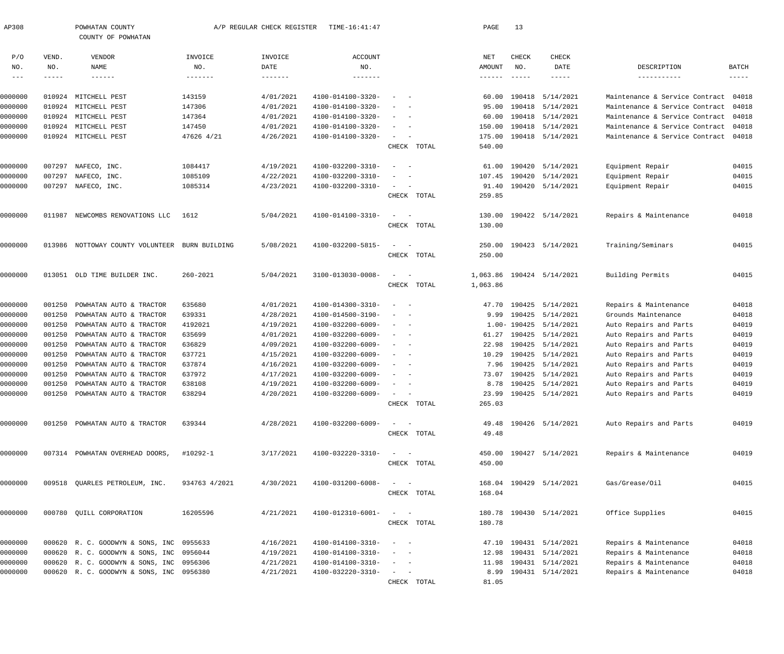| AP308              |                  | POWHATAN COUNTY<br>COUNTY OF POWHATAN              |                  | A/P REGULAR CHECK REGISTER | TIME-16:41:47                          |                                                   |       | PAGE          | 13            |                                           |                                                  |                      |
|--------------------|------------------|----------------------------------------------------|------------------|----------------------------|----------------------------------------|---------------------------------------------------|-------|---------------|---------------|-------------------------------------------|--------------------------------------------------|----------------------|
| P/O                | VEND.            | VENDOR                                             | INVOICE          | INVOICE                    | ACCOUNT                                |                                                   |       | NET           | <b>CHECK</b>  | <b>CHECK</b>                              |                                                  |                      |
| NO.                | NO.              | NAME                                               | NO.              | DATE                       | NO.                                    |                                                   |       | AMOUNT        | NO.           | DATE                                      | DESCRIPTION                                      | <b>BATCH</b>         |
| $---$              | -----            | $- - - - - - -$                                    | -------          |                            |                                        |                                                   |       | $- - - - - -$ | $\frac{1}{2}$ | -----                                     | -----------                                      | $\cdots\cdots\cdots$ |
| 0000000            | 010924           | MITCHELL PEST                                      | 143159           | 4/01/2021                  | 4100-014100-3320-                      |                                                   |       | 60.00         |               | 190418 5/14/2021                          | Maintenance & Service Contract                   | 04018                |
| 0000000            | 010924           | MITCHELL PEST                                      | 147306           | 4/01/2021                  | 4100-014100-3320-                      |                                                   |       |               |               | 95.00 190418 5/14/2021                    | Maintenance & Service Contract                   | 04018                |
| 0000000            | 010924           | MITCHELL PEST                                      | 147364           | 4/01/2021                  | 4100-014100-3320-                      |                                                   |       |               |               | 60.00 190418 5/14/2021                    | Maintenance & Service Contract                   | 04018                |
| 0000000            | 010924           | MITCHELL PEST                                      | 147450           | 4/01/2021                  | 4100-014100-3320-                      |                                                   |       | 150.00        |               | 190418 5/14/2021                          | Maintenance & Service Contract                   | 04018                |
| 0000000            | 010924           | MITCHELL PEST                                      | 47626 4/21       | 4/26/2021                  | 4100-014100-3320-                      | $\sim$                                            |       |               |               | 175.00 190418 5/14/2021                   | Maintenance & Service Contract 04018             |                      |
|                    |                  |                                                    |                  |                            |                                        | CHECK                                             | TOTAL | 540.00        |               |                                           |                                                  |                      |
| 0000000            | 007297           | NAFECO, INC.                                       | 1084417          | 4/19/2021                  | 4100-032200-3310-                      |                                                   |       | 61.00         |               | 190420 5/14/2021                          | Equipment Repair                                 | 04015                |
| 0000000            | 007297           | NAFECO, INC.                                       | 1085109          | 4/22/2021                  | 4100-032200-3310-                      |                                                   |       |               |               | 107.45 190420 5/14/2021                   | Equipment Repair                                 | 04015                |
| 0000000            | 007297           | NAFECO, INC.                                       | 1085314          | 4/23/2021                  | 4100-032200-3310-                      | $\sim$                                            |       |               |               | 91.40 190420 5/14/2021                    | Equipment Repair                                 | 04015                |
|                    |                  |                                                    |                  |                            |                                        | CHECK TOTAL                                       |       | 259.85        |               |                                           |                                                  |                      |
|                    |                  |                                                    |                  |                            |                                        |                                                   |       |               |               |                                           |                                                  |                      |
| 0000000            | 011987           | NEWCOMBS RENOVATIONS LLC                           | 1612             | 5/04/2021                  | 4100-014100-3310-                      |                                                   |       | 130.00        |               | 190422 5/14/2021                          | Repairs & Maintenance                            | 04018                |
|                    |                  |                                                    |                  |                            |                                        | CHECK TOTAL                                       |       | 130.00        |               |                                           |                                                  |                      |
| 0000000            | 013986           | NOTTOWAY COUNTY VOLUNTEER                          | BURN BUILDING    | 5/08/2021                  | 4100-032200-5815-                      |                                                   |       | 250.00        |               | 190423 5/14/2021                          | Training/Seminars                                | 04015                |
|                    |                  |                                                    |                  |                            |                                        | CHECK TOTAL                                       |       | 250.00        |               |                                           |                                                  |                      |
| 0000000            |                  | 013051 OLD TIME BUILDER INC.                       | $260 - 2021$     | 5/04/2021                  | 3100-013030-0008-                      | $\equiv$                                          |       | 1,063.86      |               | 190424 5/14/2021                          | Building Permits                                 | 04015                |
|                    |                  |                                                    |                  |                            |                                        | CHECK TOTAL                                       |       | 1,063.86      |               |                                           |                                                  |                      |
|                    |                  |                                                    |                  |                            |                                        |                                                   |       |               |               |                                           |                                                  |                      |
| 0000000            | 001250           | POWHATAN AUTO & TRACTOR                            | 635680           | 4/01/2021                  | 4100-014300-3310-                      |                                                   |       |               |               | 47.70 190425 5/14/2021                    | Repairs & Maintenance                            | 04018                |
| 0000000            | 001250           | POWHATAN AUTO & TRACTOR                            | 639331           | 4/28/2021                  | 4100-014500-3190-                      |                                                   |       |               |               | 9.99 190425 5/14/2021                     | Grounds Maintenance                              | 04018                |
| 0000000            | 001250           | POWHATAN AUTO & TRACTOR                            | 4192021          | 4/19/2021                  | 4100-032200-6009-                      |                                                   |       |               |               | 1.00-190425 5/14/2021                     | Auto Repairs and Parts                           | 04019                |
| 0000000            | 001250           | POWHATAN AUTO & TRACTOR                            | 635699           | 4/01/2021                  | 4100-032200-6009-                      | $\overline{\phantom{a}}$                          |       | 61.27         |               | 190425 5/14/2021                          | Auto Repairs and Parts                           | 04019                |
| 0000000            | 001250           | POWHATAN AUTO & TRACTOR                            | 636829           | 4/09/2021                  | 4100-032200-6009-                      | $\overline{\phantom{a}}$                          |       | 22.98         |               | 190425 5/14/2021                          | Auto Repairs and Parts                           | 04019                |
| 0000000            | 001250           | POWHATAN AUTO & TRACTOR                            | 637721           | 4/15/2021                  | 4100-032200-6009-                      |                                                   |       | 10.29         |               | 190425 5/14/2021<br>7.96 190425 5/14/2021 | Auto Repairs and Parts<br>Auto Repairs and Parts | 04019<br>04019       |
| 0000000            | 001250           | POWHATAN AUTO & TRACTOR                            | 637874           | 4/16/2021                  | 4100-032200-6009-                      |                                                   |       |               |               |                                           | Auto Repairs and Parts                           | 04019                |
| 0000000<br>0000000 | 001250<br>001250 | POWHATAN AUTO & TRACTOR<br>POWHATAN AUTO & TRACTOR | 637972<br>638108 | 4/17/2021<br>4/19/2021     | 4100-032200-6009-<br>4100-032200-6009- |                                                   |       | 73.07         |               | 190425 5/14/2021<br>8.78 190425 5/14/2021 | Auto Repairs and Parts                           | 04019                |
| 0000000            | 001250           | POWHATAN AUTO & TRACTOR                            | 638294           | 4/20/2021                  | $4100 - 032200 - 6009 -$               |                                                   |       |               |               | 23.99 190425 5/14/2021                    | Auto Repairs and Parts                           | 04019                |
|                    |                  |                                                    |                  |                            |                                        | CHECK TOTAL                                       |       | 265.03        |               |                                           |                                                  |                      |
|                    |                  |                                                    |                  |                            |                                        |                                                   |       |               |               |                                           |                                                  |                      |
| 0000000            |                  | 001250 POWHATAN AUTO & TRACTOR                     | 639344           | 4/28/2021                  | 4100-032200-6009-                      | $\sim$                                            |       |               |               | 49.48 190426 5/14/2021                    | Auto Repairs and Parts                           | 04019                |
|                    |                  |                                                    |                  |                            |                                        | CHECK TOTAL                                       |       | 49.48         |               |                                           |                                                  |                      |
| 0000000            |                  | 007314 POWHATAN OVERHEAD DOORS,                    | #10292-1         | 3/17/2021                  | 4100-032220-3310-                      |                                                   |       |               |               | 450.00 190427 5/14/2021                   | Repairs & Maintenance                            | 04019                |
|                    |                  |                                                    |                  |                            |                                        | CHECK TOTAL                                       |       | 450.00        |               |                                           |                                                  |                      |
| 0000000            |                  | 009518 QUARLES PETROLEUM, INC.                     | 934763 4/2021    | 4/30/2021                  | 4100-031200-6008-                      |                                                   |       |               |               | 168.04 190429 5/14/2021                   | Gas/Grease/Oil                                   | 04015                |
|                    |                  |                                                    |                  |                            |                                        | CHECK TOTAL                                       |       | 168.04        |               |                                           |                                                  |                      |
|                    |                  |                                                    |                  |                            |                                        |                                                   |       |               |               |                                           |                                                  |                      |
| 0000000            |                  | 000780 QUILL CORPORATION                           | 16205596         | 4/21/2021                  | 4100-012310-6001-                      | $\frac{1}{2}$ and $\frac{1}{2}$ and $\frac{1}{2}$ |       |               |               | 180.78 190430 5/14/2021                   | Office Supplies                                  | 04015                |
|                    |                  |                                                    |                  |                            |                                        | CHECK TOTAL                                       |       | 180.78        |               |                                           |                                                  |                      |
| 0000000            |                  | 000620 R. C. GOODWYN & SONS, INC 0955633           |                  | 4/16/2021                  | 4100-014100-3310-                      | $\sim$<br>$\sim$ $-$                              |       |               |               | 47.10 190431 5/14/2021                    | Repairs & Maintenance                            | 04018                |
| 0000000            |                  | 000620 R. C. GOODWYN & SONS, INC                   | 0956044          | 4/19/2021                  | 4100-014100-3310-                      |                                                   |       |               |               | 12.98 190431 5/14/2021                    | Repairs & Maintenance                            | 04018                |
| 0000000            |                  | 000620 R. C. GOODWYN & SONS, INC                   | 0956306          | 4/21/2021                  | 4100-014100-3310-                      |                                                   |       |               |               | 11.98 190431 5/14/2021                    | Repairs & Maintenance                            | 04018                |
| 0000000            |                  | 000620 R. C. GOODWYN & SONS, INC 0956380           |                  | 4/21/2021                  | 4100-032220-3310-                      | $\sim$ 100 $\mu$                                  |       |               |               | 8.99 190431 5/14/2021                     | Repairs & Maintenance                            | 04018                |
|                    |                  |                                                    |                  |                            |                                        | CHECK TOTAL                                       |       | 81.05         |               |                                           |                                                  |                      |
|                    |                  |                                                    |                  |                            |                                        |                                                   |       |               |               |                                           |                                                  |                      |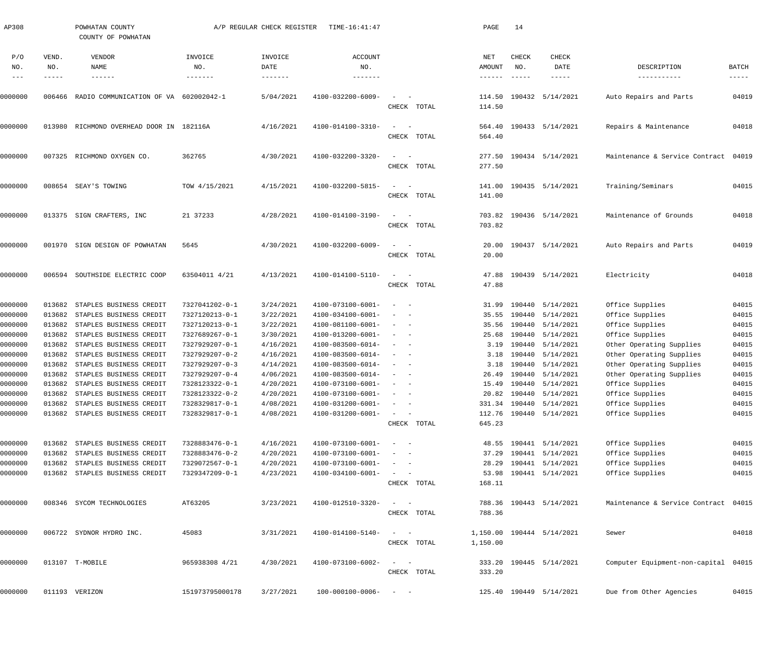| AP308         |              | POWHATAN COUNTY<br>COUNTY OF POWHATAN |                 | A/P REGULAR CHECK REGISTER | TIME-16:41:47                |                                                                  |             | PAGE             | 14            |                           |                                      |                      |
|---------------|--------------|---------------------------------------|-----------------|----------------------------|------------------------------|------------------------------------------------------------------|-------------|------------------|---------------|---------------------------|--------------------------------------|----------------------|
| P/O<br>NO.    | VEND.<br>NO. | VENDOR<br>NAME                        | INVOICE<br>NO.  | INVOICE<br>DATE            | <b>ACCOUNT</b><br>NO.        |                                                                  |             | NET<br>AMOUNT    | CHECK<br>NO.  | CHECK<br>DATE             | DESCRIPTION                          | <b>BATCH</b>         |
| $\frac{1}{2}$ | -----        | $- - - - - - -$                       | -------         |                            | $- - - - - - -$              |                                                                  |             | ------           | $- - - - - -$ | -----                     | -----------                          | $\cdots\cdots\cdots$ |
| 0000000       | 006466       | RADIO COMMUNICATION OF VA 602002042-1 |                 | 5/04/2021                  | 4100-032200-6009-            | CHECK TOTAL                                                      |             | 114.50<br>114.50 |               | 190432 5/14/2021          | Auto Repairs and Parts               | 04019                |
| 0000000       | 013980       | RICHMOND OVERHEAD DOOR IN 182116A     |                 | 4/16/2021                  | 4100-014100-3310-            | CHECK TOTAL                                                      |             | 564.40           |               | 564.40 190433 5/14/2021   | Repairs & Maintenance                | 04018                |
| 0000000       | 007325       | RICHMOND OXYGEN CO.                   | 362765          | 4/30/2021                  | 4100-032200-3320-            | CHECK TOTAL                                                      |             | 277.50           |               | 277.50 190434 5/14/2021   | Maintenance & Service Contract       | 04019                |
| 0000000       |              | 008654 SEAY'S TOWING                  | TOW 4/15/2021   | 4/15/2021                  | 4100-032200-5815-            | CHECK TOTAL                                                      |             | 141.00           |               | 141.00 190435 5/14/2021   | Training/Seminars                    | 04015                |
| 0000000       |              | 013375 SIGN CRAFTERS, INC             | 21 37233        | 4/28/2021                  | 4100-014100-3190-            | CHECK TOTAL                                                      |             | 703.82           |               | 703.82 190436 5/14/2021   | Maintenance of Grounds               | 04018                |
| 0000000       |              | 001970 SIGN DESIGN OF POWHATAN        | 5645            | 4/30/2021                  | 4100-032200-6009-            | CHECK TOTAL                                                      |             | 20.00            |               | 20.00 190437 5/14/2021    | Auto Repairs and Parts               | 04019                |
| 0000000       |              | 006594 SOUTHSIDE ELECTRIC COOP        | 63504011 4/21   | 4/13/2021                  | 4100-014100-5110-            | $\sim$<br>CHECK TOTAL                                            |             | 47.88<br>47.88   |               | 190439 5/14/2021          | Electricity                          | 04018                |
| 0000000       | 013682       | STAPLES BUSINESS CREDIT               | 7327041202-0-1  | 3/24/2021                  | 4100-073100-6001-            | $\sim$                                                           |             | 31.99            |               | 190440 5/14/2021          | Office Supplies                      | 04015                |
| 0000000       | 013682       | STAPLES BUSINESS CREDIT               | 7327120213-0-1  | 3/22/2021                  | 4100-034100-6001-            |                                                                  |             | 35.55            |               | 190440 5/14/2021          | Office Supplies                      | 04015                |
| 0000000       | 013682       | STAPLES BUSINESS CREDIT               | 7327120213-0-1  | 3/22/2021                  | 4100-081100-6001-            |                                                                  |             | 35.56            |               | 190440 5/14/2021          | Office Supplies                      | 04015                |
| 0000000       | 013682       | STAPLES BUSINESS CREDIT               | 7327689267-0-1  | 3/30/2021                  | 4100-013200-6001-            |                                                                  |             | 25.68            |               | 190440 5/14/2021          | Office Supplies                      | 04015                |
| 0000000       | 013682       | STAPLES BUSINESS CREDIT               | 7327929207-0-1  | 4/16/2021                  | 4100-083500-6014-            |                                                                  |             |                  |               | 3.19 190440 5/14/2021     | Other Operating Supplies             | 04015                |
| 0000000       | 013682       | STAPLES BUSINESS CREDIT               | 7327929207-0-2  | 4/16/2021                  | 4100-083500-6014-            |                                                                  |             | 3.18             |               | 190440 5/14/2021          | Other Operating Supplies             | 04015                |
| 0000000       | 013682       | STAPLES BUSINESS CREDIT               | 7327929207-0-3  | 4/14/2021                  | 4100-083500-6014-            |                                                                  |             |                  |               | 3.18 190440 5/14/2021     | Other Operating Supplies             | 04015                |
| 0000000       |              | 013682 STAPLES BUSINESS CREDIT        | 7327929207-0-4  | 4/06/2021                  | 4100-083500-6014-            |                                                                  |             |                  |               | 26.49 190440 5/14/2021    | Other Operating Supplies             | 04015                |
| 0000000       |              | 013682 STAPLES BUSINESS CREDIT        | 7328123322-0-1  | 4/20/2021                  | $4100 - 073100 - 6001 - - -$ |                                                                  |             |                  |               | 15.49 190440 5/14/2021    | Office Supplies                      | 04015                |
| 0000000       |              | 013682 STAPLES BUSINESS CREDIT        | 7328123322-0-2  | 4/20/2021                  | 4100-073100-6001-            |                                                                  |             |                  |               | 20.82 190440 5/14/2021    | Office Supplies                      | 04015                |
| 0000000       | 013682       | STAPLES BUSINESS CREDIT               | 7328329817-0-1  | 4/08/2021                  | $4100 - 031200 - 6001 -$     | $\frac{1}{2}$ and $\frac{1}{2}$ and $\frac{1}{2}$                |             |                  |               | 331.34 190440 5/14/2021   | Office Supplies                      | 04015                |
| 0000000       |              | 013682 STAPLES BUSINESS CREDIT        | 7328329817-0-1  | 4/08/2021                  | 4100-031200-6001-            | $\frac{1}{2}$ and $\frac{1}{2}$ and $\frac{1}{2}$<br>CHECK TOTAL |             | 645.23           |               | 112.76 190440 5/14/2021   | Office Supplies                      | 04015                |
| 0000000       |              | 013682 STAPLES BUSINESS CREDIT        | 7328883476-0-1  | 4/16/2021                  | 4100-073100-6001-            | $\sim$ $ -$                                                      |             |                  |               | 48.55 190441 5/14/2021    | Office Supplies                      | 04015                |
| 0000000       |              | 013682 STAPLES BUSINESS CREDIT        | 7328883476-0-2  | 4/20/2021                  | 4100-073100-6001-            | $\frac{1}{2}$ and $\frac{1}{2}$ and $\frac{1}{2}$                |             |                  |               | 37.29 190441 5/14/2021    | Office Supplies                      | 04015                |
| 0000000       |              | 013682 STAPLES BUSINESS CREDIT        | 7329072567-0-1  | 4/20/2021                  | 4100-073100-6001-            | $\sigma_{\rm{max}}=0.5$                                          |             |                  |               | 28.29 190441 5/14/2021    | Office Supplies                      | 04015                |
| 0000000       |              | 013682 STAPLES BUSINESS CREDIT        | 7329347209-0-1  | 4/23/2021                  | 4100-034100-6001-            | $\frac{1}{2}$ and $\frac{1}{2}$ and $\frac{1}{2}$                |             |                  |               | 53.98 190441 5/14/2021    | Office Supplies                      | 04015                |
|               |              |                                       |                 |                            |                              |                                                                  | CHECK TOTAL | 168.11           |               |                           |                                      |                      |
| 0000000       |              | 008346 SYCOM TECHNOLOGIES             | AT63205         | 3/23/2021                  | 4100-012510-3320-            | $\frac{1}{2}$ and $\frac{1}{2}$ and $\frac{1}{2}$<br>CHECK TOTAL |             | 788.36           |               | 788.36 190443 5/14/2021   | Maintenance & Service Contract 04015 |                      |
| 0000000       |              | 006722 SYDNOR HYDRO INC.              | 45083           | 3/31/2021                  | 4100-014100-5140-            | $\qquad \qquad -$                                                | CHECK TOTAL | 1,150.00         |               | 1,150.00 190444 5/14/2021 | Sewer                                | 04018                |
| 0000000       |              | 013107 T-MOBILE                       | 965938308 4/21  | 4/30/2021                  | 4100-073100-6002-            | $\frac{1}{2}$ and $\frac{1}{2}$ and $\frac{1}{2}$                | CHECK TOTAL | 333.20           |               | 333.20 190445 5/14/2021   | Computer Equipment-non-capital 04015 |                      |
| 0000000       |              | 011193 VERIZON                        | 151973795000178 | 3/27/2021                  | $100 - 000100 - 0006 - - -$  |                                                                  |             |                  |               | 125.40 190449 5/14/2021   | Due from Other Agencies              | 04015                |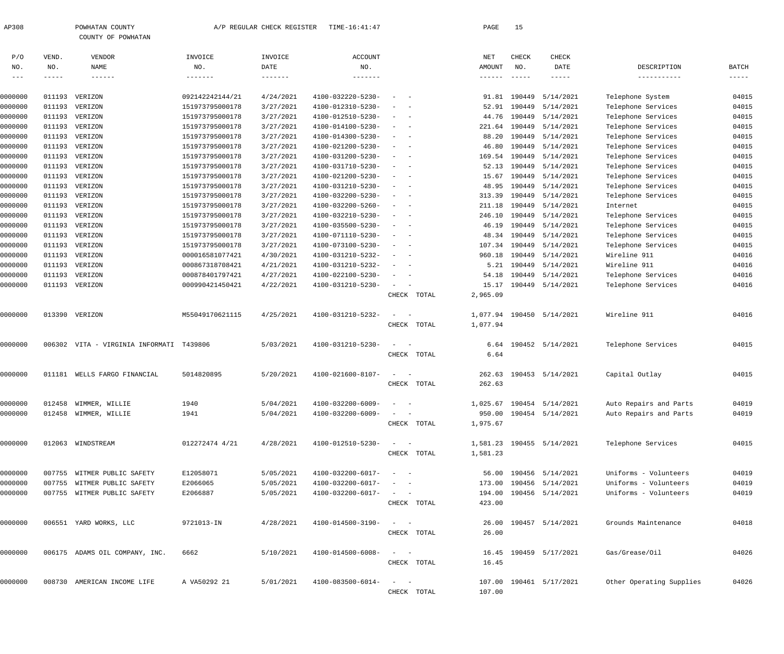| AP308 | COUNTY<br>POWHATAN | REGULAR CHECK REGISTER | TIME-16:41:47 | PAGE | $\sim$ $\sim$ |
|-------|--------------------|------------------------|---------------|------|---------------|
|       | COUNTY OF POWHATAN |                        |               |      |               |

| P/O     | VEND.  | VENDOR                                   | INVOICE         | INVOICE   | <b>ACCOUNT</b>    |                                                           | NET             | CHECK         | CHECK                     |                          |               |
|---------|--------|------------------------------------------|-----------------|-----------|-------------------|-----------------------------------------------------------|-----------------|---------------|---------------------------|--------------------------|---------------|
| NO.     | NO.    | NAME                                     | NO.             | DATE      | NO.               |                                                           | <b>AMOUNT</b>   | NO.           | DATE                      | DESCRIPTION              | BATCH         |
| $  -$   | -----  | $- - - - - - -$                          | -------         | -------   | -------           |                                                           | $- - - - - - -$ | $- - - - - -$ | $- - - - - -$             | -----------              | $- - - - - -$ |
|         |        |                                          |                 |           |                   |                                                           |                 |               |                           |                          |               |
| 0000000 | 011193 | VERIZON                                  | 092142242144/21 | 4/24/2021 | 4100-032220-5230- | $\overline{\phantom{a}}$<br>$\overline{\phantom{0}}$      | 91.81           |               | 190449 5/14/2021          | Telephone System         | 04015         |
| 0000000 | 011193 | VERIZON                                  | 151973795000178 | 3/27/2021 | 4100-012310-5230- | $\overline{\phantom{a}}$<br>$\sim$ $-$                    | 52.91           |               | 190449 5/14/2021          | Telephone Services       | 04015         |
| 0000000 | 011193 | VERIZON                                  | 151973795000178 | 3/27/2021 | 4100-012510-5230- | $ -$                                                      | 44.76           |               | 190449 5/14/2021          | Telephone Services       | 04015         |
| 0000000 | 011193 | VERIZON                                  | 151973795000178 | 3/27/2021 | 4100-014100-5230- | $\omega_{\rm{max}}$ and $\omega_{\rm{max}}$               | 221.64          |               | 190449 5/14/2021          | Telephone Services       | 04015         |
| 0000000 | 011193 | VERIZON                                  | 151973795000178 | 3/27/2021 | 4100-014300-5230- | $\sim$<br>$\sim$                                          | 88.20           |               | 190449 5/14/2021          | Telephone Services       | 04015         |
| 0000000 | 011193 | VERIZON                                  | 151973795000178 | 3/27/2021 | 4100-021200-5230- | $ -$                                                      | 46.80           |               | 190449 5/14/2021          | Telephone Services       | 04015         |
| 0000000 | 011193 | VERIZON                                  | 151973795000178 | 3/27/2021 | 4100-031200-5230- | $\omega_{\rm{max}}$ and $\omega_{\rm{max}}$               | 169.54          |               | 190449 5/14/2021          | Telephone Services       | 04015         |
| 0000000 | 011193 | VERIZON                                  | 151973795000178 | 3/27/2021 | 4100-031710-5230- | $\sim$<br>$\sim$                                          | 52.13           |               | 190449 5/14/2021          | Telephone Services       | 04015         |
| 0000000 | 011193 | VERIZON                                  | 151973795000178 | 3/27/2021 | 4100-021200-5230- | $ -$                                                      | 15.67           |               | 190449 5/14/2021          | Telephone Services       | 04015         |
| 0000000 | 011193 | VERIZON                                  | 151973795000178 | 3/27/2021 | 4100-031210-5230- | $ -$                                                      | 48.95           |               | 190449 5/14/2021          | Telephone Services       | 04015         |
| 0000000 | 011193 | VERIZON                                  | 151973795000178 | 3/27/2021 | 4100-032200-5230- | $\sim$<br>$\sim$                                          | 313.39          |               | 190449 5/14/2021          | Telephone Services       | 04015         |
| 0000000 | 011193 | VERIZON                                  | 151973795000178 | 3/27/2021 | 4100-032200-5260- | $ -$                                                      | 211.18          |               | 190449 5/14/2021          | Internet                 | 04015         |
| 0000000 | 011193 | VERIZON                                  | 151973795000178 | 3/27/2021 | 4100-032210-5230- | $ -$                                                      | 246.10          |               | 190449 5/14/2021          | Telephone Services       | 04015         |
| 0000000 | 011193 | VERIZON                                  | 151973795000178 | 3/27/2021 | 4100-035500-5230- | $\sim$ $-$<br>$\sim$                                      | 46.19           |               | 190449 5/14/2021          | Telephone Services       | 04015         |
| 0000000 | 011193 | VERIZON                                  | 151973795000178 | 3/27/2021 | 4100-071110-5230- | $\omega_{\rm{max}}=0.000$                                 | 48.34           |               | 190449 5/14/2021          | Telephone Services       | 04015         |
| 0000000 | 011193 | VERIZON                                  | 151973795000178 | 3/27/2021 | 4100-073100-5230- | $ -$                                                      | 107.34          |               | 190449 5/14/2021          | Telephone Services       | 04015         |
| 0000000 | 011193 | VERIZON                                  | 000016581077421 | 4/30/2021 | 4100-031210-5232- | $\sim$<br>$\sim$                                          | 960.18          |               | 190449 5/14/2021          | Wireline 911             | 04016         |
| 0000000 | 011193 | VERIZON                                  | 000867318708421 | 4/21/2021 | 4100-031210-5232- | $\sim$<br>$\sim$ $-$                                      | 5.21            |               | 190449 5/14/2021          | Wireline 911             | 04016         |
| 0000000 | 011193 | VERIZON                                  | 000878401797421 | 4/27/2021 | 4100-022100-5230- | $\sim$<br>$\sim$                                          | 54.18           |               | 190449 5/14/2021          | Telephone Services       | 04016         |
| 0000000 |        | 011193 VERIZON                           | 000990421450421 | 4/22/2021 | 4100-031210-5230- | $\sim$                                                    | 15.17           |               | 190449 5/14/2021          | Telephone Services       | 04016         |
|         |        |                                          |                 |           |                   | CHECK TOTAL                                               | 2,965.09        |               |                           |                          |               |
|         |        |                                          |                 |           |                   |                                                           |                 |               |                           |                          |               |
| 0000000 |        | 013390 VERIZON                           | M55049170621115 | 4/25/2021 | 4100-031210-5232- | $\equiv$                                                  |                 |               | 1,077.94 190450 5/14/2021 | Wireline 911             | 04016         |
|         |        |                                          |                 |           |                   | CHECK TOTAL                                               | 1,077.94        |               |                           |                          |               |
| 0000000 |        | 006302 VITA - VIRGINIA INFORMATI T439806 |                 | 5/03/2021 | 4100-031210-5230- | $\equiv$                                                  | 6.64            |               | 190452 5/14/2021          | Telephone Services       | 04015         |
|         |        |                                          |                 |           |                   | CHECK TOTAL                                               | 6.64            |               |                           |                          |               |
|         |        |                                          |                 |           |                   |                                                           |                 |               |                           |                          |               |
| 0000000 | 011181 | WELLS FARGO FINANCIAL                    | 5014820895      | 5/20/2021 | 4100-021600-8107- | $\equiv$                                                  | 262.63          |               | 190453 5/14/2021          | Capital Outlay           | 04015         |
|         |        |                                          |                 |           |                   | CHECK TOTAL                                               | 262.63          |               |                           |                          |               |
|         |        |                                          |                 |           |                   |                                                           |                 |               |                           |                          |               |
| 0000000 | 012458 | WIMMER, WILLIE                           | 1940            | 5/04/2021 | 4100-032200-6009- |                                                           | 1,025.67        |               | 190454 5/14/2021          | Auto Repairs and Parts   | 04019         |
| 0000000 |        | 012458 WIMMER, WILLIE                    | 1941            | 5/04/2021 | 4100-032200-6009- |                                                           |                 |               | 950.00 190454 5/14/2021   | Auto Repairs and Parts   | 04019         |
|         |        |                                          |                 |           |                   | CHECK TOTAL                                               | 1,975.67        |               |                           |                          |               |
| 0000000 |        | 012063 WINDSTREAM                        | 012272474 4/21  | 4/28/2021 | 4100-012510-5230- |                                                           |                 |               | 1,581.23 190455 5/14/2021 | Telephone Services       | 04015         |
|         |        |                                          |                 |           |                   | CHECK TOTAL                                               | 1,581.23        |               |                           |                          |               |
|         |        |                                          |                 |           |                   |                                                           |                 |               |                           |                          |               |
| 0000000 |        | 007755 WITMER PUBLIC SAFETY              | E12058071       | 5/05/2021 | 4100-032200-6017- | $\begin{array}{cccccccccc} - & & & & & & & - \end{array}$ |                 |               | 56.00 190456 5/14/2021    | Uniforms - Volunteers    | 04019         |
| 0000000 |        | 007755 WITMER PUBLIC SAFETY              | E2066065        | 5/05/2021 | 4100-032200-6017- |                                                           | 173.00          |               | 190456 5/14/2021          | Uniforms - Volunteers    | 04019         |
| 0000000 |        | 007755 WITMER PUBLIC SAFETY              | E2066887        | 5/05/2021 | 4100-032200-6017- | $\qquad \qquad -$                                         | 194.00          |               | 190456 5/14/2021          | Uniforms - Volunteers    | 04019         |
|         |        |                                          |                 |           |                   | CHECK TOTAL                                               | 423.00          |               |                           |                          |               |
|         |        |                                          |                 |           |                   |                                                           |                 |               |                           |                          |               |
| 0000000 |        | 006551 YARD WORKS, LLC                   | 9721013-IN      | 4/28/2021 | 4100-014500-3190- | $\sim$ $  -$                                              | 26.00           |               | 190457 5/14/2021          | Grounds Maintenance      | 04018         |
|         |        |                                          |                 |           |                   | CHECK TOTAL                                               | 26.00           |               |                           |                          |               |
|         |        |                                          |                 |           |                   |                                                           |                 |               |                           |                          |               |
| 0000000 |        | 006175 ADAMS OIL COMPANY, INC.           | 6662            | 5/10/2021 | 4100-014500-6008- | $\begin{array}{cccccccccc} - & & & & & & & - \end{array}$ | 16.45           |               | 190459 5/17/2021          | Gas/Grease/Oil           | 04026         |
|         |        |                                          |                 |           |                   | CHECK TOTAL                                               | 16.45           |               |                           |                          |               |
| 0000000 |        | 008730 AMERICAN INCOME LIFE              | A VA50292 21    | 5/01/2021 | 4100-083500-6014- | $\begin{array}{cccccccccc} - & & & & & & & - \end{array}$ |                 |               | 107.00 190461 5/17/2021   | Other Operating Supplies | 04026         |
|         |        |                                          |                 |           |                   | CHECK TOTAL                                               | 107.00          |               |                           |                          |               |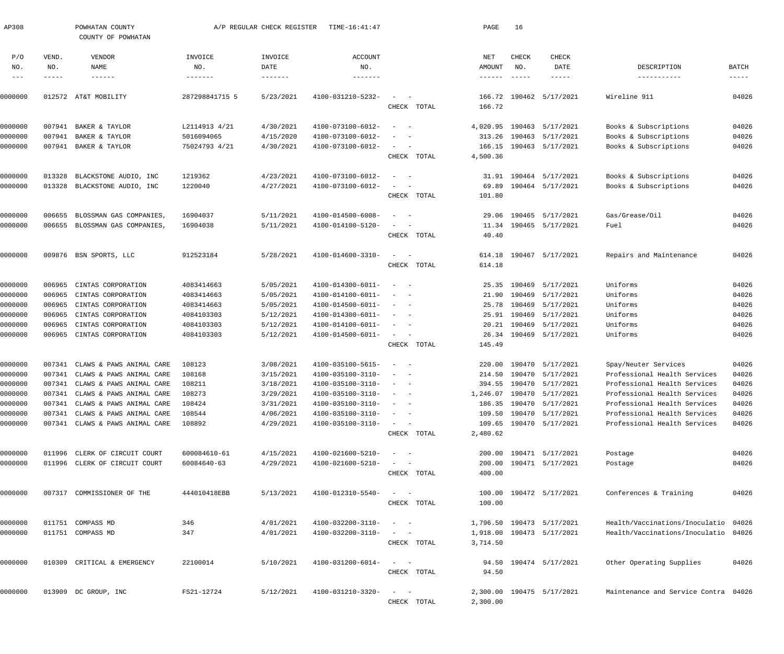| AP308               |              | POWHATAN COUNTY<br>COUNTY OF POWHATAN  |                | A/P REGULAR CHECK REGISTER | TIME-16:41:47                |                                                                                                                          |             | PAGE                       | 16            |                           |                                      |               |
|---------------------|--------------|----------------------------------------|----------------|----------------------------|------------------------------|--------------------------------------------------------------------------------------------------------------------------|-------------|----------------------------|---------------|---------------------------|--------------------------------------|---------------|
| P/O<br>NO.          | VEND.<br>NO. | VENDOR<br>NAME                         | INVOICE<br>NO. | INVOICE<br>DATE            | <b>ACCOUNT</b><br>NO.        |                                                                                                                          |             | NET<br>AMOUNT              | CHECK<br>NO.  | CHECK<br>DATE             | DESCRIPTION                          | BATCH         |
| $\qquad \qquad - -$ | -----        | $- - - - - - -$                        |                | -------                    | --------                     |                                                                                                                          |             | $\cdots\cdots\cdots\cdots$ | $- - - - - -$ | -----                     | -----------                          | $- - - - - -$ |
|                     |              |                                        |                |                            |                              |                                                                                                                          |             |                            |               |                           |                                      |               |
| 0000000             |              | 012572 AT&T MOBILITY                   | 287298841715 5 | 5/23/2021                  | 4100-031210-5232-            |                                                                                                                          |             | 166.72                     |               | 190462 5/17/2021          | Wireline 911                         | 04026         |
|                     |              |                                        |                |                            |                              |                                                                                                                          | CHECK TOTAL | 166.72                     |               |                           |                                      |               |
| 0000000             | 007941       | BAKER & TAYLOR                         | L2114913 4/21  | 4/30/2021                  | 4100-073100-6012-            | $\overline{\phantom{a}}$<br>$\sim$                                                                                       |             | 4,020.95                   |               | 190463 5/17/2021          | Books & Subscriptions                | 04026         |
| 0000000             | 007941       | BAKER & TAYLOR                         | 5016094065     | 4/15/2020                  | 4100-073100-6012-            |                                                                                                                          |             |                            |               | 313.26 190463 5/17/2021   | Books & Subscriptions                | 04026         |
| 0000000             |              | 007941 BAKER & TAYLOR                  | 75024793 4/21  | 4/30/2021                  | 4100-073100-6012-            | $\sim$<br>$\sim$ $-$                                                                                                     |             | 166.15                     |               | 190463 5/17/2021          | Books & Subscriptions                | 04026         |
|                     |              |                                        |                |                            |                              |                                                                                                                          | CHECK TOTAL | 4,500.36                   |               |                           |                                      |               |
| 0000000             | 013328       | BLACKSTONE AUDIO, INC                  | 1219362        | 4/23/2021                  | 4100-073100-6012-            | $\overline{\phantom{0}}$                                                                                                 |             | 31.91                      |               | 190464 5/17/2021          | Books & Subscriptions                | 04026         |
| 0000000             | 013328       | BLACKSTONE AUDIO, INC                  | 1220040        | 4/27/2021                  | 4100-073100-6012-            |                                                                                                                          |             | 69.89                      |               | 190464 5/17/2021          | Books & Subscriptions                | 04026         |
|                     |              |                                        |                |                            |                              |                                                                                                                          | CHECK TOTAL | 101.80                     |               |                           |                                      |               |
| 0000000             | 006655       | BLOSSMAN GAS COMPANIES,                | 16904037       | 5/11/2021                  | 4100-014500-6008-            | $\sim$                                                                                                                   |             | 29.06                      | 190465        | 5/17/2021                 | Gas/Grease/Oil                       | 04026         |
| 0000000             |              | 006655 BLOSSMAN GAS COMPANIES,         | 16904038       | 5/11/2021                  | 4100-014100-5120-            | $\overline{\phantom{a}}$                                                                                                 |             | 11.34                      |               | 190465 5/17/2021          | Fuel                                 | 04026         |
|                     |              |                                        |                |                            |                              |                                                                                                                          | CHECK TOTAL | 40.40                      |               |                           |                                      |               |
| 0000000             |              | 009876 BSN SPORTS, LLC                 | 912523184      | 5/28/2021                  | 4100-014600-3310-            | $\sim$<br>$\sim$ $-$                                                                                                     |             | 614.18                     |               | 190467 5/17/2021          | Repairs and Maintenance              | 04026         |
|                     |              |                                        |                |                            |                              |                                                                                                                          | CHECK TOTAL | 614.18                     |               |                           |                                      |               |
| 0000000             | 006965       | CINTAS CORPORATION                     | 4083414663     | 5/05/2021                  | 4100-014300-6011-            | $\overline{\phantom{a}}$<br>$\sim$                                                                                       |             | 25.35                      | 190469        | 5/17/2021                 | Uniforms                             | 04026         |
| 0000000             | 006965       | CINTAS CORPORATION                     | 4083414663     | 5/05/2021                  | 4100-014100-6011-            |                                                                                                                          |             | 21.90                      |               | 190469 5/17/2021          | Uniforms                             | 04026         |
| 0000000             | 006965       | CINTAS CORPORATION                     | 4083414663     | 5/05/2021                  | 4100-014500-6011-            | $\hspace{0.1mm}-\hspace{0.1mm}$<br>$\sim$                                                                                |             | 25.78                      | 190469        | 5/17/2021                 | Uniforms                             | 04026         |
| 0000000             | 006965       | CINTAS CORPORATION                     | 4084103303     | 5/12/2021                  | 4100-014300-6011-            | $\overline{\phantom{a}}$<br>- -                                                                                          |             | 25.91                      | 190469        | 5/17/2021                 | Uniforms                             | 04026         |
| 0000000             | 006965       | CINTAS CORPORATION                     | 4084103303     | 5/12/2021                  | 4100-014100-6011-            | $\overline{\phantom{a}}$<br>- -                                                                                          |             | 20.21                      | 190469        | 5/17/2021                 | Uniforms                             | 04026         |
| 0000000             | 006965       | CINTAS CORPORATION                     | 4084103303     | 5/12/2021                  | 4100-014500-6011-            | $\sim$ $  -$                                                                                                             |             | 26.34                      |               | 190469 5/17/2021          | Uniforms                             | 04026         |
|                     |              |                                        |                |                            |                              |                                                                                                                          | CHECK TOTAL | 145.49                     |               |                           |                                      |               |
| 0000000             |              | 007341 CLAWS & PAWS ANIMAL CARE        | 108123         | 3/08/2021                  | 4100-035100-5615-            | $\sim$                                                                                                                   |             | 220.00                     |               | 190470 5/17/2021          | Spay/Neuter Services                 | 04026         |
| 0000000             | 007341       | CLAWS & PAWS ANIMAL CARE               | 108168         | 3/15/2021                  | 4100-035100-3110-            |                                                                                                                          |             | 214.50                     |               | 190470 5/17/2021          | Professional Health Services         | 04026         |
| 0000000             |              | 007341 CLAWS & PAWS ANIMAL CARE        | 108211         | 3/18/2021                  | 4100-035100-3110-            | $\hspace{0.1mm}-\hspace{0.1mm}$                                                                                          |             |                            |               | 394.55 190470 5/17/2021   | Professional Health Services         | 04026         |
| 0000000             |              | 007341 CLAWS & PAWS ANIMAL CARE 108273 |                | 3/29/2021                  | $4100 - 035100 - 3110 - - -$ |                                                                                                                          |             |                            |               | 1,246.07 190470 5/17/2021 | Professional Health Services         | 04026         |
| 0000000             |              | 007341 CLAWS & PAWS ANIMAL CARE        | 108424         | 3/31/2021                  | 4100-035100-3110-            | $\label{eq:1} \begin{array}{cccccccccc} \bullet & \bullet & \bullet & \bullet & \bullet & \bullet & \bullet \end{array}$ |             |                            |               | 186.35 190470 5/17/2021   | Professional Health Services         | 04026         |
| 0000000             |              | 007341 CLAWS & PAWS ANIMAL CARE        | 108544         | 4/06/2021                  | 4100-035100-3110-            |                                                                                                                          |             |                            |               | 109.50 190470 5/17/2021   | Professional Health Services         | 04026         |
| 0000000             |              | 007341 CLAWS & PAWS ANIMAL CARE        | 108892         | 4/29/2021                  | 4100-035100-3110-            | $\alpha \rightarrow \alpha \beta \gamma \gamma \gamma \gamma \gamma \gamma \gamma \gamma$                                |             |                            |               | 109.65 190470 5/17/2021   | Professional Health Services         | 04026         |
|                     |              |                                        |                |                            |                              |                                                                                                                          | CHECK TOTAL | 2,480.62                   |               |                           |                                      |               |
| 0000000             |              | 011996 CLERK OF CIRCUIT COURT          | 600084610-61   | 4/15/2021                  | 4100-021600-5210-            | $\alpha_{\rm{max}}=1.00$ and $\alpha_{\rm{max}}=0.00$                                                                    |             |                            |               | 200.00 190471 5/17/2021   | Postage                              | 04026         |
| 0000000             |              | 011996 CLERK OF CIRCUIT COURT          | 60084640-63    | 4/29/2021                  | 4100-021600-5210-            | $\alpha = 1, \ldots, n-1$                                                                                                |             |                            |               | 200.00 190471 5/17/2021   | Postage                              | 04026         |
|                     |              |                                        |                |                            |                              |                                                                                                                          | CHECK TOTAL | 400.00                     |               |                           |                                      |               |
| 0000000             |              | 007317 COMMISSIONER OF THE             | 444010418EBB   | 5/13/2021                  | 4100-012310-5540-            | $\alpha$ and $\alpha$ and $\alpha$                                                                                       |             |                            |               | 100.00 190472 5/17/2021   | Conferences & Training               | 04026         |
|                     |              |                                        |                |                            |                              |                                                                                                                          | CHECK TOTAL | 100.00                     |               |                           |                                      |               |
| 0000000             |              | 011751 COMPASS MD                      | 346            | 4/01/2021                  | 4100-032200-3110-            | $\alpha_{\rm{max}}=1.00$ and $\alpha_{\rm{max}}=0.00$                                                                    |             |                            |               | 1,796.50 190473 5/17/2021 | Health/Vaccinations/Inoculatio 04026 |               |
| 0000000             |              | 011751 COMPASS MD                      | 347            | 4/01/2021                  | 4100-032200-3110-            | $\alpha$ and $\alpha$ and $\alpha$                                                                                       |             |                            |               | 1,918.00 190473 5/17/2021 | Health/Vaccinations/Inoculatio 04026 |               |
|                     |              |                                        |                |                            |                              |                                                                                                                          | CHECK TOTAL | 3,714.50                   |               |                           |                                      |               |
| 0000000             |              | 010309 CRITICAL & EMERGENCY            | 22100014       | 5/10/2021                  | 4100-031200-6014-            | $\alpha = 1, \ldots, \alpha$ .                                                                                           |             |                            |               | 94.50 190474 5/17/2021    | Other Operating Supplies             | 04026         |
|                     |              |                                        |                |                            |                              |                                                                                                                          | CHECK TOTAL | 94.50                      |               |                           |                                      |               |
| 0000000             |              | 013909 DC GROUP, INC                   | FS21-12724     | 5/12/2021                  | 4100-031210-3320-            | $\alpha = 1, \ldots, n-1$                                                                                                |             |                            |               | 2,300.00 190475 5/17/2021 | Maintenance and Service Contra 04026 |               |
|                     |              |                                        |                |                            |                              |                                                                                                                          | CHECK TOTAL | 2,300.00                   |               |                           |                                      |               |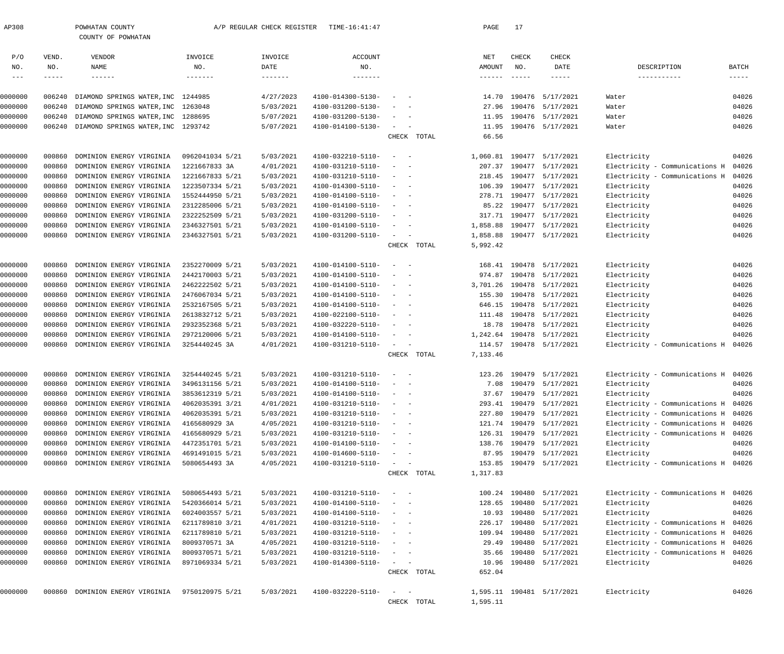|                     |        | COUNTY OF POWHATAN                 |                 |                   |                              |                                                                           |             |                 |               |                           |                                      |              |
|---------------------|--------|------------------------------------|-----------------|-------------------|------------------------------|---------------------------------------------------------------------------|-------------|-----------------|---------------|---------------------------|--------------------------------------|--------------|
| P/O                 | VEND.  | VENDOR                             | INVOICE         | INVOICE           | <b>ACCOUNT</b>               |                                                                           |             | NET             | CHECK         | CHECK                     |                                      |              |
| NO.                 | NO.    | NAME                               | NO.             | DATE              | NO.                          |                                                                           |             | AMOUNT          | NO.           | DATE                      | DESCRIPTION                          | <b>BATCH</b> |
| $\qquad \qquad - -$ | -----  | $- - - - - - -$                    | -------         | $- - - - - - - -$ | $- - - - - - -$              |                                                                           |             | $- - - - - - -$ | $- - - - - -$ | $--- - - -$               | -----------                          | $- - - - -$  |
| 0000000             | 006240 | DIAMOND SPRINGS WATER, INC         | 1244985         | 4/27/2023         | 4100-014300-5130-            |                                                                           |             | 14.70           |               | 190476 5/17/2021          | Water                                | 04026        |
| 0000000             | 006240 | DIAMOND SPRINGS WATER, INC         | 1263048         | 5/03/2021         | 4100-031200-5130-            |                                                                           |             | 27.96           |               | 190476 5/17/2021          | Water                                | 04026        |
| 0000000             | 006240 | DIAMOND SPRINGS WATER, INC         | 1288695         | 5/07/2021         | 4100-031200-5130-            |                                                                           |             | 11.95           |               | 190476 5/17/2021          | Water                                | 04026        |
| 0000000             | 006240 | DIAMOND SPRINGS WATER, INC 1293742 |                 | 5/07/2021         | 4100-014100-5130-            | $\sim$                                                                    |             | 11.95           |               | 190476 5/17/2021          | Water                                | 04026        |
|                     |        |                                    |                 |                   |                              |                                                                           | CHECK TOTAL | 66.56           |               |                           |                                      |              |
| 0000000             | 000860 | DOMINION ENERGY VIRGINIA           | 0962041034 5/21 | 5/03/2021         | 4100-032210-5110-            | $\overline{\phantom{a}}$                                                  |             | 1,060.81        |               | 190477 5/17/2021          | Electricity                          | 04026        |
| 0000000             | 000860 | DOMINION ENERGY VIRGINIA           | 1221667833 3A   | 4/01/2021         | 4100-031210-5110-            |                                                                           |             | 207.37          |               | 190477 5/17/2021          | Electricity - Communications H       | 04026        |
| 0000000             | 000860 | DOMINION ENERGY VIRGINIA           | 1221667833 5/21 | 5/03/2021         | 4100-031210-5110-            |                                                                           |             | 218.45          |               | 190477 5/17/2021          | Electricity - Communications H       | 04026        |
| 0000000             | 000860 | DOMINION ENERGY VIRGINIA           | 1223507334 5/21 | 5/03/2021         | 4100-014300-5110-            |                                                                           |             | 106.39          |               | 190477 5/17/2021          | Electricity                          | 04026        |
| 0000000             | 000860 | DOMINION ENERGY VIRGINIA           | 1552444950 5/21 | 5/03/2021         | 4100-014100-5110-            |                                                                           |             | 278.71          |               | 190477 5/17/2021          | Electricity                          | 04026        |
| 0000000             | 000860 | DOMINION ENERGY VIRGINIA           | 2312285006 5/21 | 5/03/2021         | 4100-014100-5110-            |                                                                           |             | 85.22           |               | 190477 5/17/2021          | Electricity                          | 04026        |
| 0000000             | 000860 | DOMINION ENERGY VIRGINIA           | 2322252509 5/21 | 5/03/2021         | 4100-031200-5110-            |                                                                           |             | 317.71          |               | 190477 5/17/2021          | Electricity                          | 04026        |
| 0000000             | 000860 | DOMINION ENERGY VIRGINIA           | 2346327501 5/21 | 5/03/2021         | 4100-014100-5110-            |                                                                           |             | 1,858.88        |               | 190477 5/17/2021          | Electricity                          | 04026        |
| 0000000             | 000860 | DOMINION ENERGY VIRGINIA           | 2346327501 5/21 | 5/03/2021         | 4100-031200-5110-            | $\sim$                                                                    |             | 1,858.88        |               | 190477 5/17/2021          | Electricity                          | 04026        |
|                     |        |                                    |                 |                   |                              |                                                                           | CHECK TOTAL | 5,992.42        |               |                           |                                      |              |
| 0000000             | 000860 | DOMINION ENERGY VIRGINIA           | 2352270009 5/21 | 5/03/2021         | 4100-014100-5110-            |                                                                           |             | 168.41          |               | 190478 5/17/2021          | Electricity                          | 04026        |
| 0000000             | 000860 | DOMINION ENERGY VIRGINIA           | 2442170003 5/21 | 5/03/2021         | 4100-014100-5110-            |                                                                           |             | 974.87          |               | 190478 5/17/2021          | Electricity                          | 04026        |
| 0000000             | 000860 | DOMINION ENERGY VIRGINIA           | 2462222502 5/21 | 5/03/2021         | 4100-014100-5110-            |                                                                           |             | 3,701.26        |               | 190478 5/17/2021          | Electricity                          | 04026        |
| 0000000             | 000860 | DOMINION ENERGY VIRGINIA           | 2476067034 5/21 | 5/03/2021         | 4100-014100-5110-            |                                                                           |             | 155.30          |               | 190478 5/17/2021          | Electricity                          | 04026        |
| 0000000             | 000860 | DOMINION ENERGY VIRGINIA           | 2532167505 5/21 | 5/03/2021         | 4100-014100-5110-            |                                                                           |             | 646.15          |               | 190478 5/17/2021          | Electricity                          | 04026        |
| 0000000             | 000860 | DOMINION ENERGY VIRGINIA           | 2613832712 5/21 | 5/03/2021         | 4100-022100-5110-            |                                                                           |             | 111.48          |               | 190478 5/17/2021          | Electricity                          | 04026        |
| 0000000             | 000860 | DOMINION ENERGY VIRGINIA           | 2932352368 5/21 | 5/03/2021         | 4100-032220-5110-            |                                                                           |             | 18.78           |               | 190478 5/17/2021          | Electricity                          | 04026        |
| 0000000             | 000860 | DOMINION ENERGY VIRGINIA           | 2972120006 5/21 | 5/03/2021         | 4100-014100-5110-            |                                                                           |             | 1,242.64        |               | 190478 5/17/2021          | Electricity                          | 04026        |
| 0000000             | 000860 | DOMINION ENERGY VIRGINIA           | 3254440245 3A   | 4/01/2021         | 4100-031210-5110-            | $\sim$                                                                    |             |                 |               | 114.57 190478 5/17/2021   | Electricity - Communications H       | 04026        |
|                     |        |                                    |                 |                   |                              |                                                                           | CHECK TOTAL | 7,133.46        |               |                           |                                      |              |
| 0000000             | 000860 | DOMINION ENERGY VIRGINIA           | 3254440245 5/21 | 5/03/2021         | 4100-031210-5110-            |                                                                           |             | 123.26          |               | 190479 5/17/2021          | Electricity - Communications H       | 04026        |
| 0000000             | 000860 | DOMINION ENERGY VIRGINIA           | 3496131156 5/21 | 5/03/2021         | 4100-014100-5110-            |                                                                           |             | 7.08            |               | 190479 5/17/2021          | Electricity                          | 04026        |
| 0000000             | 000860 | DOMINION ENERGY VIRGINIA           | 3853612319 5/21 | 5/03/2021         | 4100-014100-5110-            |                                                                           |             |                 |               | 37.67 190479 5/17/2021    | Electricity                          | 04026        |
| 0000000             |        | 000860 DOMINION ENERGY VIRGINIA    | 4062035391 3/21 | 4/01/2021         | $4100 - 031210 - 5110 - - -$ |                                                                           |             |                 |               | 293.41 190479 5/17/2021   | Electricity - Communications H 04026 |              |
| 0000000             | 000860 | DOMINION ENERGY VIRGINIA           | 4062035391 5/21 | 5/03/2021         | 4100-031210-5110-            | $\sim$                                                                    |             |                 |               | 227.80 190479 5/17/2021   | Electricity - Communications H 04026 |              |
| 0000000             | 000860 | DOMINION ENERGY VIRGINIA           | 4165680929 3A   | 4/05/2021         | 4100-031210-5110-            |                                                                           |             |                 |               | 121.74 190479 5/17/2021   | Electricity - Communications H       | 04026        |
| 0000000             | 000860 | DOMINION ENERGY VIRGINIA           | 4165680929 5/21 | 5/03/2021         | 4100-031210-5110-            | $\sim$                                                                    |             |                 |               | 126.31 190479 5/17/2021   | Electricity - Communications H       | 04026        |
| 0000000             | 000860 | DOMINION ENERGY VIRGINIA           | 4472351701 5/21 | 5/03/2021         | 4100-014100-5110-            |                                                                           |             |                 |               | 138.76 190479 5/17/2021   | Electricity                          | 04026        |
| 0000000             | 000860 | DOMINION ENERGY VIRGINIA           | 4691491015 5/21 | 5/03/2021         | 4100-014600-5110-            | $\sim$                                                                    |             |                 |               | 87.95 190479 5/17/2021    | Electricity                          | 04026        |
| 0000000             | 000860 | DOMINION ENERGY VIRGINIA           | 5080654493 3A   | 4/05/2021         | 4100-031210-5110-            | $\alpha = 1, \ldots, n-1$                                                 |             |                 |               | 153.85 190479 5/17/2021   | Electricity - Communications H 04026 |              |
|                     |        |                                    |                 |                   |                              |                                                                           | CHECK TOTAL | 1,317.83        |               |                           |                                      |              |
| 0000000             | 000860 | DOMINION ENERGY VIRGINIA           | 5080654493 5/21 | 5/03/2021         | 4100-031210-5110-            | $\alpha = 1$ , $\alpha = 1$                                               |             |                 |               | 100.24 190480 5/17/2021   | Electricity - Communications H 04026 |              |
| 0000000             | 000860 | DOMINION ENERGY VIRGINIA           | 5420366014 5/21 | 5/03/2021         | 4100-014100-5110-            | $\alpha = 1$ , $\alpha = 1$                                               |             |                 |               | 128.65 190480 5/17/2021   | Electricity                          | 04026        |
| 0000000             | 000860 | DOMINION ENERGY VIRGINIA           | 6024003557 5/21 | 5/03/2021         | 4100-014100-5110-            | $\sim$ $ \sim$ $ -$                                                       |             |                 |               | 10.93 190480 5/17/2021    | Electricity                          | 04026        |
| 0000000             | 000860 | DOMINION ENERGY VIRGINIA           | 6211789810 3/21 | 4/01/2021         | 4100-031210-5110-            | $\alpha = 1, \ldots, n-1$                                                 |             |                 |               | 226.17 190480 5/17/2021   | Electricity - Communications H 04026 |              |
| 0000000             | 000860 | DOMINION ENERGY VIRGINIA           | 6211789810 5/21 | 5/03/2021         | 4100-031210-5110-            | $\sim$ $ \sim$ $ -$                                                       |             |                 |               | 109.94 190480 5/17/2021   | Electricity - Communications H       | 04026        |
| 0000000             | 000860 | DOMINION ENERGY VIRGINIA           | 8009370571 3A   | 4/05/2021         | 4100-031210-5110-            | $\alpha = 1$ , and $\alpha = 1$                                           |             |                 |               | 29.49 190480 5/17/2021    | Electricity - Communications H       | 04026        |
| 0000000             | 000860 | DOMINION ENERGY VIRGINIA           | 8009370571 5/21 | 5/03/2021         | 4100-031210-5110-            | $\alpha = 1, \ldots, n-1$                                                 |             |                 |               | 35.66 190480 5/17/2021    | Electricity - Communications H       | 04026        |
| 0000000             | 000860 | DOMINION ENERGY VIRGINIA           | 8971069334 5/21 | 5/03/2021         | 4100-014300-5110-            | $\mathcal{L} = \{1, \ldots, n\}$                                          |             |                 |               | 10.96 190480 5/17/2021    | Electricity                          | 04026        |
|                     |        |                                    |                 |                   |                              |                                                                           | CHECK TOTAL | 652.04          |               |                           |                                      |              |
| 0000000             |        | 000860 DOMINION ENERGY VIRGINIA    | 9750120975 5/21 | 5/03/2021         | 4100-032220-5110-            | $\mathcal{L} = \{ \mathcal{L} \}$ , and $\mathcal{L} = \{ \mathcal{L} \}$ |             |                 |               | 1,595.11 190481 5/17/2021 | Electricity                          | 04026        |
|                     |        |                                    |                 |                   |                              |                                                                           | CHECK TOTAL | 1,595.11        |               |                           |                                      |              |

AP308 POWHATAN COUNTY A/P REGULAR CHECK REGISTER TIME-16:41:47 PAGE 17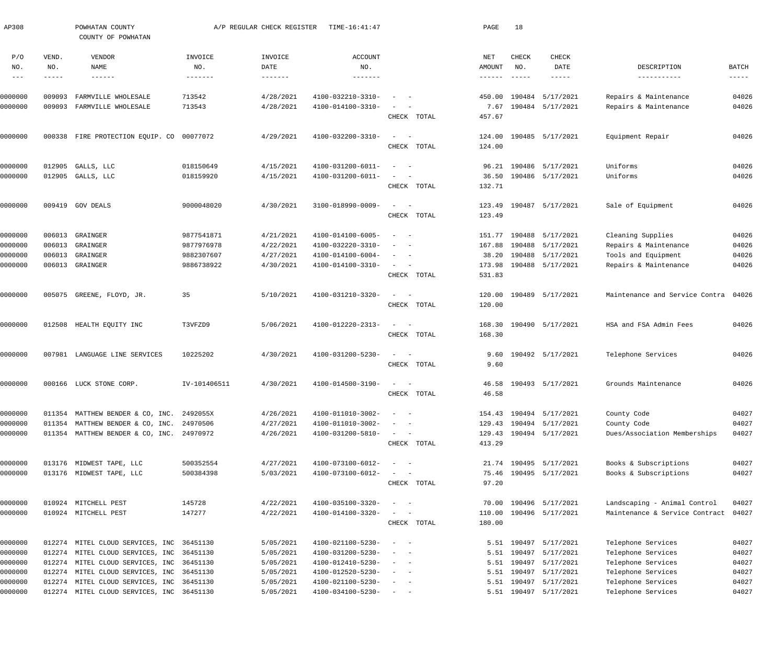| AP308                      |              | POWHATAN COUNTY<br>COUNTY OF POWHATAN                                           |                        | A/P REGULAR CHECK REGISTER | TIME-16:41:47                          |                                                                                                              |       | PAGE                                 | 18                   |                         |                                          |                               |
|----------------------------|--------------|---------------------------------------------------------------------------------|------------------------|----------------------------|----------------------------------------|--------------------------------------------------------------------------------------------------------------|-------|--------------------------------------|----------------------|-------------------------|------------------------------------------|-------------------------------|
| P/O                        | VEND.        | VENDOR                                                                          | INVOICE                | INVOICE                    | <b>ACCOUNT</b>                         |                                                                                                              |       | NET                                  | CHECK                | <b>CHECK</b>            |                                          |                               |
| NO.<br>$\qquad \qquad - -$ | NO.<br>----- | NAME<br>$- - - - - - -$                                                         | NO.<br>$- - - - - - -$ | DATE<br>$- - - - - - -$    | NO.<br>-------                         |                                                                                                              |       | AMOUNT<br>$\cdots\cdots\cdots\cdots$ | NO.<br>$- - - - - -$ | DATE<br>$- - - - - -$   | DESCRIPTION<br>-----------               | <b>BATCH</b><br>$- - - - - -$ |
|                            |              |                                                                                 |                        |                            |                                        |                                                                                                              |       |                                      |                      |                         |                                          |                               |
| 0000000                    | 009093       | FARMVILLE WHOLESALE                                                             | 713542                 | 4/28/2021                  | 4100-032210-3310-                      |                                                                                                              |       | 450.00                               | 190484               | 5/17/2021               | Repairs & Maintenance                    | 04026                         |
| 0000000                    | 009093       | FARMVILLE WHOLESALE                                                             | 713543                 | 4/28/2021                  | 4100-014100-3310-                      |                                                                                                              |       | 7.67                                 |                      | 190484 5/17/2021        | Repairs & Maintenance                    | 04026                         |
|                            |              |                                                                                 |                        |                            |                                        | CHECK TOTAL                                                                                                  |       | 457.67                               |                      |                         |                                          |                               |
| 0000000                    | 000338       | FIRE PROTECTION EQUIP. CO 00077072                                              |                        | 4/29/2021                  | 4100-032200-3310-                      | $\sim$                                                                                                       |       | 124.00                               |                      | 190485 5/17/2021        | Equipment Repair                         | 04026                         |
|                            |              |                                                                                 |                        |                            |                                        | CHECK TOTAL                                                                                                  |       | 124.00                               |                      |                         |                                          |                               |
| 0000000                    | 012905       | GALLS, LLC                                                                      | 018150649              | 4/15/2021                  | 4100-031200-6011-                      | $\sim$                                                                                                       |       | 96.21                                |                      | 190486 5/17/2021        | Uniforms                                 | 04026                         |
| 0000000                    | 012905       | GALLS, LLC                                                                      | 018159920              | 4/15/2021                  | 4100-031200-6011-                      |                                                                                                              |       | 36.50                                |                      | 190486 5/17/2021        | Uniforms                                 | 04026                         |
|                            |              |                                                                                 |                        |                            |                                        | CHECK TOTAL                                                                                                  |       | 132.71                               |                      |                         |                                          |                               |
| 0000000                    |              | 009419 GOV DEALS                                                                | 9000048020             | 4/30/2021                  | 3100-018990-0009-                      | $\sim$<br>$\overline{\phantom{0}}$                                                                           |       | 123.49                               |                      | 190487 5/17/2021        | Sale of Equipment                        | 04026                         |
|                            |              |                                                                                 |                        |                            |                                        | CHECK TOTAL                                                                                                  |       | 123.49                               |                      |                         |                                          |                               |
|                            |              |                                                                                 |                        |                            |                                        |                                                                                                              |       |                                      |                      |                         |                                          |                               |
| 0000000                    | 006013       | GRAINGER                                                                        | 9877541871             | 4/21/2021                  | 4100-014100-6005-                      | $\sim$                                                                                                       |       | 151.77                               | 190488               | 5/17/2021               | Cleaning Supplies                        | 04026                         |
| 0000000                    | 006013       | GRAINGER                                                                        | 9877976978             | 4/22/2021                  | 4100-032220-3310-                      |                                                                                                              |       | 167.88                               | 190488               | 5/17/2021               | Repairs & Maintenance                    | 04026                         |
| 0000000                    | 006013       | GRAINGER                                                                        | 9882307607             | 4/27/2021                  | 4100-014100-6004-                      | $\sim$                                                                                                       |       | 38.20                                | 190488               | 5/17/2021               | Tools and Equipment                      | 04026                         |
| 0000000                    | 006013       | GRAINGER                                                                        | 9886738922             | 4/30/2021                  | 4100-014100-3310-                      | $\sim$<br>$\sim$                                                                                             |       | 173.98                               | 190488               | 5/17/2021               | Repairs & Maintenance                    | 04026                         |
|                            |              |                                                                                 |                        |                            |                                        | CHECK TOTAL                                                                                                  |       | 531.83                               |                      |                         |                                          |                               |
| 0000000                    | 005075       | GREENE, FLOYD, JR.                                                              | 35                     | 5/10/2021                  | 4100-031210-3320-                      | $\sim$                                                                                                       |       | 120.00                               |                      | 190489 5/17/2021        | Maintenance and Service Contra           | 04026                         |
|                            |              |                                                                                 |                        |                            |                                        | CHECK TOTAL                                                                                                  |       | 120.00                               |                      |                         |                                          |                               |
| 0000000                    | 012508       | HEALTH EQUITY INC                                                               | T3VFZD9                | 5/06/2021                  | 4100-012220-2313-                      | $\sim$<br>$\sim$                                                                                             |       | 168.30                               |                      | 190490 5/17/2021        | HSA and FSA Admin Fees                   | 04026                         |
|                            |              |                                                                                 |                        |                            |                                        | CHECK TOTAL                                                                                                  |       | 168.30                               |                      |                         |                                          |                               |
| 0000000                    | 007981       | LANGUAGE LINE SERVICES                                                          | 10225202               | 4/30/2021                  | 4100-031200-5230-                      | $\sim$<br>$\overline{\phantom{0}}$                                                                           |       | 9.60                                 |                      | 190492 5/17/2021        | Telephone Services                       | 04026                         |
|                            |              |                                                                                 |                        |                            |                                        | CHECK TOTAL                                                                                                  |       | 9.60                                 |                      |                         |                                          |                               |
|                            |              |                                                                                 |                        |                            |                                        |                                                                                                              |       |                                      |                      |                         |                                          |                               |
| 0000000                    |              | 000166 LUCK STONE CORP.                                                         | IV-101406511           | 4/30/2021                  | 4100-014500-3190-                      |                                                                                                              |       |                                      |                      | 46.58 190493 5/17/2021  | Grounds Maintenance                      | 04026                         |
|                            |              |                                                                                 |                        |                            |                                        | CHECK                                                                                                        | TOTAL | 46.58                                |                      |                         |                                          |                               |
| 0000000                    |              | 011354 MATTHEW BENDER & CO, INC. 2492055X                                       |                        | 4/26/2021                  | 4100-011010-3002-                      |                                                                                                              |       |                                      |                      | 154.43 190494 5/17/2021 | County Code                              | 04027                         |
| 0000000                    |              | 011354 MATTHEW BENDER & CO, INC. 24970506                                       |                        | 4/27/2021                  | 4100-011010-3002-                      | - -                                                                                                          |       | 129.43                               |                      | 190494 5/17/2021        | County Code                              | 04027                         |
| 0000000                    |              | 011354 MATTHEW BENDER & CO, INC. 24970972                                       |                        | 4/26/2021                  | 4100-031200-5810-                      | $\frac{1}{2} \left( \frac{1}{2} \right) \left( \frac{1}{2} \right) = \frac{1}{2} \left( \frac{1}{2} \right)$ |       |                                      |                      | 129.43 190494 5/17/2021 | Dues/Association Memberships             | 04027                         |
|                            |              |                                                                                 |                        |                            |                                        | CHECK TOTAL                                                                                                  |       | 413.29                               |                      |                         |                                          |                               |
| 0000000                    |              | 013176 MIDWEST TAPE, LLC                                                        | 500352554              | 4/27/2021                  | 4100-073100-6012-                      | $\qquad \qquad -$                                                                                            |       |                                      |                      | 21.74 190495 5/17/2021  | Books & Subscriptions                    | 04027                         |
| 0000000                    |              | 013176 MIDWEST TAPE, LLC                                                        | 500384398              | 5/03/2021                  | 4100-073100-6012-                      |                                                                                                              |       | 75.46                                |                      | 190495 5/17/2021        | Books & Subscriptions                    | 04027                         |
|                            |              |                                                                                 |                        |                            |                                        | CHECK TOTAL                                                                                                  |       | 97.20                                |                      |                         |                                          |                               |
| 0000000                    |              | 010924 MITCHELL PEST                                                            | 145728                 | 4/22/2021                  | 4100-035100-3320-                      | $\qquad \qquad -$                                                                                            |       |                                      |                      | 70.00 190496 5/17/2021  | Landscaping - Animal Control             | 04027                         |
| 0000000                    |              | 010924 MITCHELL PEST                                                            | 147277                 | 4/22/2021                  | 4100-014100-3320-                      |                                                                                                              |       | 110.00                               |                      | 190496 5/17/2021        | Maintenance & Service Contract           | 04027                         |
|                            |              |                                                                                 |                        |                            |                                        | CHECK TOTAL                                                                                                  |       | 180.00                               |                      |                         |                                          |                               |
|                            |              |                                                                                 |                        |                            |                                        |                                                                                                              |       |                                      |                      |                         |                                          |                               |
| 0000000                    | 012274       | 012274 MITEL CLOUD SERVICES, INC 36451130                                       |                        | 5/05/2021                  | 4100-021100-5230-                      |                                                                                                              |       |                                      |                      | 5.51 190497 5/17/2021   | Telephone Services<br>Telephone Services | 04027<br>04027                |
| 0000000<br>0000000         |              | MITEL CLOUD SERVICES, INC 36451130<br>012274 MITEL CLOUD SERVICES, INC 36451130 |                        | 5/05/2021<br>5/05/2021     | 4100-031200-5230-<br>4100-012410-5230- |                                                                                                              |       | 5.51<br>5.51                         | 190497<br>190497     | 5/17/2021<br>5/17/2021  | Telephone Services                       | 04027                         |
| 0000000                    |              | 012274 MITEL CLOUD SERVICES, INC 36451130                                       |                        | 5/05/2021                  | 4100-012520-5230-                      | $\sim$                                                                                                       |       | 5.51                                 |                      | 190497 5/17/2021        | Telephone Services                       | 04027                         |
| 0000000                    | 012274       | MITEL CLOUD SERVICES, INC 36451130                                              |                        | 5/05/2021                  | 4100-021100-5230-                      |                                                                                                              |       | 5.51                                 |                      | 190497 5/17/2021        | Telephone Services                       | 04027                         |
| 0000000                    |              | 012274 MITEL CLOUD SERVICES, INC 36451130                                       |                        | 5/05/2021                  | 4100-034100-5230-                      | $\sim$ $ -$                                                                                                  |       |                                      |                      | 5.51 190497 5/17/2021   | Telephone Services                       | 04027                         |
|                            |              |                                                                                 |                        |                            |                                        |                                                                                                              |       |                                      |                      |                         |                                          |                               |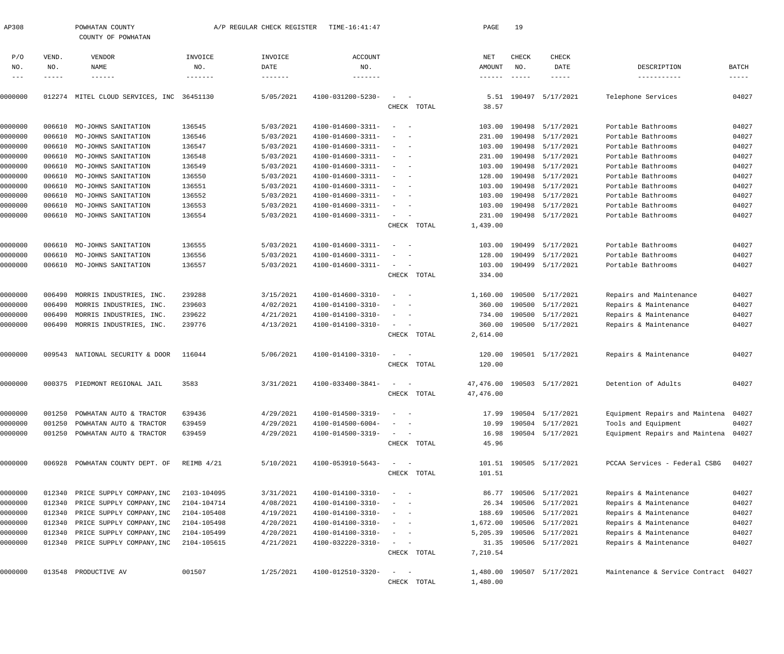| AP308          |              | POWHATAN COUNTY<br>COUNTY OF POWHATAN |             | A/P REGULAR CHECK REGISTER | TIME-16:41:47     |                                                   | PAGE                      | 19                   |                            |                                      |                        |
|----------------|--------------|---------------------------------------|-------------|----------------------------|-------------------|---------------------------------------------------|---------------------------|----------------------|----------------------------|--------------------------------------|------------------------|
| P/O            | VEND.        | VENDOR                                | INVOICE     | INVOICE                    | <b>ACCOUNT</b>    |                                                   | NET                       | <b>CHECK</b>         | CHECK                      |                                      |                        |
| NO.<br>$- - -$ | NO.<br>----- | NAME                                  | NO.         | DATE                       | NO.               |                                                   | AMOUNT<br>$- - - - - - -$ | NO.<br>$- - - - - -$ | DATE<br>$- - - - -$        | DESCRIPTION<br>-----------           | BATCH<br>$- - - - - -$ |
| 0000000        | 012274       | MITEL CLOUD SERVICES, INC             | 36451130    | 5/05/2021                  | 4100-031200-5230- | $\sim$                                            | 5.51                      |                      | 190497 5/17/2021           | Telephone Services                   | 04027                  |
|                |              |                                       |             |                            |                   | CHECK TOTAL                                       | 38.57                     |                      |                            |                                      |                        |
| 0000000        | 006610       | MO-JOHNS SANITATION                   | 136545      | 5/03/2021                  | 4100-014600-3311- | $\sim$<br>$\sim$                                  | 103.00                    |                      | 190498 5/17/2021           | Portable Bathrooms                   | 04027                  |
| 0000000        | 006610       | MO-JOHNS SANITATION                   | 136546      | 5/03/2021                  | 4100-014600-3311- |                                                   | 231.00                    |                      | 190498 5/17/2021           | Portable Bathrooms                   | 04027                  |
| 0000000        | 006610       | MO-JOHNS SANITATION                   | 136547      | 5/03/2021                  | 4100-014600-3311- | $\sim$                                            | 103.00                    |                      | 190498 5/17/2021           | Portable Bathrooms                   | 04027                  |
| 0000000        | 006610       | MO-JOHNS SANITATION                   | 136548      | 5/03/2021                  | 4100-014600-3311- | $\sim$                                            | 231.00                    |                      | 190498 5/17/2021           | Portable Bathrooms                   | 04027                  |
| 0000000        | 006610       | MO-JOHNS SANITATION                   | 136549      | 5/03/2021                  | 4100-014600-3311- | $\sim$                                            | 103.00                    |                      | 190498 5/17/2021           | Portable Bathrooms                   | 04027                  |
| 0000000        | 006610       | MO-JOHNS SANITATION                   | 136550      | 5/03/2021                  | 4100-014600-3311- | $\sim$                                            | 128.00                    |                      | 190498 5/17/2021           | Portable Bathrooms                   | 04027                  |
| 0000000        | 006610       | MO-JOHNS SANITATION                   | 136551      | 5/03/2021                  | 4100-014600-3311- | $\sim$                                            | 103.00                    |                      | 190498 5/17/2021           | Portable Bathrooms                   | 04027                  |
| 0000000        | 006610       | MO-JOHNS SANITATION                   | 136552      | 5/03/2021                  | 4100-014600-3311- | $\sim$                                            | 103.00                    |                      | 190498 5/17/2021           | Portable Bathrooms                   | 04027                  |
| 0000000        | 006610       | MO-JOHNS SANITATION                   | 136553      | 5/03/2021                  | 4100-014600-3311- | $\sim$                                            | 103.00                    |                      | 190498 5/17/2021           | Portable Bathrooms                   | 04027                  |
| 0000000        | 006610       | MO-JOHNS SANITATION                   | 136554      | 5/03/2021                  | 4100-014600-3311- | $\sim$ .                                          |                           |                      | 231.00 190498 5/17/2021    | Portable Bathrooms                   | 04027                  |
|                |              |                                       |             |                            |                   | CHECK TOTAL                                       | 1,439.00                  |                      |                            |                                      |                        |
| 0000000        | 006610       | MO-JOHNS SANITATION                   | 136555      | 5/03/2021                  | 4100-014600-3311- | $\overline{\phantom{a}}$<br>$\sim$                | 103.00                    |                      | 190499 5/17/2021           | Portable Bathrooms                   | 04027                  |
| 0000000        | 006610       | MO-JOHNS SANITATION                   | 136556      | 5/03/2021                  | 4100-014600-3311- | $\overline{\phantom{a}}$                          | 128.00                    |                      | 190499 5/17/2021           | Portable Bathrooms                   | 04027                  |
| 0000000        | 006610       | MO-JOHNS SANITATION                   | 136557      | 5/03/2021                  | 4100-014600-3311- | $\sim$                                            | 103.00                    |                      | 190499 5/17/2021           | Portable Bathrooms                   | 04027                  |
|                |              |                                       |             |                            |                   | CHECK TOTAL                                       | 334.00                    |                      |                            |                                      |                        |
| 0000000        | 006490       | MORRIS INDUSTRIES, INC.               | 239288      | 3/15/2021                  | 4100-014600-3310- | $\sim$<br>$\sim$                                  | 1,160.00                  |                      | 190500 5/17/2021           | Repairs and Maintenance              | 04027                  |
| 0000000        | 006490       | MORRIS INDUSTRIES, INC.               | 239603      | 4/02/2021                  | 4100-014100-3310- |                                                   |                           |                      | 360.00 190500 5/17/2021    | Repairs & Maintenance                | 04027                  |
| 0000000        | 006490       | MORRIS INDUSTRIES, INC.               | 239622      | 4/21/2021                  | 4100-014100-3310- | $\sim$<br>$\sim$                                  | 734.00                    |                      | 190500 5/17/2021           | Repairs & Maintenance                | 04027                  |
| 0000000        | 006490       | MORRIS INDUSTRIES, INC.               | 239776      | 4/13/2021                  | 4100-014100-3310- | $\sim$                                            |                           |                      | 360.00 190500 5/17/2021    | Repairs & Maintenance                | 04027                  |
|                |              |                                       |             |                            |                   | CHECK TOTAL                                       | 2,614.00                  |                      |                            |                                      |                        |
| 0000000        | 009543       | NATIONAL SECURITY & DOOR              | 116044      | 5/06/2021                  | 4100-014100-3310- | $\sim$                                            | 120.00                    |                      | 190501 5/17/2021           | Repairs & Maintenance                | 04027                  |
|                |              |                                       |             |                            |                   | CHECK TOTAL                                       | 120.00                    |                      |                            |                                      |                        |
| 0000000        |              | 000375 PIEDMONT REGIONAL JAIL         | 3583        | 3/31/2021                  | 4100-033400-3841- |                                                   |                           |                      | 47,476.00 190503 5/17/2021 | Detention of Adults                  | 04027                  |
|                |              |                                       |             |                            |                   | CHECK TOTAL                                       | 47,476.00                 |                      |                            |                                      |                        |
| 0000000        | 001250       | POWHATAN AUTO & TRACTOR               | 639436      | 4/29/2021                  | 4100-014500-3319- | $\sim$                                            |                           |                      | 17.99 190504 5/17/2021     | Equipment Repairs and Maintena       | 04027                  |
| 0000000        | 001250       | POWHATAN AUTO & TRACTOR               | 639459      | 4/29/2021                  | 4100-014500-6004- |                                                   | 10.99                     |                      | 190504 5/17/2021           | Tools and Equipment                  | 04027                  |
| 0000000        | 001250       | POWHATAN AUTO & TRACTOR               | 639459      | 4/29/2021                  | 4100-014500-3319- | $\sim$ 100 $\mu$                                  |                           |                      | 16.98 190504 5/17/2021     | Equipment Repairs and Maintena 04027 |                        |
|                |              |                                       |             |                            |                   | CHECK TOTAL                                       | 45.96                     |                      |                            |                                      |                        |
| 0000000        | 006928       | POWHATAN COUNTY DEPT. OF              | REIMB 4/21  | 5/10/2021                  | 4100-053910-5643- | $\frac{1}{2}$ and $\frac{1}{2}$ and $\frac{1}{2}$ |                           |                      | 101.51 190505 5/17/2021    | PCCAA Services - Federal CSBG        | 04027                  |
|                |              |                                       |             |                            |                   | CHECK TOTAL                                       | 101.51                    |                      |                            |                                      |                        |
| 0000000        | 012340       | PRICE SUPPLY COMPANY, INC             | 2103-104095 | 3/31/2021                  | 4100-014100-3310- | $\sim$<br>$\sim$ $-$                              | 86.77                     |                      | 190506 5/17/2021           | Repairs & Maintenance                | 04027                  |
| 0000000        | 012340       | PRICE SUPPLY COMPANY, INC             | 2104-104714 | 4/08/2021                  | 4100-014100-3310- |                                                   | 26.34                     |                      | 190506 5/17/2021           | Repairs & Maintenance                | 04027                  |
| 0000000        | 012340       | PRICE SUPPLY COMPANY, INC             | 2104-105408 | 4/19/2021                  | 4100-014100-3310- | $\hspace{0.1mm}-\hspace{0.1mm}$<br>$\sim$         | 188.69                    |                      | 190506 5/17/2021           | Repairs & Maintenance                | 04027                  |
| 0000000        | 012340       | PRICE SUPPLY COMPANY, INC             | 2104-105498 | 4/20/2021                  | 4100-014100-3310- | $\overline{\phantom{a}}$<br>$\sim$ $-$            | 1,672.00                  |                      | 190506 5/17/2021           | Repairs & Maintenance                | 04027                  |
| 0000000        | 012340       | PRICE SUPPLY COMPANY, INC             | 2104-105499 | 4/20/2021                  | 4100-014100-3310- | $\sim$<br>$\sim$ $-$                              | 5,205.39                  |                      | 190506 5/17/2021           | Repairs & Maintenance                | 04027                  |
| 0000000        | 012340       | PRICE SUPPLY COMPANY, INC             | 2104-105615 | 4/21/2021                  | 4100-032220-3310- | $\sim$                                            |                           |                      | 31.35 190506 5/17/2021     | Repairs & Maintenance                | 04027                  |
|                |              |                                       |             |                            |                   | CHECK TOTAL                                       | 7,210.54                  |                      |                            |                                      |                        |
| 0000000        |              | 013548 PRODUCTIVE AV                  | 001507      | 1/25/2021                  | 4100-012510-3320- | $\sim$ .<br>$\sim$ $-$                            |                           |                      | 1,480.00 190507 5/17/2021  | Maintenance & Service Contract 04027 |                        |
|                |              |                                       |             |                            |                   | CHECK TOTAL                                       | 1,480.00                  |                      |                            |                                      |                        |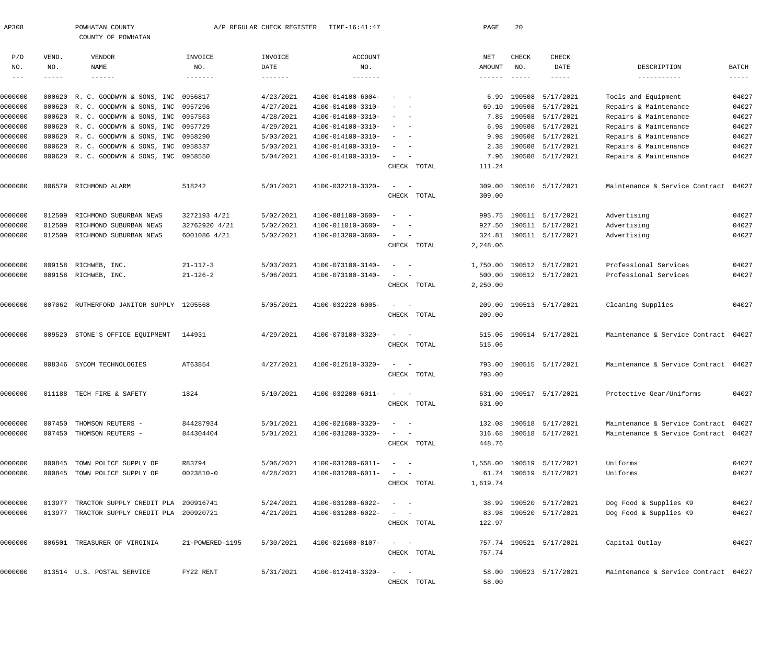| AP308      |        | POWHATAN COUNTY<br>COUNTY OF POWHATAN      |                   | A/P REGULAR CHECK REGISTER | TIME-16:41:47                |                                                                           |             | PAGE           | 20            |                           |                                      |                      |
|------------|--------|--------------------------------------------|-------------------|----------------------------|------------------------------|---------------------------------------------------------------------------|-------------|----------------|---------------|---------------------------|--------------------------------------|----------------------|
| P/O        | VEND.  | VENDOR                                     | INVOICE           | INVOICE                    | <b>ACCOUNT</b>               |                                                                           |             | NET            | CHECK         | CHECK                     |                                      |                      |
| NO.        | NO.    | NAME                                       | NO.               | DATE                       | NO.                          |                                                                           |             | AMOUNT         | NO.           | DATE                      | DESCRIPTION                          | BATCH                |
| $--\,$ $-$ | -----  | $- - - - - - -$                            | $- - - - - - - -$ |                            | $- - - - - - -$              |                                                                           |             | $- - - - - -$  | $- - - - - -$ | $- - - - - -$             | -----------                          | $\cdots\cdots\cdots$ |
| 0000000    |        | 000620 R. C. GOODWYN & SONS, INC           | 0956817           | 4/23/2021                  | 4100-014100-6004-            |                                                                           |             | 6.99           |               | 190508 5/17/2021          | Tools and Equipment                  | 04027                |
| 0000000    |        | 000620 R. C. GOODWYN & SONS, INC           | 0957296           | 4/27/2021                  | 4100-014100-3310-            |                                                                           |             | 69.10          |               | 190508 5/17/2021          | Repairs & Maintenance                | 04027                |
| 0000000    |        | 000620 R. C. GOODWYN & SONS, INC           | 0957563           | 4/28/2021                  | 4100-014100-3310-            |                                                                           |             | 7.85           |               | 190508 5/17/2021          | Repairs & Maintenance                | 04027                |
| 0000000    |        | 000620 R. C. GOODWYN & SONS, INC           | 0957729           | 4/29/2021                  | 4100-014100-3310-            |                                                                           |             | 6.98           |               | 190508 5/17/2021          | Repairs & Maintenance                | 04027                |
| 0000000    |        | 000620 R. C. GOODWYN & SONS, INC           | 0958290           | 5/03/2021                  | 4100-014100-3310-            | $\overline{\phantom{a}}$<br>$\sim$                                        |             | 9.98           |               | 190508 5/17/2021          | Repairs & Maintenance                | 04027                |
|            |        |                                            |                   |                            |                              |                                                                           |             |                |               |                           |                                      |                      |
| 0000000    |        | 000620 R. C. GOODWYN & SONS, INC           | 0958337           | 5/03/2021                  | 4100-014100-3310-            | $\overline{\phantom{a}}$<br>$\overline{\phantom{a}}$                      |             | 2.38           |               | 190508 5/17/2021          | Repairs & Maintenance                | 04027                |
| 0000000    |        | 000620 R. C. GOODWYN & SONS, INC           | 0958550           | 5/04/2021                  | 4100-014100-3310-            | $\sim$                                                                    | CHECK TOTAL | 7.96<br>111.24 |               | 190508 5/17/2021          | Repairs & Maintenance                | 04027                |
| 0000000    | 006579 | RICHMOND ALARM                             | 518242            | 5/01/2021                  | 4100-032210-3320-            |                                                                           |             | 309.00         |               | 190510 5/17/2021          | Maintenance & Service Contract       | 04027                |
|            |        |                                            |                   |                            |                              |                                                                           | CHECK TOTAL | 309.00         |               |                           |                                      |                      |
| 0000000    | 012509 | RICHMOND SUBURBAN NEWS                     | 3272193 4/21      | 5/02/2021                  | 4100-081100-3600-            | $\sim$                                                                    |             |                |               | 995.75 190511 5/17/2021   | Advertising                          | 04027                |
| 0000000    | 012509 | RICHMOND SUBURBAN NEWS                     | 32762920 4/21     | 5/02/2021                  | 4100-011010-3600-            |                                                                           |             | 927.50         |               | 190511 5/17/2021          | Advertising                          | 04027                |
| 0000000    | 012509 | RICHMOND SUBURBAN NEWS                     | 6001086 4/21      | 5/02/2021                  | 4100-013200-3600-            | $\sim$ 100 $\mu$<br>$\hspace{0.1mm}-\hspace{0.1mm}$                       |             |                |               | 324.81 190511 5/17/2021   | Advertising                          | 04027                |
|            |        |                                            |                   |                            |                              |                                                                           | CHECK TOTAL | 2,248.06       |               |                           |                                      |                      |
| 0000000    | 009158 | RICHWEB, INC.                              | $21 - 117 - 3$    | 5/03/2021                  | 4100-073100-3140-            | $\overline{\phantom{a}}$                                                  |             |                |               | 1,750.00 190512 5/17/2021 | Professional Services                | 04027                |
| 0000000    | 009158 | RICHWEB, INC.                              | $21 - 126 - 2$    | 5/06/2021                  | 4100-073100-3140-            |                                                                           |             |                |               | 500.00 190512 5/17/2021   | Professional Services                | 04027                |
|            |        |                                            |                   |                            |                              |                                                                           | CHECK TOTAL | 2,250.00       |               |                           |                                      |                      |
| 0000000    | 007062 | RUTHERFORD JANITOR SUPPLY 1205568          |                   | 5/05/2021                  | 4100-032220-6005-            | $\sim$<br>$\hspace{0.1mm}-\hspace{0.1mm}$                                 |             |                |               | 209.00 190513 5/17/2021   | Cleaning Supplies                    | 04027                |
|            |        |                                            |                   |                            |                              |                                                                           | CHECK TOTAL | 209.00         |               |                           |                                      |                      |
| 0000000    | 009520 | STONE'S OFFICE EQUIPMENT                   | 144931            | 4/29/2021                  | 4100-073100-3320-            | $\sim$<br>$\hspace{0.1mm}-\hspace{0.1mm}$                                 |             |                |               | 515.06 190514 5/17/2021   | Maintenance & Service Contract 04027 |                      |
|            |        |                                            |                   |                            |                              |                                                                           | CHECK TOTAL | 515.06         |               |                           |                                      |                      |
| 0000000    | 008346 | SYCOM TECHNOLOGIES                         | AT63854           | 4/27/2021                  | 4100-012510-3320-            | $\sim$                                                                    |             |                |               | 793.00 190515 5/17/2021   | Maintenance & Service Contract 04027 |                      |
|            |        |                                            |                   |                            |                              |                                                                           | CHECK TOTAL | 793.00         |               |                           |                                      |                      |
| 0000000    |        | 011188 TECH FIRE & SAFETY                  | 1824              | 5/10/2021                  | $4100 - 032200 - 6011 - - -$ |                                                                           |             |                |               | 631.00 190517 5/17/2021   | Protective Gear/Uniforms             | 04027                |
|            |        |                                            |                   |                            |                              |                                                                           | CHECK TOTAL | 631.00         |               |                           |                                      |                      |
| 0000000    | 007450 | THOMSON REUTERS -                          | 844287934         | 5/01/2021                  | 4100-021600-3320-            | $\mathcal{L} = \{ \mathcal{L} \}$ , and $\mathcal{L} = \{ \mathcal{L} \}$ |             |                |               | 132.08 190518 5/17/2021   | Maintenance & Service Contract 04027 |                      |
| 0000000    |        | 007450 THOMSON REUTERS -                   | 844304404         | 5/01/2021                  | 4100-031200-3320-            | $\sim$ $  -$                                                              |             |                |               | 316.68 190518 5/17/2021   | Maintenance & Service Contract 04027 |                      |
|            |        |                                            |                   |                            |                              |                                                                           | CHECK TOTAL | 448.76         |               |                           |                                      |                      |
| 0000000    |        | 000845 TOWN POLICE SUPPLY OF               | R83794            | 5/06/2021                  | 4100-031200-6011-            | $\alpha = 1$ , $\alpha = 1$                                               |             |                |               | 1,558.00 190519 5/17/2021 | Uniforms                             | 04027                |
| 0000000    |        | 000845 TOWN POLICE SUPPLY OF               | $0023810 - 0$     | 4/28/2021                  | 4100-031200-6011-            | $\mathcal{L}_{\text{max}}$ , and $\mathcal{L}_{\text{max}}$               |             |                |               | 61.74 190519 5/17/2021    | Uniforms                             | 04027                |
|            |        |                                            |                   |                            |                              |                                                                           | CHECK TOTAL | 1,619.74       |               |                           |                                      |                      |
| 0000000    |        | 013977 TRACTOR SUPPLY CREDIT PLA 200916741 |                   | 5/24/2021                  | 4100-031200-6022-            | $\sim$ $  -$                                                              |             |                |               | 38.99 190520 5/17/2021    | Dog Food & Supplies K9               | 04027                |
| 0000000    |        | 013977 TRACTOR SUPPLY CREDIT PLA 200920721 |                   | 4/21/2021                  | 4100-031200-6022-            | $\sim$ $  -$                                                              |             |                |               | 83.98 190520 5/17/2021    | Dog Food & Supplies K9               | 04027                |
|            |        |                                            |                   |                            |                              |                                                                           | CHECK TOTAL | 122.97         |               |                           |                                      |                      |
| 0000000    |        | 006501 TREASURER OF VIRGINIA               | 21-POWERED-1195   | 5/30/2021                  | 4100-021600-8107-            | $\mathcal{L}_{\text{max}}$ and $\mathcal{L}_{\text{max}}$                 |             |                |               | 757.74 190521 5/17/2021   | Capital Outlay                       | 04027                |
|            |        |                                            |                   |                            |                              |                                                                           | CHECK TOTAL | 757.74         |               |                           |                                      |                      |
| 0000000    |        | 013514 U.S. POSTAL SERVICE                 | FY22 RENT         | 5/31/2021                  | 4100-012410-3320-            | $\frac{1}{2}$ and $\frac{1}{2}$ and $\frac{1}{2}$                         |             |                |               | 58.00 190523 5/17/2021    | Maintenance & Service Contract 04027 |                      |
|            |        |                                            |                   |                            |                              |                                                                           | CHECK TOTAL | 58.00          |               |                           |                                      |                      |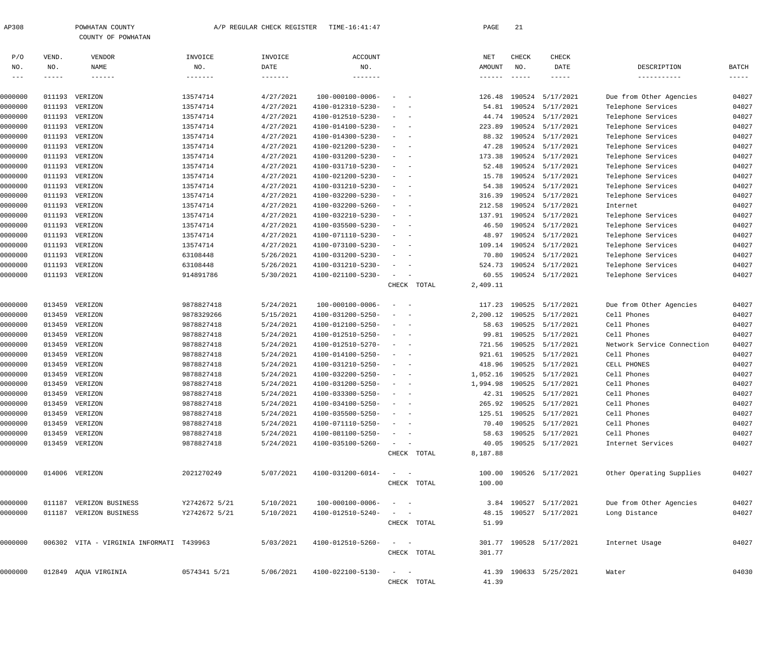| P/O     | VEND.  | VENDOR                                   | INVOICE         | INVOICE           | <b>ACCOUNT</b>               |                                                                                                                           |             | NET             | CHECK       | CHECK                   |                            |                      |
|---------|--------|------------------------------------------|-----------------|-------------------|------------------------------|---------------------------------------------------------------------------------------------------------------------------|-------------|-----------------|-------------|-------------------------|----------------------------|----------------------|
| NO.     | NO.    | <b>NAME</b>                              | NO.             | DATE              | NO.                          |                                                                                                                           |             | AMOUNT          | NO.         | DATE                    | DESCRIPTION                | BATCH                |
| $---$   | -----  | $\cdots\cdots\cdots\cdots$               | $- - - - - - -$ | $- - - - - - - -$ | $- - - - - - -$              |                                                                                                                           |             | $- - - - - - -$ | $- - - - -$ | $- - - - - -$           | -----------                | $\cdots\cdots\cdots$ |
|         |        |                                          |                 |                   |                              |                                                                                                                           |             |                 |             |                         |                            |                      |
| 0000000 | 011193 | VERIZON                                  | 13574714        | 4/27/2021         | 100-000100-0006-             | $\sim$<br>$\sim$                                                                                                          |             | 126.48          | 190524      | 5/17/2021               | Due from Other Agencies    | 04027                |
| 0000000 | 011193 | VERIZON                                  | 13574714        | 4/27/2021         | 4100-012310-5230-            | $\overline{\phantom{a}}$<br>$\sim$                                                                                        |             | 54.81           | 190524      | 5/17/2021               | Telephone Services         | 04027                |
| 0000000 |        | 011193 VERIZON                           | 13574714        | 4/27/2021         | 4100-012510-5230-            | $\frac{1}{2} \left( \frac{1}{2} \right) \left( \frac{1}{2} \right) \left( \frac{1}{2} \right) \left( \frac{1}{2} \right)$ |             | 44.74           |             | 190524 5/17/2021        | Telephone Services         | 04027                |
| 0000000 |        | 011193 VERIZON                           | 13574714        | 4/27/2021         | 4100-014100-5230-            | $\frac{1}{2} \left( \frac{1}{2} \right) \left( \frac{1}{2} \right) = \frac{1}{2} \left( \frac{1}{2} \right)$              |             | 223.89          |             | 190524 5/17/2021        | Telephone Services         | 04027                |
| 0000000 | 011193 | VERIZON                                  | 13574714        | 4/27/2021         | 4100-014300-5230-            | $\frac{1}{2} \left( \frac{1}{2} \right) \left( \frac{1}{2} \right) \left( \frac{1}{2} \right) \left( \frac{1}{2} \right)$ |             | 88.32           |             | 190524 5/17/2021        | Telephone Services         | 04027                |
| 0000000 | 011193 | VERIZON                                  | 13574714        | 4/27/2021         | 4100-021200-5230-            | $\frac{1}{2} \left( \frac{1}{2} \right) \left( \frac{1}{2} \right) \left( \frac{1}{2} \right) \left( \frac{1}{2} \right)$ |             | 47.28           |             | 190524 5/17/2021        | Telephone Services         | 04027                |
| 0000000 | 011193 | VERIZON                                  | 13574714        | 4/27/2021         | 4100-031200-5230-            | $\frac{1}{2} \left( \frac{1}{2} \right) \left( \frac{1}{2} \right) = \frac{1}{2} \left( \frac{1}{2} \right)$              |             | 173.38          |             | 190524 5/17/2021        | Telephone Services         | 04027                |
| 0000000 | 011193 | VERIZON                                  | 13574714        | 4/27/2021         | 4100-031710-5230-            | $\frac{1}{2} \left( \frac{1}{2} \right) \left( \frac{1}{2} \right) \left( \frac{1}{2} \right) \left( \frac{1}{2} \right)$ |             | 52.48           |             | 190524 5/17/2021        | Telephone Services         | 04027                |
| 0000000 |        | 011193 VERIZON                           | 13574714        | 4/27/2021         | 4100-021200-5230-            | $\frac{1}{2} \left( \frac{1}{2} \right) \left( \frac{1}{2} \right) = \frac{1}{2} \left( \frac{1}{2} \right)$              |             | 15.78           |             | 190524 5/17/2021        | Telephone Services         | 04027                |
| 0000000 | 011193 | VERIZON                                  | 13574714        | 4/27/2021         | 4100-031210-5230-            | $\frac{1}{2} \left( \frac{1}{2} \right) \left( \frac{1}{2} \right) = \frac{1}{2} \left( \frac{1}{2} \right)$              |             | 54.38           |             | 190524 5/17/2021        | Telephone Services         | 04027                |
| 0000000 | 011193 | VERIZON                                  | 13574714        | 4/27/2021         | 4100-032200-5230-            | $\frac{1}{2} \left( \frac{1}{2} \right) \left( \frac{1}{2} \right) \left( \frac{1}{2} \right) \left( \frac{1}{2} \right)$ |             | 316.39          |             | 190524 5/17/2021        | Telephone Services         | 04027                |
| 0000000 |        | 011193 VERIZON                           | 13574714        | 4/27/2021         | 4100-032200-5260-            | $\frac{1}{2} \left( \frac{1}{2} \right) \left( \frac{1}{2} \right) \left( \frac{1}{2} \right) \left( \frac{1}{2} \right)$ |             | 212.58          |             | 190524 5/17/2021        | Internet                   | 04027                |
| 0000000 | 011193 | VERIZON                                  | 13574714        | 4/27/2021         | 4100-032210-5230-            | $\frac{1}{2} \left( \frac{1}{2} \right) \left( \frac{1}{2} \right) \left( \frac{1}{2} \right) \left( \frac{1}{2} \right)$ |             | 137.91          |             | 190524 5/17/2021        | Telephone Services         | 04027                |
| 0000000 | 011193 | VERIZON                                  | 13574714        | 4/27/2021         | 4100-035500-5230-            | $\frac{1}{2} \left( \frac{1}{2} \right) \left( \frac{1}{2} \right) \left( \frac{1}{2} \right) \left( \frac{1}{2} \right)$ |             | 46.50           |             | 190524 5/17/2021        | Telephone Services         | 04027                |
| 0000000 | 011193 | VERIZON                                  | 13574714        | 4/27/2021         | 4100-071110-5230-            | $\frac{1}{2} \left( \frac{1}{2} \right) \left( \frac{1}{2} \right) \left( \frac{1}{2} \right) \left( \frac{1}{2} \right)$ |             | 48.97           |             | 190524 5/17/2021        | Telephone Services         | 04027                |
| 0000000 | 011193 | VERIZON                                  | 13574714        | 4/27/2021         | 4100-073100-5230-            | $\sim$<br>$\sim$                                                                                                          |             | 109.14          |             | 190524 5/17/2021        | Telephone Services         | 04027                |
| 0000000 | 011193 | VERIZON                                  | 63108448        | 5/26/2021         | 4100-031200-5230-            | $\sim$<br>$\sim$                                                                                                          |             | 70.80           |             | 190524 5/17/2021        | Telephone Services         | 04027                |
| 0000000 | 011193 | VERIZON                                  | 63108448        | 5/26/2021         | 4100-031210-5230-            | $\sim$<br>$\sim$                                                                                                          |             | 524.73          |             | 190524 5/17/2021        | Telephone Services         | 04027                |
| 0000000 |        | 011193 VERIZON                           | 914891786       | 5/30/2021         | 4100-021100-5230-            | $\sim$<br>$\sim$ $-$                                                                                                      |             | 60.55           |             | 190524 5/17/2021        | Telephone Services         | 04027                |
|         |        |                                          |                 |                   |                              |                                                                                                                           | CHECK TOTAL | 2,409.11        |             |                         |                            |                      |
| 0000000 | 013459 | VERIZON                                  | 9878827418      | 5/24/2021         | 100-000100-0006-             | $\sim$<br>$\sim$                                                                                                          |             | 117.23          | 190525      | 5/17/2021               | Due from Other Agencies    | 04027                |
| 0000000 | 013459 | VERIZON                                  | 9878329266      | 5/15/2021         | 4100-031200-5250-            | $\sim$<br>$\overline{\phantom{a}}$                                                                                        |             | 2,200.12        | 190525      | 5/17/2021               | Cell Phones                | 04027                |
| 0000000 | 013459 | VERIZON                                  | 9878827418      | 5/24/2021         | 4100-012100-5250-            | $\sim$ $-$                                                                                                                |             | 58.63           | 190525      | 5/17/2021               | Cell Phones                | 04027                |
| 0000000 | 013459 | VERIZON                                  | 9878827418      | 5/24/2021         | 4100-012510-5250-            | $\frac{1}{2} \left( \frac{1}{2} \right) \left( \frac{1}{2} \right) = \frac{1}{2} \left( \frac{1}{2} \right)$              |             | 99.81           | 190525      | 5/17/2021               | Cell Phones                | 04027                |
| 0000000 | 013459 | VERIZON                                  | 9878827418      | 5/24/2021         | 4100-012510-5270-            | $\frac{1}{2} \left( \frac{1}{2} \right) \left( \frac{1}{2} \right) = \frac{1}{2} \left( \frac{1}{2} \right)$              |             | 721.56          | 190525      | 5/17/2021               | Network Service Connection | 04027                |
| 0000000 | 013459 | VERIZON                                  | 9878827418      | 5/24/2021         | 4100-014100-5250-            | $\sim$<br>$\sim$                                                                                                          |             | 921.61          | 190525      | 5/17/2021               | Cell Phones                | 04027                |
| 0000000 | 013459 | VERIZON                                  | 9878827418      | 5/24/2021         | 4100-031210-5250-            | $\frac{1}{2} \left( \frac{1}{2} \right) \left( \frac{1}{2} \right) = \frac{1}{2} \left( \frac{1}{2} \right)$              |             | 418.96          | 190525      | 5/17/2021               | CELL PHONES                | 04027                |
| 0000000 | 013459 | VERIZON                                  | 9878827418      | 5/24/2021         | 4100-032200-5250-            | $\frac{1}{2}$ and $\frac{1}{2}$ and $\frac{1}{2}$                                                                         |             | 1,052.16        | 190525      | 5/17/2021               | Cell Phones                | 04027                |
| 0000000 | 013459 | VERIZON                                  | 9878827418      | 5/24/2021         | 4100-031200-5250-            | $\frac{1}{2} \left( \frac{1}{2} \right) \left( \frac{1}{2} \right) \left( \frac{1}{2} \right) \left( \frac{1}{2} \right)$ |             | 1,994.98        | 190525      | 5/17/2021               | Cell Phones                | 04027                |
| 0000000 | 013459 | VERIZON                                  | 9878827418      | 5/24/2021         | 4100-033300-5250-            | $\frac{1}{2} \left( \frac{1}{2} \right) \left( \frac{1}{2} \right) \left( \frac{1}{2} \right) \left( \frac{1}{2} \right)$ |             | 42.31           | 190525      | 5/17/2021               | Cell Phones                | 04027                |
| 0000000 | 013459 | VERIZON                                  | 9878827418      | 5/24/2021         | 4100-034100-5250-            |                                                                                                                           |             | 265.92          | 190525      | 5/17/2021               | Cell Phones                | 04027                |
| 0000000 |        | 013459 VERIZON                           | 9878827418      | 5/24/2021         | 4100-035500-5250-            | $\frac{1}{2} \left( \frac{1}{2} \right) \left( \frac{1}{2} \right) \left( \frac{1}{2} \right) \left( \frac{1}{2} \right)$ |             |                 |             | 125.51 190525 5/17/2021 | Cell Phones                | 04027                |
| 0000000 |        | 013459 VERIZON                           | 9878827418      | 5/24/2021         | $4100 - 071110 - 5250 - - -$ |                                                                                                                           |             |                 |             | 70.40 190525 5/17/2021  | Cell Phones                | 04027                |
| 0000000 |        | 013459 VERIZON                           | 9878827418      | 5/24/2021         | 4100-081100-5250-            | $\alpha = 1$ , $\alpha = 1$                                                                                               |             |                 |             | 58.63 190525 5/17/2021  | Cell Phones                | 04027                |
| 0000000 |        | 013459 VERIZON                           | 9878827418      | 5/24/2021         | 4100-035100-5260-            | $\alpha = 1, \ldots, \alpha$                                                                                              |             |                 |             | 40.05 190525 5/17/2021  | Internet Services          | 04027                |
|         |        |                                          |                 |                   |                              |                                                                                                                           | CHECK TOTAL | 8,187.88        |             |                         |                            |                      |
| 0000000 |        | 014006 VERIZON                           | 2021270249      | 5/07/2021         | 4100-031200-6014-            | $\alpha = 1, \ldots, n-1$                                                                                                 |             |                 |             | 100.00 190526 5/17/2021 | Other Operating Supplies   | 04027                |
|         |        |                                          |                 |                   |                              |                                                                                                                           | CHECK TOTAL | 100.00          |             |                         |                            |                      |
|         |        |                                          |                 |                   |                              |                                                                                                                           |             |                 |             |                         |                            |                      |
| 0000000 |        | 011187 VERIZON BUSINESS                  | Y2742672 5/21   | 5/10/2021         | 100-000100-0006-             | $\alpha = 1$ , $\alpha = 1$                                                                                               |             |                 |             | 3.84 190527 5/17/2021   | Due from Other Agencies    | 04027                |
| 0000000 |        | 011187 VERIZON BUSINESS                  | Y2742672 5/21   | 5/10/2021         | 4100-012510-5240-            | $\alpha = 1, \ldots, \alpha$                                                                                              |             |                 |             | 48.15 190527 5/17/2021  | Long Distance              | 04027                |
|         |        |                                          |                 |                   |                              |                                                                                                                           | CHECK TOTAL | 51.99           |             |                         |                            |                      |
| 0000000 |        | 006302 VITA - VIRGINIA INFORMATI T439963 |                 | 5/03/2021         | 4100-012510-5260-            | $\alpha = 1, \ldots, \alpha$                                                                                              |             |                 |             | 301.77 190528 5/17/2021 | Internet Usage             | 04027                |
|         |        |                                          |                 |                   |                              |                                                                                                                           | CHECK TOTAL | 301.77          |             |                         |                            |                      |
|         |        |                                          |                 |                   |                              |                                                                                                                           |             |                 |             |                         |                            |                      |
| 0000000 |        | 012849 AQUA VIRGINIA                     | 0574341 5/21    | 5/06/2021         | 4100-022100-5130-            | $\alpha = 1, \ldots, \alpha$                                                                                              |             |                 |             | 41.39 190633 5/25/2021  | Water                      | 04030                |
|         |        |                                          |                 |                   |                              |                                                                                                                           | CHECK TOTAL | 41.39           |             |                         |                            |                      |

AP308 POWHATAN COUNTY A/P REGULAR CHECK REGISTER TIME-16:41:47 PAGE 21

COUNTY OF POWHATAN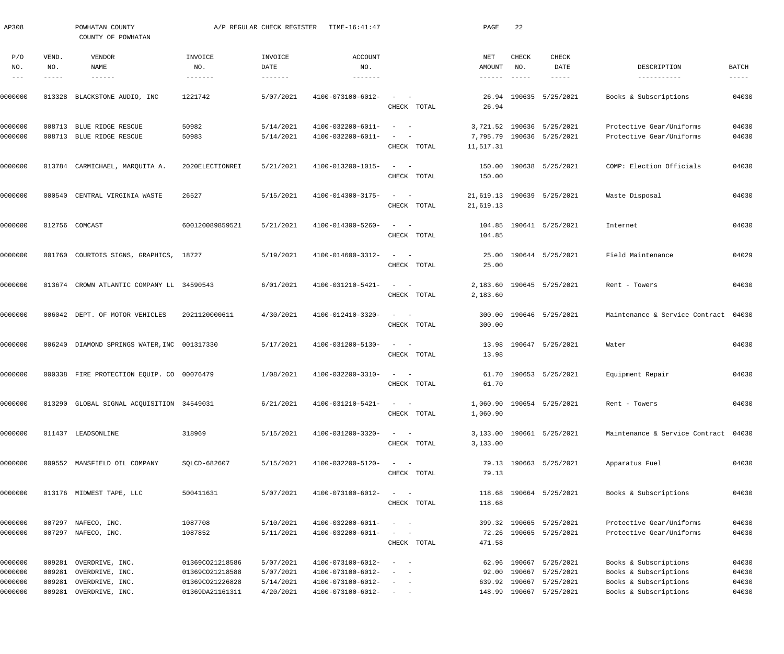| AP308                           |                       | POWHATAN COUNTY<br>COUNTY OF POWHATAN               |                                    | A/P REGULAR CHECK REGISTER | TIME-16:41:47                          |                                                                                                                                                        | PAGE                             | 22                                        |                                                   |                                                      |                               |
|---------------------------------|-----------------------|-----------------------------------------------------|------------------------------------|----------------------------|----------------------------------------|--------------------------------------------------------------------------------------------------------------------------------------------------------|----------------------------------|-------------------------------------------|---------------------------------------------------|------------------------------------------------------|-------------------------------|
| P/O<br>NO.<br>$\qquad \qquad -$ | VEND.<br>NO.<br>----- | <b>VENDOR</b><br>NAME<br>$\cdots\cdots\cdots\cdots$ | INVOICE<br>NO.<br>-------          | INVOICE<br>DATE<br>------- | <b>ACCOUNT</b><br>NO.<br>-------       |                                                                                                                                                        | NET<br>AMOUNT<br>$- - - - - - -$ | CHECK<br>NO.<br>$\qquad \qquad - - - - -$ | CHECK<br>DATE<br>-----                            | DESCRIPTION                                          | <b>BATCH</b><br>$- - - - - -$ |
| )000000                         |                       | 013328 BLACKSTONE AUDIO, INC                        | 1221742                            | 5/07/2021                  | 4100-073100-6012-                      | $\sim$ $  -$<br>CHECK TOTAL                                                                                                                            | 26.94                            |                                           | 26.94 190635 5/25/2021                            | Books & Subscriptions                                | 04030                         |
| 0000000                         |                       | 008713 BLUE RIDGE RESCUE                            | 50982                              | 5/14/2021                  | 4100-032200-6011-                      | $\sim$<br>$\sim$ $-$                                                                                                                                   |                                  |                                           | 3,721.52 190636 5/25/2021                         | Protective Gear/Uniforms                             | 04030                         |
| 0000000                         |                       | 008713 BLUE RIDGE RESCUE                            | 50983                              | 5/14/2021                  | 4100-032200-6011-                      | CHECK TOTAL                                                                                                                                            | 11,517.31                        |                                           | 7,795.79 190636 5/25/2021                         | Protective Gear/Uniforms                             | 04030                         |
| 0000000                         |                       | 013784 CARMICHAEL, MARQUITA A.                      | 2020ELECTIONREI                    | 5/21/2021                  | 4100-013200-1015-                      | $\mathcal{L}_{\text{max}}$ , and $\mathcal{L}_{\text{max}}$<br>CHECK TOTAL                                                                             | 150.00<br>150.00                 |                                           | 190638 5/25/2021                                  | COMP: Election Officials                             | 04030                         |
| 0000000                         | 000540                | CENTRAL VIRGINIA WASTE                              | 26527                              | 5/15/2021                  | 4100-014300-3175-                      | $\sim$ $  -$<br>CHECK TOTAL                                                                                                                            | 21,619.13                        |                                           | 21,619.13 190639 5/25/2021                        | Waste Disposal                                       | 04030                         |
| 0000000                         |                       | 012756 COMCAST                                      | 600120089859521                    | 5/21/2021                  | 4100-014300-5260-                      | $\sim$ $  -$<br>CHECK TOTAL                                                                                                                            | 104.85<br>104.85                 |                                           | 190641 5/25/2021                                  | Internet                                             | 04030                         |
| 0000000                         |                       | 001760 COURTOIS SIGNS, GRAPHICS, 18727              |                                    | 5/19/2021                  | 4100-014600-3312-                      | $\sim$ 100 $\sim$ $\sim$<br>CHECK TOTAL                                                                                                                | 25.00<br>25.00                   |                                           | 190644 5/25/2021                                  | Field Maintenance                                    | 04029                         |
| 0000000                         |                       | 013674 CROWN ATLANTIC COMPANY LL 34590543           |                                    | 6/01/2021                  | 4100-031210-5421-                      | $\sim$ $  -$<br>CHECK TOTAL                                                                                                                            | 2,183.60<br>2,183.60             |                                           | 190645 5/25/2021                                  | Rent - Towers                                        | 04030                         |
| 0000000                         |                       | 006042 DEPT. OF MOTOR VEHICLES                      | 2021120000611                      | 4/30/2021                  | 4100-012410-3320-                      | $\sim$ $  -$<br>CHECK TOTAL                                                                                                                            | 300.00<br>300.00                 |                                           | 190646 5/25/2021                                  | Maintenance & Service Contract 04030                 |                               |
| 0000000                         |                       | 006240 DIAMOND SPRINGS WATER, INC 001317330         |                                    | 5/17/2021                  | 4100-031200-5130-                      | $\sim$ $  -$<br>CHECK TOTAL                                                                                                                            | 13.98                            |                                           | 13.98 190647 5/25/2021                            | Water                                                | 04030                         |
| 0000000                         |                       | 000338 FIRE PROTECTION EQUIP. CO 00076479           |                                    | 1/08/2021                  | 4100-032200-3310-                      | $\frac{1}{2}$ and $\frac{1}{2}$ and $\frac{1}{2}$<br>CHECK TOTAL                                                                                       | 61.70                            |                                           | 61.70 190653 5/25/2021                            | Equipment Repair                                     | 04030                         |
| 0000000                         |                       | 013290 GLOBAL SIGNAL ACQUISITION 34549031           |                                    | 6/21/2021                  | 4100-031210-5421-                      | $\sim$ $  -$<br>CHECK TOTAL                                                                                                                            | 1,060.90                         |                                           | 1,060.90 190654 5/25/2021                         | Rent - Towers                                        | 04030                         |
| 0000000                         |                       | 011437 LEADSONLINE                                  | 318969                             | 5/15/2021                  | 4100-031200-3320-                      | $\sim$ $  -$<br>CHECK TOTAL                                                                                                                            | 3,133.00                         |                                           | 3,133.00 190661 5/25/2021                         | Maintenance & Service Contract 04030                 |                               |
| 0000000                         |                       | 009552 MANSFIELD OIL COMPANY                        | SOLCD-682607                       | 5/15/2021                  | 4100-032200-5120-                      | $\sim$ $  -$<br>CHECK TOTAL                                                                                                                            | 79.13                            |                                           | 79.13 190663 5/25/2021                            | Apparatus Fuel                                       | 04030                         |
| 0000000                         |                       | 013176 MIDWEST TAPE, LLC                            | 500411631                          | 5/07/2021                  | 4100-073100-6012-                      | $\sim$ 100 $\sim$ $\sim$<br>CHECK TOTAL                                                                                                                | 118.68                           |                                           | 118.68 190664 5/25/2021                           | Books & Subscriptions                                | 04030                         |
| 0000000<br>0000000              |                       | 007297 NAFECO, INC.<br>007297 NAFECO, INC.          | 1087708<br>1087852                 | 5/10/2021<br>5/11/2021     | 4100-032200-6011-<br>4100-032200-6011- | $\sim$ $  -$<br>$\sim$ $  -$<br>CHECK TOTAL                                                                                                            | 471.58                           |                                           | 399.32 190665 5/25/2021<br>72.26 190665 5/25/2021 | Protective Gear/Uniforms<br>Protective Gear/Uniforms | 04030<br>04030                |
| 0000000<br>0000000              | 009281<br>009281      | OVERDRIVE, INC.<br>OVERDRIVE, INC.                  | 01369CO21218586<br>01369CO21218588 | 5/07/2021<br>5/07/2021     | 4100-073100-6012-<br>4100-073100-6012- | $\frac{1}{2} \left( \frac{1}{2} \right) \left( \frac{1}{2} \right) = \frac{1}{2} \left( \frac{1}{2} \right)$<br>$\overline{\phantom{a}}$<br>$\sim$ $-$ | 92.00                            | 190667                                    | 62.96 190667 5/25/2021<br>5/25/2021               | Books & Subscriptions<br>Books & Subscriptions       | 04030<br>04030                |
| 0000000                         | 009281                | OVERDRIVE, INC.                                     | 01369CO21226828                    | 5/14/2021                  | 4100-073100-6012-                      | $\frac{1}{2} \left( \frac{1}{2} \right) \left( \frac{1}{2} \right) = \frac{1}{2} \left( \frac{1}{2} \right)$                                           | 639.92                           | 190667                                    | 5/25/2021                                         | Books & Subscriptions                                | 04030                         |
| 0000000                         |                       | OVERDRIVE, INC.                                     |                                    | 4/20/2021                  |                                        |                                                                                                                                                        |                                  |                                           |                                                   | Books & Subscriptions                                | 04030                         |
|                                 | 009281                |                                                     | 01369DA21161311                    |                            | 4100-073100-6012-                      | $\sim$ $ \sim$ $ -$                                                                                                                                    |                                  |                                           | 148.99 190667 5/25/2021                           |                                                      |                               |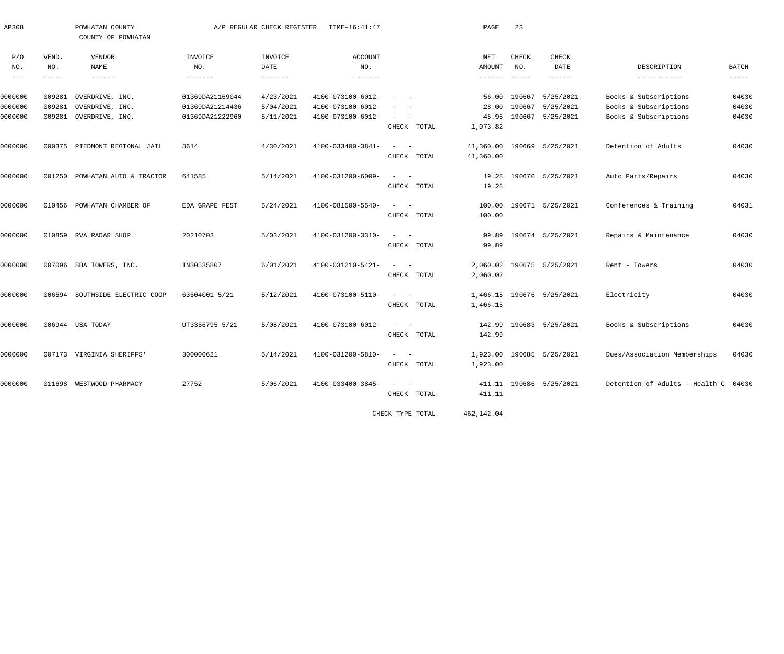| AP308         |             | POWHATAN COUNTY                |                 | A/P REGULAR CHECK REGISTER | TIME-16:41:47     |                                                   | PAGE                 | 23            |                           |                                      |               |
|---------------|-------------|--------------------------------|-----------------|----------------------------|-------------------|---------------------------------------------------|----------------------|---------------|---------------------------|--------------------------------------|---------------|
|               |             | COUNTY OF POWHATAN             |                 |                            |                   |                                                   |                      |               |                           |                                      |               |
| P/O           | VEND.       | VENDOR                         | INVOICE         | INVOICE                    | <b>ACCOUNT</b>    |                                                   | NET                  | CHECK         | <b>CHECK</b>              |                                      |               |
| NO.           | NO.         | NAME                           | NO.             | DATE                       | NO.               |                                                   | AMOUNT               | NO.           | DATE                      | DESCRIPTION                          | <b>BATCH</b>  |
| $\frac{1}{2}$ | $- - - - -$ | $\frac{1}{2}$                  | $- - - - - - -$ | $- - - - - - - -$          |                   |                                                   | $- - - - - - -$      | $\frac{1}{2}$ | $- - - - -$               | -----------                          | $- - - - - -$ |
| 0000000       | 009281      | OVERDRIVE, INC.                | 01369DA21169044 | 4/23/2021                  | 4100-073100-6012- | $\sim$                                            | 56.00                | 190667        | 5/25/2021                 | Books & Subscriptions                | 04030         |
| 0000000       | 009281      | OVERDRIVE, INC.                | 01369DA21214436 | 5/04/2021                  | 4100-073100-6012- |                                                   | 28.00                | 190667        | 5/25/2021                 | Books & Subscriptions                | 04030         |
| 0000000       | 009281      | OVERDRIVE, INC.                | 01369DA21222960 | 5/11/2021                  | 4100-073100-6012- | $\sim$<br>$\sim$                                  | 45.95                | 190667        | 5/25/2021                 | Books & Subscriptions                | 04030         |
|               |             |                                |                 |                            |                   | CHECK TOTAL                                       | 1,073.82             |               |                           |                                      |               |
| 0000000       |             | 000375 PIEDMONT REGIONAL JAIL  | 3614            | 4/30/2021                  | 4100-033400-3841- | $\sim$<br>$\sim$ $-$                              | 41,360.00            |               | 190669 5/25/2021          | Detention of Adults                  | 04030         |
|               |             |                                |                 |                            |                   | CHECK TOTAL                                       | 41,360.00            |               |                           |                                      |               |
|               |             |                                |                 |                            |                   |                                                   |                      |               |                           |                                      |               |
| 0000000       |             | 001250 POWHATAN AUTO & TRACTOR | 641585          | 5/14/2021                  | 4100-031200-6009- | $\sim$<br>$\sim$ $-$                              | 19.28                |               | 190670 5/25/2021          | Auto Parts/Repairs                   | 04030         |
|               |             |                                |                 |                            |                   | CHECK TOTAL                                       | 19.28                |               |                           |                                      |               |
| 0000000       |             | 010456 POWHATAN CHAMBER OF     | EDA GRAPE FEST  | 5/24/2021                  | 4100-081500-5540- | $\qquad \qquad -$                                 | 100.00               |               | 190671 5/25/2021          | Conferences & Training               | 04031         |
|               |             |                                |                 |                            |                   | CHECK TOTAL                                       | 100.00               |               |                           |                                      |               |
| 0000000       |             | 010859 RVA RADAR SHOP          | 20210703        | 5/03/2021                  | 4100-031200-3310- | $\sim$ $-$<br>$\equiv$                            | 99.89                |               | 190674 5/25/2021          | Repairs & Maintenance                | 04030         |
|               |             |                                |                 |                            |                   | CHECK TOTAL                                       | 99.89                |               |                           |                                      |               |
|               |             |                                |                 |                            |                   |                                                   |                      |               |                           |                                      |               |
| 0000000       |             | 007096 SBA TOWERS, INC.        | IN30535807      | 6/01/2021                  | 4100-031210-5421- | $\sim$ $-$                                        | 2,060.02             |               | 190675 5/25/2021          | Rent - Towers                        | 04030         |
|               |             |                                |                 |                            |                   | CHECK TOTAL                                       | 2,060.02             |               |                           |                                      |               |
| 0000000       |             | 006594 SOUTHSIDE ELECTRIC COOP | 63504001 5/21   | 5/12/2021                  | 4100-073100-5110- | $\frac{1}{2}$ and $\frac{1}{2}$ and $\frac{1}{2}$ |                      |               | 1,466.15 190676 5/25/2021 | Electricity                          | 04030         |
|               |             |                                |                 |                            |                   | CHECK TOTAL                                       | 1,466.15             |               |                           |                                      |               |
| 0000000       |             | 006944 USA TODAY               | UT3356795 5/21  | 5/08/2021                  | 4100-073100-6012- | $\equiv$<br>$\sim$                                | 142.99               |               | 190683 5/25/2021          | Books & Subscriptions                | 04030         |
|               |             |                                |                 |                            |                   | CHECK TOTAL                                       | 142.99               |               |                           |                                      |               |
|               |             |                                |                 |                            |                   | $\sim$<br>$\sim$ $-$                              |                      |               |                           |                                      |               |
| 0000000       |             | 007173 VIRGINIA SHERIFFS'      | 300000621       | 5/14/2021                  | 4100-031200-5810- | CHECK TOTAL                                       | 1,923.00<br>1,923.00 |               | 190685 5/25/2021          | Dues/Association Memberships         | 04030         |
|               |             |                                |                 |                            |                   |                                                   |                      |               |                           |                                      |               |
| 0000000       |             | 011698 WESTWOOD PHARMACY       | 27752           | 5/06/2021                  | 4100-033400-3845- | $\qquad \qquad -$                                 |                      |               | 411.11 190686 5/25/2021   | Detention of Adults - Health C 04030 |               |
|               |             |                                |                 |                            |                   | CHECK TOTAL                                       | 411.11               |               |                           |                                      |               |
|               |             |                                |                 |                            |                   | CHECK TYPE TOTAL                                  | 462,142.04           |               |                           |                                      |               |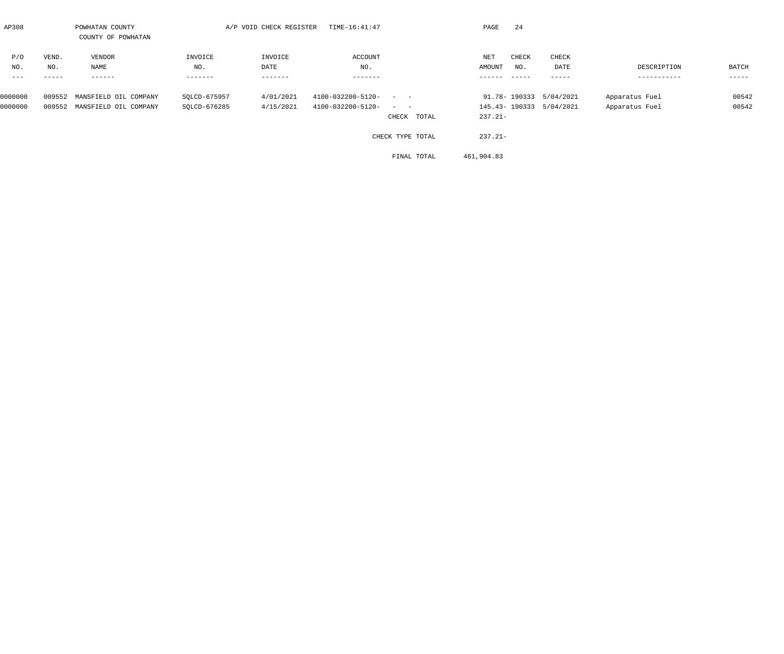| AP308   |       | POWHATAN COUNTY              |              | A/P VOID CHECK REGISTER | TIME-16:41:47                                                              | PAGE       | 24     |                         |                |       |
|---------|-------|------------------------------|--------------|-------------------------|----------------------------------------------------------------------------|------------|--------|-------------------------|----------------|-------|
|         |       | COUNTY OF POWHATAN           |              |                         |                                                                            |            |        |                         |                |       |
| P/O     | VEND. | VENDOR                       | INVOICE      | INVOICE                 | ACCOUNT                                                                    | NET        | CHECK  | CHECK                   |                |       |
| NO.     | NO.   | NAME                         | NO.          | DATE                    | NO.                                                                        | AMOUNT     | NO.    | DATE                    | DESCRIPTION    | BATCH |
| $--$    | ----- | -------                      | -------      | -------                 | -------                                                                    | ------     | ------ | ------                  | -----------    | ----- |
| 0000000 |       | 009552 MANSFIELD OIL COMPANY | SOLCD-675957 | 4/01/2021               | 4100-032200-5120-<br>$\frac{1}{2}$ , and $\frac{1}{2}$ , and $\frac{1}{2}$ |            |        | 91.78-190333 5/04/2021  | Apparatus Fuel | 00542 |
| 0000000 |       | 009552 MANSFIELD OIL COMPANY | SOLCD-676285 | 4/15/2021               | 4100-032200-5120-<br>$\alpha = 1, \ldots, \alpha$ .                        |            |        | 145.43-190333 5/04/2021 | Apparatus Fuel | 00542 |
|         |       |                              |              |                         | CHECK TOTAL                                                                | $237.21 -$ |        |                         |                |       |
|         |       |                              |              |                         | CHECK TYPE TOTAL                                                           | $237.21 -$ |        |                         |                |       |

FINAL TOTAL 461,904.83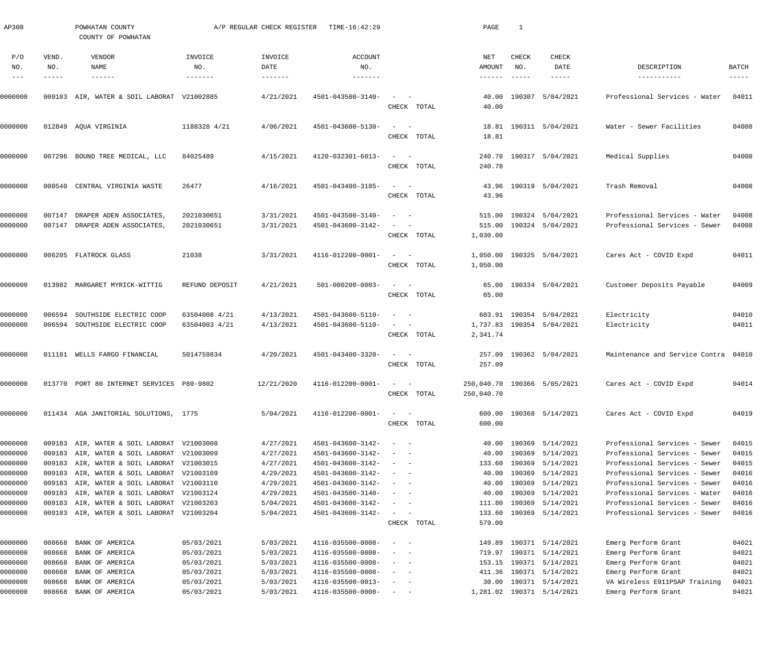| AP308                         |                  | POWHATAN COUNTY<br>COUNTY OF POWHATAN                                                                                                  |                                | A/P REGULAR CHECK REGISTER          | TIME-16:42:29                                               |                                                                                                                                                                                         | PAGE                                      | -1                                   |                                                          |                                                                                                 |                         |
|-------------------------------|------------------|----------------------------------------------------------------------------------------------------------------------------------------|--------------------------------|-------------------------------------|-------------------------------------------------------------|-----------------------------------------------------------------------------------------------------------------------------------------------------------------------------------------|-------------------------------------------|--------------------------------------|----------------------------------------------------------|-------------------------------------------------------------------------------------------------|-------------------------|
| P/O<br>NO.                    | VEND.<br>NO.     | VENDOR<br><b>NAME</b><br>------                                                                                                        | INVOICE<br>NO.<br>-------      | INVOICE<br>DATE<br>-------          | <b>ACCOUNT</b><br>NO.<br>-------                            |                                                                                                                                                                                         | NET<br>AMOUNT                             | <b>CHECK</b><br>NO.<br>$- - - - - -$ | CHECK<br>DATE<br>-----                                   | DESCRIPTION<br>-----------                                                                      | BATCH<br>$- - - - - -$  |
| 0000000                       |                  | 009183 AIR, WATER & SOIL LABORAT V21002885                                                                                             |                                | 4/21/2021                           | 4501-043500-3140-                                           | CHECK TOTAL                                                                                                                                                                             | 40.00<br>40.00                            |                                      | 190307 5/04/2021                                         | Professional Services - Water                                                                   | 04011                   |
| 0000000                       |                  | 012849 AQUA VIRGINIA                                                                                                                   | 1188328 4/21                   | 4/06/2021                           | 4501-043600-5130-                                           | $\sim$<br>$\sim$ $-$<br>CHECK TOTAL                                                                                                                                                     | 18.81<br>18.81                            |                                      | 190311 5/04/2021                                         | Water - Sewer Facilities                                                                        | 04008                   |
| 0000000                       |                  | 007296 BOUND TREE MEDICAL, LLC                                                                                                         | 84025489                       | 4/15/2021                           | 4120-032301-6013-                                           | $\sim$ $-$<br>$\hspace{0.1mm}-\hspace{0.1mm}$<br>CHECK TOTAL                                                                                                                            | 240.78<br>240.78                          |                                      | 190317 5/04/2021                                         | Medical Supplies                                                                                | 04008                   |
| 0000000                       | 000540           | CENTRAL VIRGINIA WASTE                                                                                                                 | 26477                          | 4/16/2021                           | 4501-043400-3185-                                           | $\sim$<br>CHECK TOTAL                                                                                                                                                                   | 43.96<br>43.96                            |                                      | 190319 5/04/2021                                         | Trash Removal                                                                                   | 04008                   |
| 0000000<br>0000000            | 007147           | DRAPER ADEN ASSOCIATES,<br>007147 DRAPER ADEN ASSOCIATES,                                                                              | 2021030651<br>2021030651       | 3/31/2021<br>3/31/2021              | 4501-043500-3140-<br>4501-043600-3142-                      | $\sim$<br>CHECK TOTAL                                                                                                                                                                   | 515.00<br>515.00<br>1,030.00              |                                      | 190324 5/04/2021<br>190324 5/04/2021                     | Professional Services - Water<br>Professional Services - Sewer                                  | 04008<br>04008          |
| 0000000                       |                  | 006205 FLATROCK GLASS                                                                                                                  | 21038                          | 3/31/2021                           | 4116-012200-0001-                                           | $\sim$<br>$\sim$<br>CHECK TOTAL                                                                                                                                                         | 1,050.00                                  |                                      | 1,050.00 190325 5/04/2021                                | Cares Act - COVID Expd                                                                          | 04011                   |
| 0000000                       |                  | 013982 MARGARET MYRICK-WITTIG                                                                                                          | REFUND DEPOSIT                 | 4/21/2021                           | 501-000200-0003-                                            | $\sim$<br>$\sim$ $-$<br>CHECK TOTAL                                                                                                                                                     | 65.00<br>65.00                            |                                      | 190334 5/04/2021                                         | Customer Deposits Payable                                                                       | 04009                   |
| 0000000<br>0000000            | 006594           | SOUTHSIDE ELECTRIC COOP<br>006594 SOUTHSIDE ELECTRIC COOP                                                                              | 63504008 4/21<br>63504003 4/21 | 4/13/2021<br>4/13/2021              | 4501-043600-5110-<br>4501-043600-5110-                      | $\sim$ $-$<br>CHECK TOTAL                                                                                                                                                               | 2,341.74                                  |                                      | 603.91 190354 5/04/2021<br>1,737.83 190354 5/04/2021     | Electricity<br>Electricity                                                                      | 04010<br>04011          |
| 0000000                       |                  | 011181 WELLS FARGO FINANCIAL                                                                                                           | 5014759834                     | 4/20/2021                           | 4501-043400-3320-                                           | $\sim$<br>CHECK TOTAL                                                                                                                                                                   | 257.09<br>257.09                          |                                      | 190362 5/04/2021                                         | Maintenance and Service Contra 04010                                                            |                         |
| 0000000                       |                  | 013770 PORT 80 INTERNET SERVICES P80-9802                                                                                              |                                | 12/21/2020                          | 4116-012200-0001-                                           | $\overline{\phantom{0}}$<br>CHECK TOTAL                                                                                                                                                 | 250,040.70 190366 5/05/2021<br>250,040.70 |                                      |                                                          | Cares Act - COVID Expd                                                                          | 04014                   |
| 0000000                       |                  | 011434 AGA JANITORIAL SOLUTIONS, 1775                                                                                                  |                                | 5/04/2021                           | 4116-012200-0001-                                           | CHECK TOTAL                                                                                                                                                                             | 600.00<br>600.00                          |                                      | 190368 5/14/2021                                         | Cares Act - COVID Expd                                                                          | 04019                   |
| 0000000<br>0000000            |                  | 009183 AIR, WATER & SOIL LABORAT V21003008<br>009183 AIR, WATER & SOIL LABORAT V21003009                                               |                                | 4/27/2021<br>4/27/2021              | 4501-043600-3142-<br>4501-043600-3142-                      | $\overline{\phantom{a}}$<br>$\sim$<br>$\sim$<br>$\sim$ $-$<br>$\frac{1}{2} \left( \frac{1}{2} \right) \left( \frac{1}{2} \right) \left( \frac{1}{2} \right) \left( \frac{1}{2} \right)$ | 40.00<br>40.00                            |                                      | 190369 5/14/2021<br>190369 5/14/2021                     | Professional Services - Sewer<br>Professional Services - Sewer                                  | 04015<br>04015<br>04015 |
| 0000000<br>0000000<br>0000000 |                  | 009183 AIR, WATER & SOIL LABORAT V21003015<br>009183 AIR, WATER & SOIL LABORAT V21003109<br>009183 AIR, WATER & SOIL LABORAT V21003110 |                                | 4/27/2021<br>4/29/2021<br>4/29/2021 | 4501-043600-3142-<br>4501-043600-3142-<br>4501-043600-3142- | $\sim$<br>$\sim$ $-$<br>$\sim$<br>$\sim$ $-$                                                                                                                                            | 133.60<br>40.00<br>40.00                  |                                      | 190369 5/14/2021<br>190369 5/14/2021<br>190369 5/14/2021 | Professional Services - Sewer<br>Professional Services - Sewer<br>Professional Services - Sewer | 04016<br>04016          |
| 0000000<br>0000000<br>0000000 |                  | 009183 AIR, WATER & SOIL LABORAT V21003124<br>009183 AIR, WATER & SOIL LABORAT V21003203<br>009183 AIR, WATER & SOIL LABORAT V21003204 |                                | 4/29/2021<br>5/04/2021<br>5/04/2021 | 4501-043500-3140-<br>4501-043600-3142-<br>4501-043600-3142- | $\sim$<br>$\sim$ $-$<br>$\sim$<br>$\sim$ $-$<br>$\sim$<br>$\sim$ $-$<br>CHECK TOTAL                                                                                                     | 40.00<br>111.80<br>133.60<br>579.00       |                                      | 190369 5/14/2021<br>190369 5/14/2021<br>190369 5/14/2021 | Professional Services - Water<br>Professional Services - Sewer<br>Professional Services - Sewer | 04016<br>04016<br>04016 |
| 0000000<br>0000000            | 008668<br>008668 | BANK OF AMERICA<br>BANK OF AMERICA                                                                                                     | 05/03/2021<br>05/03/2021       | 5/03/2021<br>5/03/2021              | 4116-035500-0008-<br>4116-035500-0008-                      | $\overline{\phantom{m}}$<br>$\overline{\phantom{0}}$<br>$\sim$<br>$\sim$                                                                                                                | 149.89<br>719.97                          |                                      | 190371 5/14/2021<br>190371 5/14/2021                     | Emerg Perform Grant<br>Emerg Perform Grant                                                      | 04021<br>04021          |
| 0000000<br>0000000            | 008668<br>008668 | BANK OF AMERICA<br>BANK OF AMERICA                                                                                                     | 05/03/2021<br>05/03/2021       | 5/03/2021<br>5/03/2021              | 4116-035500-0008-<br>4116-035500-0008-                      | $\frac{1}{2} \left( \frac{1}{2} \right) \left( \frac{1}{2} \right) \left( \frac{1}{2} \right) \left( \frac{1}{2} \right)$<br>$\sim$<br>$\sim$                                           | 153.15<br>411.36                          |                                      | 190371 5/14/2021<br>190371 5/14/2021                     | Emerg Perform Grant<br>Emerg Perform Grant                                                      | 04021<br>04021          |
| 0000000<br>0000000            | 008668<br>008668 | BANK OF AMERICA<br>BANK OF AMERICA                                                                                                     | 05/03/2021<br>05/03/2021       | 5/03/2021<br>5/03/2021              | 4116-035500-0013-<br>4116-035500-0008-                      | $\sim$<br>$\sim$<br>$\sim$ $  -$                                                                                                                                                        | 30.00                                     |                                      | 190371 5/14/2021<br>1,281.02 190371 5/14/2021            | VA Wireless E911PSAP Training<br>Emerg Perform Grant                                            | 04021<br>04021          |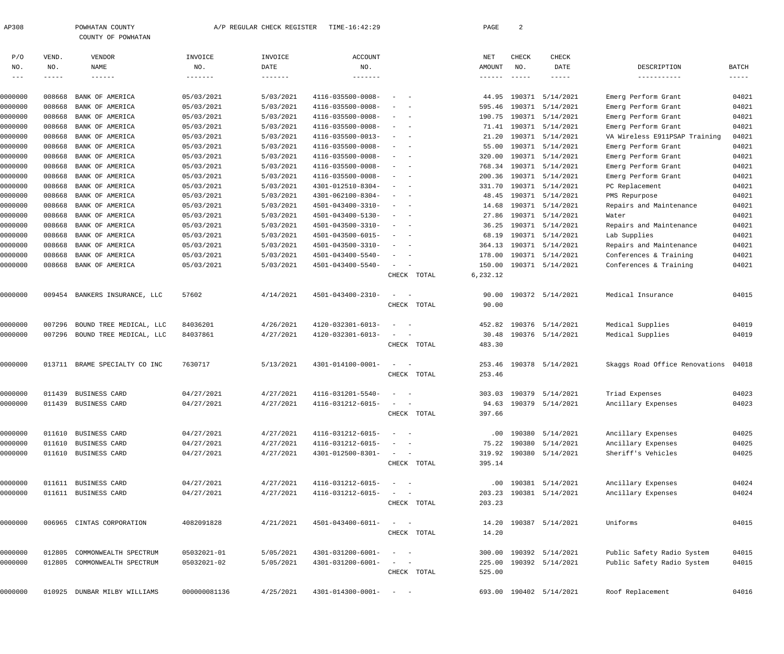|                   |                    | COUNTY OF POWHATAN                         |                          |                         |                        |                                        |                           |                                  |                         |                                      |                             |
|-------------------|--------------------|--------------------------------------------|--------------------------|-------------------------|------------------------|----------------------------------------|---------------------------|----------------------------------|-------------------------|--------------------------------------|-----------------------------|
| P/O               | VEND.              | VENDOR                                     | INVOICE                  | INVOICE                 | <b>ACCOUNT</b>         |                                        | NET                       | CHECK                            | CHECK                   |                                      |                             |
| NO.<br>$--\,$ $-$ | NO.<br>$--- - - -$ | <b>NAME</b><br>$\qquad \qquad - - - - - -$ | NO.<br>$- - - - - - - -$ | DATE<br>$- - - - - - -$ | NO.<br>$- - - - - - -$ |                                        | AMOUNT<br>$- - - - - - -$ | NO.<br>$\qquad \qquad - - - - -$ | DATE<br>$- - - - -$     | DESCRIPTION<br>-----------           | <b>BATCH</b><br>$--- - - -$ |
| 0000000           | 008668             | BANK OF AMERICA                            | 05/03/2021               | 5/03/2021               | 4116-035500-0008-      |                                        | 44.95                     | 190371                           | 5/14/2021               | Emerg Perform Grant                  | 04021                       |
| 0000000           | 008668             | BANK OF AMERICA                            | 05/03/2021               | 5/03/2021               | 4116-035500-0008-      |                                        | 595.46                    |                                  | 190371 5/14/2021        | Emerg Perform Grant                  | 04021                       |
| 0000000           | 008668             | BANK OF AMERICA                            | 05/03/2021               | 5/03/2021               | 4116-035500-0008-      |                                        | 190.75                    |                                  | 190371 5/14/2021        | Emerg Perform Grant                  | 04021                       |
| 0000000           | 008668             | BANK OF AMERICA                            | 05/03/2021               | 5/03/2021               | 4116-035500-0008-      | $\sim$<br>$\sim$                       | 71.41                     |                                  | 190371 5/14/2021        | Emerg Perform Grant                  | 04021                       |
| 0000000           | 008668             | BANK OF AMERICA                            | 05/03/2021               | 5/03/2021               | 4116-035500-0013-      | $\sim$<br>$\sim$                       | 21.20                     |                                  | 190371 5/14/2021        | VA Wireless E911PSAP Training        | 04021                       |
| 0000000           | 008668             | BANK OF AMERICA                            | 05/03/2021               | 5/03/2021               | 4116-035500-0008-      | $\sim$ $-$<br>$\overline{\phantom{a}}$ | 55.00                     |                                  | 190371 5/14/2021        | Emerg Perform Grant                  | 04021                       |
| 0000000           | 008668             | BANK OF AMERICA                            | 05/03/2021               | 5/03/2021               | 4116-035500-0008-      |                                        | 320.00                    |                                  | 190371 5/14/2021        | Emerg Perform Grant                  | 04021                       |
| 0000000           | 008668             | BANK OF AMERICA                            | 05/03/2021               | 5/03/2021               | 4116-035500-0008-      | $\sim$                                 | 768.34                    |                                  | 190371 5/14/2021        | Emerg Perform Grant                  | 04021                       |
| 0000000           | 008668             | BANK OF AMERICA                            | 05/03/2021               | 5/03/2021               | 4116-035500-0008-      | $\sim$<br>$\sim$                       | 200.36                    |                                  | 190371 5/14/2021        | Emerg Perform Grant                  | 04021                       |
| 0000000           | 008668             | BANK OF AMERICA                            | 05/03/2021               | 5/03/2021               | 4301-012510-8304-      | $\sim$<br>$\sim$                       | 331.70                    |                                  | 190371 5/14/2021        | PC Replacement                       | 04021                       |
| 0000000           | 008668             | BANK OF AMERICA                            | 05/03/2021               | 5/03/2021               | 4301-062100-8304-      | $\overline{\phantom{a}}$               | 48.45                     |                                  | 190371 5/14/2021        | PMS Repurpose                        | 04021                       |
| 0000000           | 008668             | BANK OF AMERICA                            | 05/03/2021               | 5/03/2021               | 4501-043400-3310-      |                                        | 14.68                     |                                  | 190371 5/14/2021        | Repairs and Maintenance              | 04021                       |
| 0000000           | 008668             | BANK OF AMERICA                            | 05/03/2021               | 5/03/2021               | 4501-043400-5130-      | $\sim$<br>$\sim$                       | 27.86                     |                                  | 190371 5/14/2021        | Water                                | 04021                       |
| 0000000           | 008668             | BANK OF AMERICA                            | 05/03/2021               | 5/03/2021               | 4501-043500-3310-      | $\sim$ $-$<br>$\sim$                   | 36.25                     |                                  | 190371 5/14/2021        | Repairs and Maintenance              | 04021                       |
| 0000000           | 008668             | BANK OF AMERICA                            | 05/03/2021               | 5/03/2021               | 4501-043500-6015-      | $\sim$ $-$<br>$\overline{\phantom{a}}$ | 68.19                     |                                  | 190371 5/14/2021        | Lab Supplies                         | 04021                       |
| 0000000           | 008668             | BANK OF AMERICA                            | 05/03/2021               | 5/03/2021               | 4501-043500-3310-      | $\sim$ $-$                             | 364.13                    |                                  | 190371 5/14/2021        | Repairs and Maintenance              | 04021                       |
| 0000000           | 008668             | BANK OF AMERICA                            | 05/03/2021               | 5/03/2021               | 4501-043400-5540-      | $\sim$ $-$                             | 178.00                    |                                  | 190371 5/14/2021        | Conferences & Training               | 04021                       |
| 0000000           | 008668             | BANK OF AMERICA                            | 05/03/2021               | 5/03/2021               | 4501-043400-5540-      | $\sim$<br>$\sim$ $-$                   | 150.00                    |                                  | 190371 5/14/2021        | Conferences & Training               | 04021                       |
|                   |                    |                                            |                          |                         |                        | CHECK TOTAL                            | 6,232.12                  |                                  |                         |                                      |                             |
| 0000000           | 009454             | BANKERS INSURANCE, LLC                     | 57602                    | 4/14/2021               | 4501-043400-2310-      | $\sim$<br>$\sim$ $-$                   | 90.00                     |                                  | 190372 5/14/2021        | Medical Insurance                    | 04015                       |
|                   |                    |                                            |                          |                         |                        | CHECK TOTAL                            | 90.00                     |                                  |                         |                                      |                             |
| 0000000           | 007296             | BOUND TREE MEDICAL, LLC                    | 84036201                 | 4/26/2021               | 4120-032301-6013-      | $\sim$ $-$                             | 452.82                    |                                  | 190376 5/14/2021        | Medical Supplies                     | 04019                       |
| 0000000           | 007296             | BOUND TREE MEDICAL, LLC                    | 84037861                 | 4/27/2021               | 4120-032301-6013-      | $\sim$<br>$\sim$                       | 30.48                     |                                  | 190376 5/14/2021        | Medical Supplies                     | 04019                       |
|                   |                    |                                            |                          |                         |                        | CHECK TOTAL                            | 483.30                    |                                  |                         |                                      |                             |
| 0000000           |                    | 013711 BRAME SPECIALTY CO INC              | 7630717                  | 5/13/2021               | 4301-014100-0001-      | $\sim$<br>$\sim$ $-$                   | 253.46                    |                                  | 190378 5/14/2021        | Skaggs Road Office Renovations 04018 |                             |
|                   |                    |                                            |                          |                         |                        | CHECK TOTAL                            | 253.46                    |                                  |                         |                                      |                             |
| 0000000           |                    | 011439 BUSINESS CARD                       | 04/27/2021               | 4/27/2021               | 4116-031201-5540-      |                                        |                           |                                  | 303.03 190379 5/14/2021 | Triad Expenses                       | 04023                       |
| 0000000           |                    | 011439 BUSINESS CARD                       | 04/27/2021               | 4/27/2021               | 4116-031212-6015-      |                                        |                           |                                  | 94.63 190379 5/14/2021  | Ancillary Expenses                   | 04023                       |
|                   |                    |                                            |                          |                         |                        | CHECK TOTAL                            | 397.66                    |                                  |                         |                                      |                             |
| 0000000           | 011610             | BUSINESS CARD                              | 04/27/2021               | 4/27/2021               | 4116-031212-6015-      | $\sim$ $ -$                            | $.00 \,$                  |                                  | 190380 5/14/2021        | Ancillary Expenses                   | 04025                       |
| 0000000           | 011610             | BUSINESS CARD                              | 04/27/2021               | 4/27/2021               | 4116-031212-6015-      | $\qquad \qquad -$                      | 75.22                     |                                  | 190380 5/14/2021        | Ancillary Expenses                   | 04025                       |
| 0000000           |                    | 011610 BUSINESS CARD                       | 04/27/2021               | 4/27/2021               | 4301-012500-8301-      | $\sim$ 100 $\sim$                      | 319.92                    |                                  | 190380 5/14/2021        | Sheriff's Vehicles                   | 04025                       |
|                   |                    |                                            |                          |                         |                        | CHECK TOTAL                            | 395.14                    |                                  |                         |                                      |                             |
| 0000000           |                    | 011611 BUSINESS CARD                       | 04/27/2021               | 4/27/2021               | 4116-031212-6015-      | $\sim$ $ -$                            | $.00 \,$                  |                                  | 190381 5/14/2021        | Ancillary Expenses                   | 04024                       |
| 0000000           |                    | 011611 BUSINESS CARD                       | 04/27/2021               | 4/27/2021               | 4116-031212-6015-      | $\qquad \qquad -$                      | 203.23                    |                                  | 190381 5/14/2021        | Ancillary Expenses                   | 04024                       |
|                   |                    |                                            |                          |                         |                        | CHECK TOTAL                            | 203.23                    |                                  |                         |                                      |                             |
| 0000000           |                    | 006965 CINTAS CORPORATION                  | 4082091828               | 4/21/2021               | 4501-043400-6011-      | $\sim$ 100 $\sim$                      | 14.20                     |                                  | 190387 5/14/2021        | Uniforms                             | 04015                       |
|                   |                    |                                            |                          |                         |                        | CHECK TOTAL                            | 14.20                     |                                  |                         |                                      |                             |
| 0000000           | 012805             | COMMONWEALTH SPECTRUM                      | 05032021-01              | 5/05/2021               | 4301-031200-6001-      | $\qquad \qquad -$                      | 300.00                    |                                  | 190392 5/14/2021        | Public Safety Radio System           | 04015                       |
| 0000000           | 012805             | COMMONWEALTH SPECTRUM                      | 05032021-02              | 5/05/2021               | 4301-031200-6001-      | $\sim$<br>$\sim$ $-$                   | 225.00                    |                                  | 190392 5/14/2021        | Public Safety Radio System           | 04015                       |
|                   |                    |                                            |                          |                         |                        | CHECK TOTAL                            | 525.00                    |                                  |                         |                                      |                             |

0000000 010925 DUNBAR MILBY WILLIAMS 000000081136 4/25/2021 4301-014300-0001- - - 693.00 190402 5/14/2021 Roof Replacement 04016

AP308 POWHATAN COUNTY A/P REGULAR CHECK REGISTER TIME-16:42:29 PAGE 2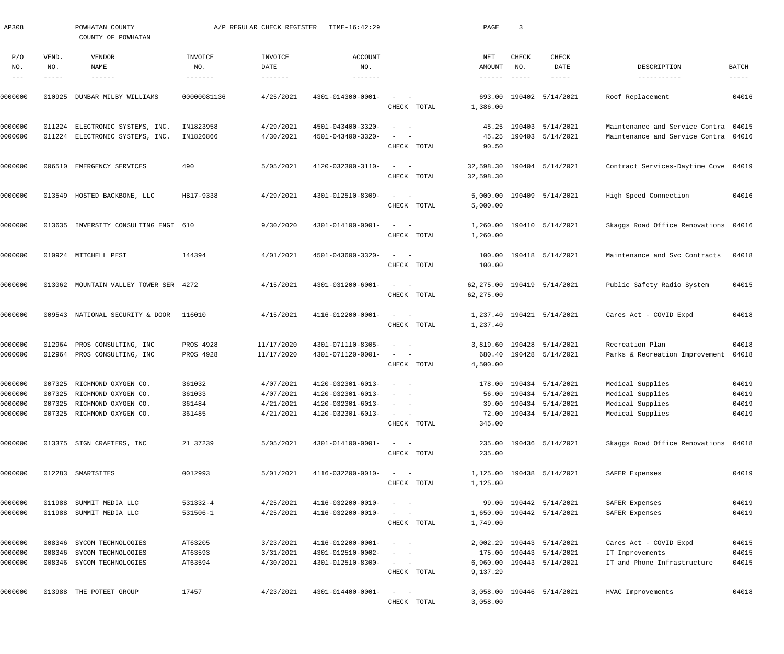| AP308               |              | POWHATAN COUNTY<br>COUNTY OF POWHATAN |                | A/P REGULAR CHECK REGISTER | TIME-16:42:29         |                                                                                                                                                                     | PAGE                 | 3                   |                             |                                      |                      |
|---------------------|--------------|---------------------------------------|----------------|----------------------------|-----------------------|---------------------------------------------------------------------------------------------------------------------------------------------------------------------|----------------------|---------------------|-----------------------------|--------------------------------------|----------------------|
| P/O<br>NO.          | VEND.<br>NO. | VENDOR<br>NAME                        | INVOICE<br>NO. | INVOICE<br>DATE            | <b>ACCOUNT</b><br>NO. |                                                                                                                                                                     | NET<br>AMOUNT        | <b>CHECK</b><br>NO. | <b>CHECK</b><br>DATE        | DESCRIPTION                          | <b>BATCH</b>         |
| $\qquad \qquad - -$ | -----        | $- - - - - - -$                       | -------        | $- - - - - - - -$          | $- - - - - - -$       |                                                                                                                                                                     |                      | $- - - - - -$       | $- - - - - -$               | -----------                          | $\cdots\cdots\cdots$ |
| 0000000             | 010925       | DUNBAR MILBY WILLIAMS                 | 00000081136    | 4/25/2021                  | 4301-014300-0001-     | $\sim$<br>$\sim$ $-$<br>CHECK TOTAL                                                                                                                                 | 693.00<br>1,386.00   |                     | 190402 5/14/2021            | Roof Replacement                     | 04016                |
| 0000000             | 011224       | ELECTRONIC SYSTEMS, INC.              | IN1823958      | 4/29/2021                  | 4501-043400-3320-     | $\sim$<br>$\sim$ $-$                                                                                                                                                |                      |                     | 45.25 190403 5/14/2021      | Maintenance and Service Contra 04015 |                      |
| 0000000             |              | 011224 ELECTRONIC SYSTEMS, INC.       | IN1826866      | 4/30/2021                  | 4501-043400-3320-     | $\frac{1}{2} \left( \frac{1}{2} \right) \left( \frac{1}{2} \right) \left( \frac{1}{2} \right) \left( \frac{1}{2} \right) \left( \frac{1}{2} \right)$<br>CHECK TOTAL | 45.25<br>90.50       |                     | 190403 5/14/2021            | Maintenance and Service Contra 04016 |                      |
| 0000000             |              | 006510 EMERGENCY SERVICES             | 490            | 5/05/2021                  | 4120-032300-3110-     | $\sim$ $  -$<br>CHECK TOTAL                                                                                                                                         | 32,598.30            |                     | 32,598.30 190404 5/14/2021  | Contract Services-Daytime Cove 04019 |                      |
| 0000000             |              | 013549 HOSTED BACKBONE, LLC           | HB17-9338      | 4/29/2021                  | 4301-012510-8309-     | $\sim$ $  -$<br>CHECK TOTAL                                                                                                                                         | 5,000.00             |                     | 5,000.00 190409 5/14/2021   | High Speed Connection                | 04016                |
| 0000000             |              | 013635 INVERSITY CONSULTING ENGI 610  |                | 9/30/2020                  | 4301-014100-0001-     | $\sim$ $ -$<br>CHECK TOTAL                                                                                                                                          | 1,260.00             |                     | 1,260.00 190410 5/14/2021   | Skaggs Road Office Renovations 04016 |                      |
| 0000000             |              | 010924 MITCHELL PEST                  | 144394         | 4/01/2021                  | 4501-043600-3320-     | $\sim$ $  -$<br>CHECK TOTAL                                                                                                                                         | 100.00               |                     | 100.00 190418 5/14/2021     | Maintenance and Svc Contracts        | 04018                |
| 0000000             |              | 013062 MOUNTAIN VALLEY TOWER SER 4272 |                | 4/15/2021                  | 4301-031200-6001-     | $\sim$ $  -$<br>CHECK TOTAL                                                                                                                                         | 62,275.00            |                     | 62, 275.00 190419 5/14/2021 | Public Safety Radio System           | 04015                |
| 0000000             |              | 009543 NATIONAL SECURITY & DOOR       | 116010         | 4/15/2021                  | 4116-012200-0001-     | $\sim$ $  -$<br>CHECK TOTAL                                                                                                                                         | 1,237.40             |                     | 1,237.40 190421 5/14/2021   | Cares Act - COVID Expd               | 04018                |
| 0000000             | 012964       | PROS CONSULTING, INC                  | PROS 4928      | 11/17/2020                 | 4301-071110-8305-     | $\sim$ $  -$                                                                                                                                                        |                      |                     | 3,819.60 190428 5/14/2021   | Recreation Plan                      | 04018                |
| 0000000             |              | 012964 PROS CONSULTING, INC           | PROS 4928      | 11/17/2020                 | 4301-071120-0001-     | $\sim$ $  -$<br>CHECK TOTAL                                                                                                                                         | 4,500.00             |                     | 680.40 190428 5/14/2021     | Parks & Recreation Improvement       | 04018                |
| 0000000             |              | 007325 RICHMOND OXYGEN CO.            | 361032         | 4/07/2021                  | 4120-032301-6013-     |                                                                                                                                                                     |                      |                     | 178.00 190434 5/14/2021     | Medical Supplies                     | 04019                |
| 0000000             | 007325       | RICHMOND OXYGEN CO.                   | 361033         | 4/07/2021                  | 4120-032301-6013-     |                                                                                                                                                                     |                      |                     | 56.00 190434 5/14/2021      | Medical Supplies                     | 04019                |
| 0000000             |              | 007325 RICHMOND OXYGEN CO.            | 361484         | 4/21/2021                  | 4120-032301-6013-     | $\sim$                                                                                                                                                              |                      |                     | 39.00 190434 5/14/2021      | Medical Supplies                     | 04019                |
| 0000000             |              | 007325 RICHMOND OXYGEN CO.            | 361485         | 4/21/2021                  | 4120-032301-6013-     | $\sim$ $ -$<br>CHECK TOTAL                                                                                                                                          | 72.00<br>345.00      |                     | 190434 5/14/2021            | Medical Supplies                     | 04019                |
| 0000000             |              | 013375 SIGN CRAFTERS, INC             | 21 37239       | 5/05/2021                  | 4301-014100-0001-     | $\sim$ $ -$<br>CHECK TOTAL                                                                                                                                          | 235.00               |                     | 235.00 190436 5/14/2021     | Skaggs Road Office Renovations 04018 |                      |
| 0000000             |              | 012283 SMARTSITES                     | 0012993        | 5/01/2021                  | 4116-032200-0010-     | $\frac{1}{2}$ and $\frac{1}{2}$ and $\frac{1}{2}$<br>CHECK TOTAL                                                                                                    | 1,125.00             |                     | 1,125.00 190438 5/14/2021   | SAFER Expenses                       | 04019                |
| 0000000             | 011988       | SUMMIT MEDIA LLC                      | 531332-4       | 4/25/2021                  | 4116-032200-0010-     | $\sim$ $-$                                                                                                                                                          |                      |                     | 99.00 190442 5/14/2021      | SAFER Expenses                       | 04019                |
| 0000000             |              | 011988 SUMMIT MEDIA LLC               | 531506-1       | 4/25/2021                  | 4116-032200-0010-     | $\frac{1}{2}$ and $\frac{1}{2}$ and $\frac{1}{2}$<br>CHECK TOTAL                                                                                                    | 1,650.00<br>1,749.00 |                     | 190442 5/14/2021            | SAFER Expenses                       | 04019                |
| 0000000             |              | 008346 SYCOM TECHNOLOGIES             | AT63205        | 3/23/2021                  | 4116-012200-0001-     | $\sim$<br>$\sim$ $-$                                                                                                                                                |                      |                     | 2,002.29 190443 5/14/2021   | Cares Act - COVID Expd               | 04015                |
| 0000000             | 008346       | SYCOM TECHNOLOGIES                    | AT63593        | 3/31/2021                  | 4301-012510-0002-     | $\frac{1}{2}$ and $\frac{1}{2}$ and $\frac{1}{2}$                                                                                                                   |                      |                     | 175.00 190443 5/14/2021     | IT Improvements                      | 04015                |
| 0000000             |              | 008346 SYCOM TECHNOLOGIES             | AT63594        | 4/30/2021                  | 4301-012510-8300-     | $\frac{1}{2}$ and $\frac{1}{2}$ and $\frac{1}{2}$                                                                                                                   |                      |                     | 6,960.00 190443 5/14/2021   | IT and Phone Infrastructure          | 04015                |
|                     |              |                                       |                |                            |                       | CHECK TOTAL                                                                                                                                                         | 9,137.29             |                     |                             |                                      |                      |
| 0000000             |              | 013988 THE POTEET GROUP               | 17457          | 4/23/2021                  | 4301-014400-0001-     | $\sim$ $-$<br>$\sim$                                                                                                                                                |                      |                     | 3,058.00 190446 5/14/2021   | HVAC Improvements                    | 04018                |
|                     |              |                                       |                |                            |                       | CHECK TOTAL                                                                                                                                                         | 3,058.00             |                     |                             |                                      |                      |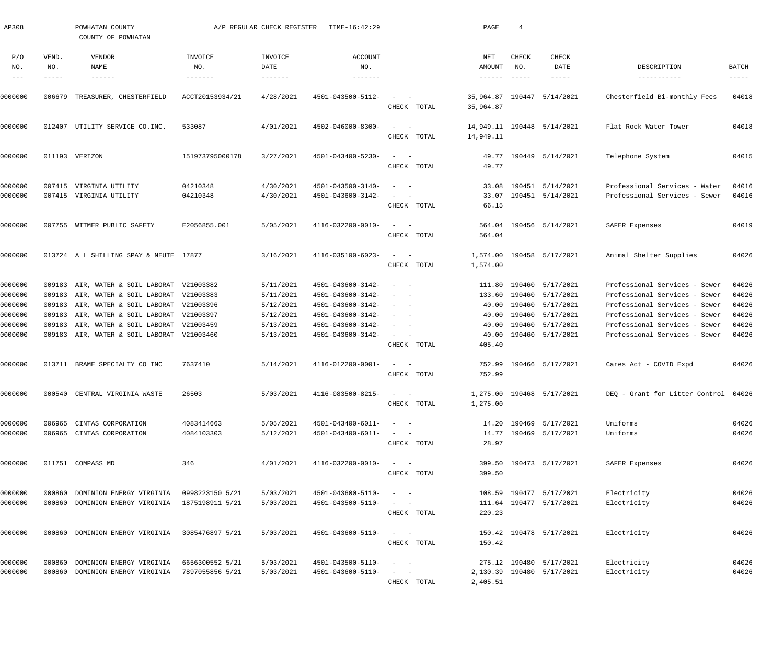| AP308                       |                       | POWHATAN COUNTY<br>COUNTY OF POWHATAN      |                 | A/P REGULAR CHECK REGISTER | TIME-16:42:29                |                                                                                                                           |             | PAGE                     | $\overline{4}$                |                                |                                      |                               |
|-----------------------------|-----------------------|--------------------------------------------|-----------------|----------------------------|------------------------------|---------------------------------------------------------------------------------------------------------------------------|-------------|--------------------------|-------------------------------|--------------------------------|--------------------------------------|-------------------------------|
| P/O<br>NO.<br>$\frac{1}{2}$ | VEND.<br>NO.<br>----- | VENDOR<br>NAME<br>$- - - - - - -$          | INVOICE<br>NO.  | INVOICE<br>DATE            | <b>ACCOUNT</b><br>NO.        |                                                                                                                           |             | NET<br>AMOUNT<br>------- | CHECK<br>NO.<br>$- - - - - -$ | CHECK<br>DATE<br>$- - - - - -$ | DESCRIPTION<br>-----------           | BATCH<br>$\cdots\cdots\cdots$ |
| 0000000                     | 006679                | TREASURER, CHESTERFIELD                    | ACCT20153934/21 | 4/28/2021                  | 4501-043500-5112-            | $\begin{array}{cccccccccc} - & & & & - & & - & & \end{array}$                                                             |             |                          |                               | 35,964.87 190447 5/14/2021     | Chesterfield Bi-monthly Fees         | 04018                         |
|                             |                       |                                            |                 |                            |                              |                                                                                                                           | CHECK TOTAL | 35,964.87                |                               |                                |                                      |                               |
| 0000000                     |                       | 012407 UTILITY SERVICE CO. INC.            | 533087          | 4/01/2021                  | 4502-046000-8300-            | $\sim$ $  -$                                                                                                              | CHECK TOTAL | 14,949.11                |                               | 14,949.11 190448 5/14/2021     | Flat Rock Water Tower                | 04018                         |
| 0000000                     |                       | 011193 VERIZON                             | 151973795000178 | 3/27/2021                  | 4501-043400-5230-            | $\frac{1}{2} \left( \frac{1}{2} \right) \left( \frac{1}{2} \right) = \frac{1}{2} \left( \frac{1}{2} \right)$              | CHECK TOTAL | 49.77                    |                               | 49.77 190449 5/14/2021         | Telephone System                     | 04015                         |
| 0000000                     |                       | 007415 VIRGINIA UTILITY                    | 04210348        | 4/30/2021                  | 4501-043500-3140-            | $\sim$ $-$<br>$\sim$                                                                                                      |             |                          |                               | 33.08 190451 5/14/2021         | Professional Services - Water        | 04016                         |
| 0000000                     |                       | 007415 VIRGINIA UTILITY                    | 04210348        | 4/30/2021                  | 4501-043600-3142-            | $\qquad \qquad -$                                                                                                         | CHECK TOTAL | 66.15                    |                               | 33.07 190451 5/14/2021         | Professional Services - Sewer        | 04016                         |
| 0000000                     |                       | 007755 WITMER PUBLIC SAFETY                | E2056855.001    | 5/05/2021                  | 4116-032200-0010-            | $\sim$ $  -$                                                                                                              | CHECK TOTAL | 564.04                   |                               | 564.04 190456 5/14/2021        | SAFER Expenses                       | 04019                         |
| 0000000                     |                       | 013724 A L SHILLING SPAY & NEUTE 17877     |                 | 3/16/2021                  | 4116-035100-6023-            | $\sim$ $  -$                                                                                                              | CHECK TOTAL | 1,574.00                 |                               | 1,574.00 190458 5/17/2021      | Animal Shelter Supplies              | 04026                         |
| 0000000                     |                       | 009183 AIR, WATER & SOIL LABORAT V21003382 |                 | 5/11/2021                  | 4501-043600-3142-            | $\sim$ $  -$                                                                                                              |             |                          |                               | 111.80 190460 5/17/2021        | Professional Services - Sewer        | 04026                         |
| 0000000                     |                       | 009183 AIR, WATER & SOIL LABORAT V21003383 |                 | 5/11/2021                  | 4501-043600-3142-            |                                                                                                                           |             |                          |                               | 133.60 190460 5/17/2021        | Professional Services - Sewer        | 04026                         |
| 0000000                     |                       | 009183 AIR, WATER & SOIL LABORAT V21003396 |                 | 5/12/2021                  | 4501-043600-3142-            | $\frac{1}{2} \left( \frac{1}{2} \right) \left( \frac{1}{2} \right) \left( \frac{1}{2} \right) \left( \frac{1}{2} \right)$ |             |                          |                               | 40.00 190460 5/17/2021         | Professional Services - Sewer        | 04026                         |
| 0000000                     | 009183                | AIR, WATER & SOIL LABORAT V21003397        |                 | 5/12/2021                  | 4501-043600-3142-            | $\sim$<br>$\sim$ $-$                                                                                                      |             | 40.00                    |                               | 190460 5/17/2021               | Professional Services - Sewer        | 04026                         |
| 0000000                     | 009183                | AIR, WATER & SOIL LABORAT V21003459        |                 | 5/13/2021                  | 4501-043600-3142-            | $\sim$<br>$\sim$ $-$                                                                                                      |             | 40.00                    |                               | 190460 5/17/2021               | Professional Services - Sewer        | 04026                         |
| 0000000                     |                       | 009183 AIR, WATER & SOIL LABORAT V21003460 |                 | 5/13/2021                  | 4501-043600-3142-            | $\sim$ $  -$                                                                                                              | CHECK TOTAL | 40.00<br>405.40          |                               | 190460 5/17/2021               | Professional Services - Sewer        | 04026                         |
| 0000000                     |                       | 013711 BRAME SPECIALTY CO INC              | 7637410         | 5/14/2021                  | 4116-012200-0001-            | $\sim$ $  -$                                                                                                              | CHECK TOTAL | 752.99                   |                               | 752.99 190466 5/17/2021        | Cares Act - COVID Expd               | 04026                         |
| 0000000                     |                       | 000540 CENTRAL VIRGINIA WASTE              | 26503           | 5/03/2021                  | $4116 - 083500 - 8215 - - -$ |                                                                                                                           | CHECK TOTAL | 1,275.00                 |                               | 1,275.00 190468 5/17/2021      | DEO - Grant for Litter Control 04026 |                               |
| 0000000                     |                       | 006965 CINTAS CORPORATION                  | 4083414663      | 5/05/2021                  | 4501-043400-6011-            | $\alpha = 1$ , $\alpha = 1$                                                                                               |             |                          |                               | 14.20 190469 5/17/2021         | Uniforms                             | 04026                         |
| 0000000                     |                       | 006965 CINTAS CORPORATION                  | 4084103303      | 5/12/2021                  | 4501-043400-6011-            | $\frac{1}{2}$ and $\frac{1}{2}$ and $\frac{1}{2}$                                                                         |             |                          |                               | 14.77 190469 5/17/2021         | Uniforms                             | 04026                         |
|                             |                       |                                            |                 |                            |                              |                                                                                                                           | CHECK TOTAL | 28.97                    |                               |                                |                                      |                               |
| 0000000                     |                       | 011751 COMPASS MD                          | 346             | 4/01/2021                  | 4116-032200-0010-            | $\sim$ $  -$                                                                                                              | CHECK TOTAL | 399.50                   |                               | 399.50 190473 5/17/2021        | SAFER Expenses                       | 04026                         |
| 0000000                     | 000860                | DOMINION ENERGY VIRGINIA                   | 0998223150 5/21 | 5/03/2021                  | 4501-043600-5110-            | $\frac{1}{2}$ and $\frac{1}{2}$ and $\frac{1}{2}$                                                                         |             |                          |                               | 108.59 190477 5/17/2021        | Electricity                          | 04026                         |
| 0000000                     |                       | 000860 DOMINION ENERGY VIRGINIA            | 1875198911 5/21 | 5/03/2021                  | 4501-043500-5110-            | $\frac{1}{2}$ and $\frac{1}{2}$ and $\frac{1}{2}$                                                                         |             |                          |                               | 111.64 190477 5/17/2021        | Electricity                          | 04026                         |
|                             |                       |                                            |                 |                            |                              |                                                                                                                           | CHECK TOTAL | 220.23                   |                               |                                |                                      |                               |
| 0000000                     |                       | 000860 DOMINION ENERGY VIRGINIA            | 3085476897 5/21 | 5/03/2021                  | 4501-043600-5110-            | $\frac{1}{2}$ and $\frac{1}{2}$ and $\frac{1}{2}$                                                                         | CHECK TOTAL | 150.42                   |                               | 150.42 190478 5/17/2021        | Electricity                          | 04026                         |
| 0000000                     | 000860                | DOMINION ENERGY VIRGINIA                   | 6656300552 5/21 | 5/03/2021                  | 4501-043500-5110-            | $\frac{1}{2}$ and $\frac{1}{2}$ and $\frac{1}{2}$                                                                         |             |                          |                               | 275.12 190480 5/17/2021        | Electricity                          | 04026                         |
| 0000000                     | 000860                | DOMINION ENERGY VIRGINIA                   | 7897055856 5/21 | 5/03/2021                  | 4501-043600-5110-            | $\mathcal{L}_{\text{max}}$ , and $\mathcal{L}_{\text{max}}$                                                               |             |                          |                               | 2,130.39 190480 5/17/2021      | Electricity                          | 04026                         |
|                             |                       |                                            |                 |                            |                              |                                                                                                                           | CHECK TOTAL | 2,405.51                 |                               |                                |                                      |                               |
|                             |                       |                                            |                 |                            |                              |                                                                                                                           |             |                          |                               |                                |                                      |                               |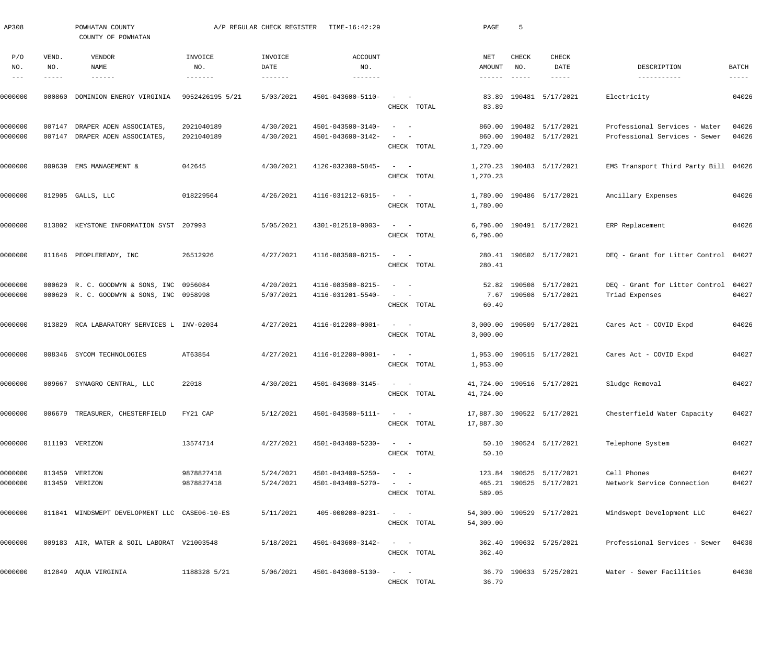| AP308                             |              | POWHATAN COUNTY<br>COUNTY OF POWHATAN                                                |                           | A/P REGULAR CHECK REGISTER | TIME-16:42:29                          |                                                                                                                        | PAGE                         | 5            |                                                    |                                                                |                        |
|-----------------------------------|--------------|--------------------------------------------------------------------------------------|---------------------------|----------------------------|----------------------------------------|------------------------------------------------------------------------------------------------------------------------|------------------------------|--------------|----------------------------------------------------|----------------------------------------------------------------|------------------------|
| P/O<br>NO.<br>$\qquad \qquad - -$ | VEND.<br>NO. | VENDOR<br>NAME                                                                       | INVOICE<br>NO.<br>------- | INVOICE<br>DATE            | <b>ACCOUNT</b><br>NO.<br>-------       |                                                                                                                        | NET<br>AMOUNT                | CHECK<br>NO. | CHECK<br>DATE                                      | DESCRIPTION<br>-----------                                     | BATCH<br>$- - - - - -$ |
| 0000000                           | 000860       | DOMINION ENERGY VIRGINIA                                                             | 9052426195 5/21           | 5/03/2021                  | 4501-043600-5110-                      | $\sim$<br>$\sim$ $-$<br>CHECK TOTAL                                                                                    | 83.89<br>83.89               |              | 190481 5/17/2021                                   | Electricity                                                    | 04026                  |
| 0000000<br>0000000                | 007147       | DRAPER ADEN ASSOCIATES,<br>007147 DRAPER ADEN ASSOCIATES                             | 2021040189<br>2021040189  | 4/30/2021<br>4/30/2021     | 4501-043500-3140-<br>4501-043600-3142- | $\sim$<br>$\sim$ $-$<br>$\sim$<br>$\sim$ $-$<br>CHECK TOTAL                                                            | 860.00<br>860.00<br>1,720.00 |              | 190482 5/17/2021<br>190482 5/17/2021               | Professional Services - Water<br>Professional Services - Sewer | 04026<br>04026         |
| 0000000                           |              | 009639 EMS MANAGEMENT &                                                              | 042645                    | 4/30/2021                  | 4120-032300-5845-                      | $\sigma_{\rm{max}}=0.5$<br>CHECK TOTAL                                                                                 | 1,270.23                     |              | 1,270.23 190483 5/17/2021                          | EMS Transport Third Party Bill 04026                           |                        |
| 0000000                           |              | 012905 GALLS, LLC                                                                    | 018229564                 | 4/26/2021                  | 4116-031212-6015-                      | $\frac{1}{2}$ and $\frac{1}{2}$ and $\frac{1}{2}$<br>CHECK TOTAL                                                       | 1,780.00<br>1,780.00         |              | 190486 5/17/2021                                   | Ancillary Expenses                                             | 04026                  |
| 0000000                           |              | 013802 KEYSTONE INFORMATION SYST 207993                                              |                           | 5/05/2021                  | 4301-012510-0003-                      | $\sim$ $  -$<br>CHECK TOTAL                                                                                            | 6,796.00<br>6,796.00         |              | 190491 5/17/2021                                   | ERP Replacement                                                | 04026                  |
| 0000000                           |              | 011646 PEOPLEREADY, INC                                                              | 26512926                  | 4/27/2021                  | 4116-083500-8215-                      | $\sim$ $  -$<br>CHECK TOTAL                                                                                            | 280.41                       |              | 280.41 190502 5/17/2021                            | DEQ - Grant for Litter Control 04027                           |                        |
| 0000000<br>0000000                |              | 000620 R. C. GOODWYN & SONS, INC 0956084<br>000620 R. C. GOODWYN & SONS, INC 0958998 |                           | 4/20/2021<br>5/07/2021     | 4116-083500-8215-<br>4116-031201-5540- | $\overline{\phantom{a}}$<br>$\sim$ $-$<br>$\frac{1}{2}$ , $\frac{1}{2}$ , $\frac{1}{2}$ , $\frac{1}{2}$<br>CHECK TOTAL | 60.49                        |              | 52.82 190508 5/17/2021<br>7.67 190508 5/17/2021    | DEQ - Grant for Litter Control<br>Triad Expenses               | 04027<br>04027         |
| 0000000                           |              | 013829 RCA LABARATORY SERVICES L INV-02034                                           |                           | 4/27/2021                  | 4116-012200-0001-                      | $\sigma_{\rm{max}}=0.5$<br>CHECK TOTAL                                                                                 | 3,000.00                     |              | 3,000.00 190509 5/17/2021                          | Cares Act - COVID Expd                                         | 04026                  |
| 0000000                           |              | 008346 SYCOM TECHNOLOGIES                                                            | AT63854                   | 4/27/2021                  | 4116-012200-0001-                      | $\sim$ $  -$<br>CHECK TOTAL                                                                                            | 1,953.00                     |              | 1,953.00 190515 5/17/2021                          | Cares Act - COVID Expd                                         | 04027                  |
| 0000000                           |              | 009667 SYNAGRO CENTRAL, LLC                                                          | 22018                     | 4/30/2021                  | $4501 - 043600 - 3145 -$               | CHECK TOTAL                                                                                                            | 41,724.00                    |              | 41,724.00 190516 5/17/2021                         | Sludge Removal                                                 | 04027                  |
| 0000000                           |              | 006679 TREASURER, CHESTERFIELD                                                       | FY21 CAP                  | 5/12/2021                  | 4501-043500-5111-                      | $\sim$ $  -$<br>CHECK TOTAL                                                                                            | 17,887.30                    |              | 17,887.30 190522 5/17/2021                         | Chesterfield Water Capacity                                    | 04027                  |
| 0000000                           |              | 011193 VERIZON                                                                       | 13574714                  | 4/27/2021                  | 4501-043400-5230-                      | $\sim$ $ \sim$<br>CHECK TOTAL                                                                                          | 50.10                        |              | 50.10 190524 5/17/2021                             | Telephone System                                               | 04027                  |
| 0000000<br>0000000                |              | 013459 VERIZON<br>013459 VERIZON                                                     | 9878827418<br>9878827418  | 5/24/2021<br>5/24/2021     | 4501-043400-5250-<br>4501-043400-5270- | $\mathcal{L}_{\text{max}}$ and $\mathcal{L}_{\text{max}}$<br>CHECK TOTAL                                               | 589.05                       |              | 123.84 190525 5/17/2021<br>465.21 190525 5/17/2021 | Cell Phones<br>Network Service Connection                      | 04027<br>04027         |
| 0000000                           |              | 011841 WINDSWEPT DEVELOPMENT LLC CASE06-10-ES                                        |                           | 5/11/2021                  | $405 - 000200 - 0231 -$                | $\sim$ $  -$<br>CHECK TOTAL                                                                                            | 54,300.00                    |              | 54,300.00 190529 5/17/2021                         | Windswept Development LLC                                      | 04027                  |
| 0000000                           |              | 009183 AIR, WATER & SOIL LABORAT V21003548                                           |                           | 5/18/2021                  | 4501-043600-3142-                      | $\sim$ $ \sim$<br>CHECK TOTAL                                                                                          | 362.40                       |              | 362.40 190632 5/25/2021                            | Professional Services - Sewer                                  | 04030                  |
| 0000000                           |              | 012849 AQUA VIRGINIA                                                                 | 1188328 5/21              | 5/06/2021                  | 4501-043600-5130-                      | $\mathcal{L}_{\text{max}}$ and $\mathcal{L}_{\text{max}}$<br>CHECK TOTAL                                               | 36.79                        |              | 36.79 190633 5/25/2021                             | Water - Sewer Facilities                                       | 04030                  |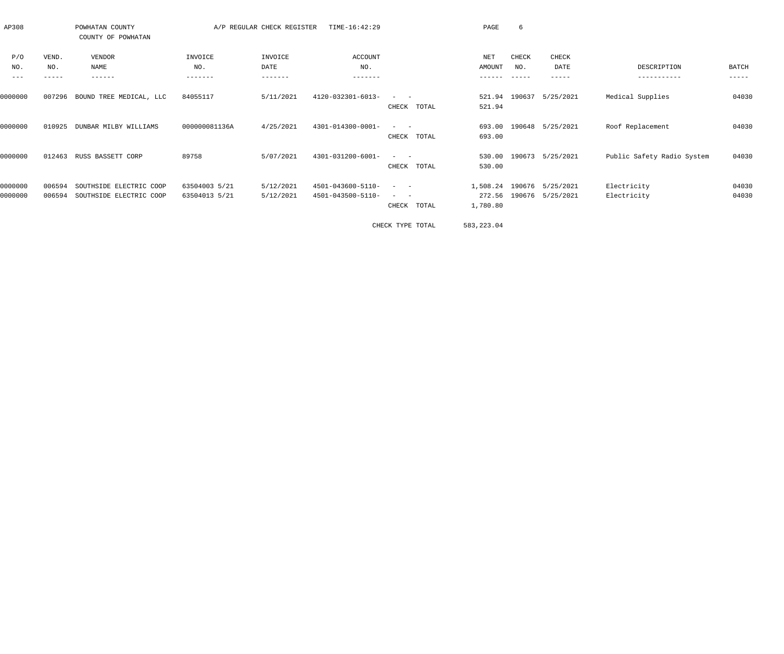| AP308   |        | POWHATAN COUNTY<br>COUNTY OF POWHATAN |               | A/P REGULAR CHECK REGISTER | TIME-16:42:29     |                                    | PAGE          | 6      |                  |                            |              |
|---------|--------|---------------------------------------|---------------|----------------------------|-------------------|------------------------------------|---------------|--------|------------------|----------------------------|--------------|
| P/O     | VEND.  | VENDOR                                | INVOICE       | INVOICE                    | ACCOUNT           |                                    | NET           | CHECK  | CHECK            |                            |              |
| NO.     | NO.    | <b>NAME</b>                           | NO.           | DATE                       | NO.               |                                    | <b>AMOUNT</b> | NO.    | DATE             | DESCRIPTION                | <b>BATCH</b> |
| $- - -$ |        | ------                                | -------       | -------                    | -------           |                                    |               |        | -----            | -----------                | -----        |
| 0000000 | 007296 | BOUND TREE MEDICAL, LLC               | 84055117      | 5/11/2021                  | 4120-032301-6013- |                                    | 521.94        | 190637 | 5/25/2021        | Medical Supplies           | 04030        |
|         |        |                                       |               |                            |                   | CHECK<br>TOTAL                     | 521.94        |        |                  |                            |              |
| 0000000 | 010925 | DUNBAR MILBY WILLIAMS                 | 000000081136A | 4/25/2021                  | 4301-014300-0001- | $ -$                               | 693.00        |        | 190648 5/25/2021 | Roof Replacement           | 04030        |
|         |        |                                       |               |                            |                   | CHECK<br>TOTAL                     | 693.00        |        |                  |                            |              |
| 0000000 | 012463 | RUSS BASSETT CORP                     | 89758         | 5/07/2021                  | 4301-031200-6001- | $ -$                               | 530.00        |        | 190673 5/25/2021 | Public Safety Radio System | 04030        |
|         |        |                                       |               |                            |                   | TOTAL<br>CHECK                     | 530.00        |        |                  |                            |              |
| 0000000 | 006594 | SOUTHSIDE ELECTRIC COOP               | 63504003 5/21 | 5/12/2021                  | 4501-043600-5110- | $\sim$<br>$\overline{\phantom{a}}$ | 1,508.24      |        | 190676 5/25/2021 | Electricity                | 04030        |
| 0000000 | 006594 | SOUTHSIDE ELECTRIC COOP               | 63504013 5/21 | 5/12/2021                  | 4501-043500-5110- |                                    | 272.56        |        | 190676 5/25/2021 | Electricity                | 04030        |
|         |        |                                       |               |                            |                   | TOTAL<br>CHECK                     | 1,780.80      |        |                  |                            |              |
|         |        |                                       |               |                            |                   |                                    |               |        |                  |                            |              |

CHECK TYPE TOTAL 583,223.04